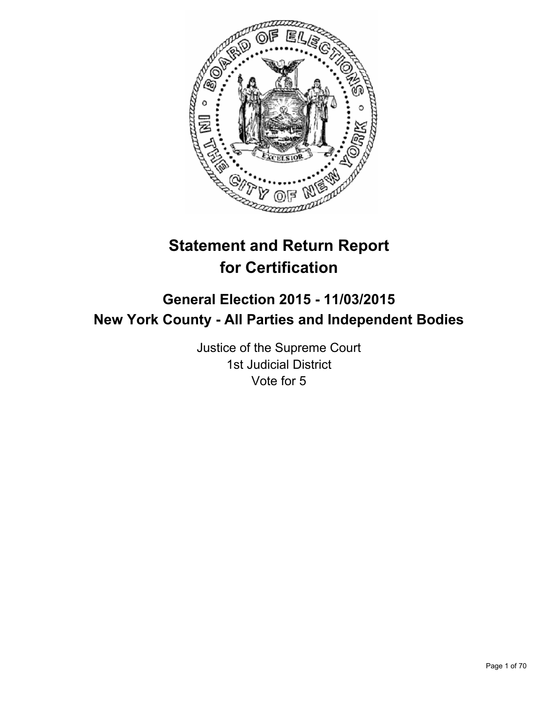

# **Statement and Return Report for Certification**

## **General Election 2015 - 11/03/2015 New York County - All Parties and Independent Bodies**

Justice of the Supreme Court 1st Judicial District Vote for 5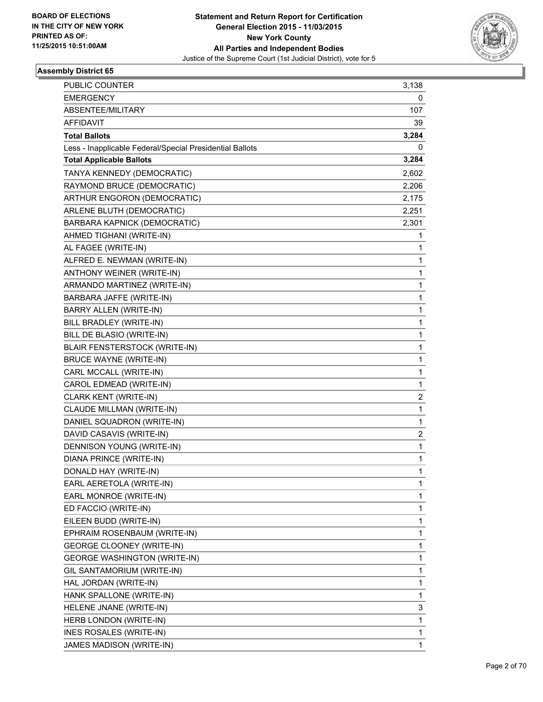

| PUBLIC COUNTER                                           | 3,138 |
|----------------------------------------------------------|-------|
| <b>EMERGENCY</b>                                         | 0     |
| ABSENTEE/MILITARY                                        | 107   |
| <b>AFFIDAVIT</b>                                         | 39    |
| <b>Total Ballots</b>                                     | 3,284 |
| Less - Inapplicable Federal/Special Presidential Ballots | 0     |
| <b>Total Applicable Ballots</b>                          | 3,284 |
| TANYA KENNEDY (DEMOCRATIC)                               | 2,602 |
| RAYMOND BRUCE (DEMOCRATIC)                               | 2,206 |
| ARTHUR ENGORON (DEMOCRATIC)                              | 2,175 |
| ARLENE BLUTH (DEMOCRATIC)                                | 2,251 |
| BARBARA KAPNICK (DEMOCRATIC)                             | 2,301 |
| AHMED TIGHANI (WRITE-IN)                                 | 1     |
| AL FAGEE (WRITE-IN)                                      | 1     |
| ALFRED E. NEWMAN (WRITE-IN)                              | 1     |
| ANTHONY WEINER (WRITE-IN)                                | 1     |
| ARMANDO MARTINEZ (WRITE-IN)                              | 1     |
| BARBARA JAFFE (WRITE-IN)                                 | 1     |
| BARRY ALLEN (WRITE-IN)                                   | 1     |
| BILL BRADLEY (WRITE-IN)                                  | 1     |
| BILL DE BLASIO (WRITE-IN)                                | 1     |
| BLAIR FENSTERSTOCK (WRITE-IN)                            | 1     |
| <b>BRUCE WAYNE (WRITE-IN)</b>                            | 1     |
| CARL MCCALL (WRITE-IN)                                   | 1     |
| CAROL EDMEAD (WRITE-IN)                                  | 1     |
| CLARK KENT (WRITE-IN)                                    | 2     |
| CLAUDE MILLMAN (WRITE-IN)                                | 1     |
| DANIEL SQUADRON (WRITE-IN)                               | 1     |
| DAVID CASAVIS (WRITE-IN)                                 | 2     |
| DENNISON YOUNG (WRITE-IN)                                | 1     |
| DIANA PRINCE (WRITE-IN)                                  | 1     |
| DONALD HAY (WRITE-IN)                                    | 1     |
| EARL AERETOLA (WRITE-IN)                                 | 1     |
| EARL MONROE (WRITE-IN)                                   | 1     |
| ED FACCIO (WRITE-IN)                                     | 1     |
| EILEEN BUDD (WRITE-IN)                                   | 1     |
| EPHRAIM ROSENBAUM (WRITE-IN)                             | 1     |
| <b>GEORGE CLOONEY (WRITE-IN)</b>                         | 1     |
| <b>GEORGE WASHINGTON (WRITE-IN)</b>                      | 1     |
| GIL SANTAMORIUM (WRITE-IN)                               | 1     |
| HAL JORDAN (WRITE-IN)                                    | 1     |
| HANK SPALLONE (WRITE-IN)                                 | 1     |
| HELENE JNANE (WRITE-IN)                                  | 3     |
| HERB LONDON (WRITE-IN)                                   | 1     |
| INES ROSALES (WRITE-IN)                                  | 1     |
| JAMES MADISON (WRITE-IN)                                 | 1     |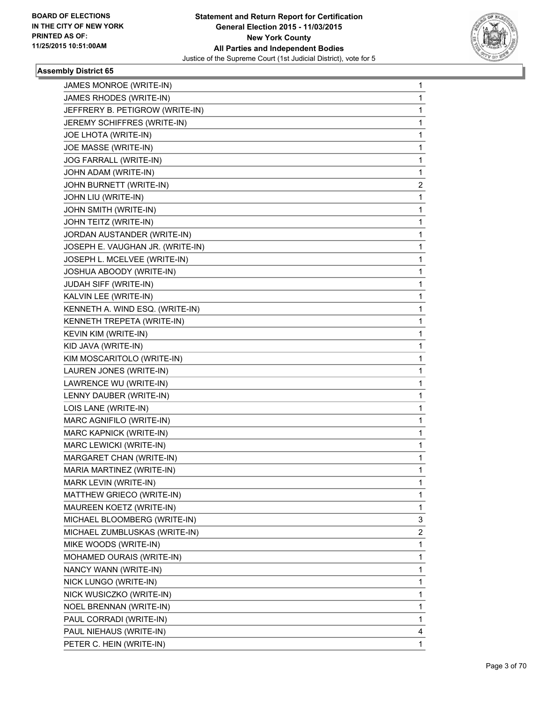

| JAMES MONROE (WRITE-IN)          | 1           |
|----------------------------------|-------------|
| JAMES RHODES (WRITE-IN)          | $\mathbf 1$ |
| JEFFRERY B. PETIGROW (WRITE-IN)  | 1           |
| JEREMY SCHIFFRES (WRITE-IN)      | 1           |
| JOE LHOTA (WRITE-IN)             | 1           |
| JOE MASSE (WRITE-IN)             | 1           |
| JOG FARRALL (WRITE-IN)           | 1           |
| JOHN ADAM (WRITE-IN)             | 1           |
| JOHN BURNETT (WRITE-IN)          | 2           |
| JOHN LIU (WRITE-IN)              | 1           |
| JOHN SMITH (WRITE-IN)            | 1           |
| JOHN TEITZ (WRITE-IN)            | 1           |
| JORDAN AUSTANDER (WRITE-IN)      | 1           |
| JOSEPH E. VAUGHAN JR. (WRITE-IN) | 1           |
| JOSEPH L. MCELVEE (WRITE-IN)     | 1           |
| JOSHUA ABOODY (WRITE-IN)         | 1           |
| JUDAH SIFF (WRITE-IN)            | 1           |
| KALVIN LEE (WRITE-IN)            | 1           |
| KENNETH A. WIND ESQ. (WRITE-IN)  | 1           |
| KENNETH TREPETA (WRITE-IN)       | 1           |
| KEVIN KIM (WRITE-IN)             | 1           |
| KID JAVA (WRITE-IN)              | 1           |
| KIM MOSCARITOLO (WRITE-IN)       | 1           |
| LAUREN JONES (WRITE-IN)          | 1           |
| LAWRENCE WU (WRITE-IN)           | 1           |
| LENNY DAUBER (WRITE-IN)          | 1           |
| LOIS LANE (WRITE-IN)             | 1           |
| MARC AGNIFILO (WRITE-IN)         | 1           |
| MARC KAPNICK (WRITE-IN)          | 1           |
| MARC LEWICKI (WRITE-IN)          | 1           |
| MARGARET CHAN (WRITE-IN)         | 1           |
| MARIA MARTINEZ (WRITE-IN)        | 1           |
| MARK LEVIN (WRITE-IN)            | 1           |
| MATTHEW GRIECO (WRITE-IN)        | 1           |
| MAUREEN KOETZ (WRITE-IN)         | 1           |
| MICHAEL BLOOMBERG (WRITE-IN)     | 3           |
| MICHAEL ZUMBLUSKAS (WRITE-IN)    | 2           |
| MIKE WOODS (WRITE-IN)            | 1           |
| MOHAMED OURAIS (WRITE-IN)        | 1           |
| NANCY WANN (WRITE-IN)            | 1           |
| NICK LUNGO (WRITE-IN)            | 1           |
| NICK WUSICZKO (WRITE-IN)         | 1           |
| NOEL BRENNAN (WRITE-IN)          | 1           |
| PAUL CORRADI (WRITE-IN)          | 1           |
| PAUL NIEHAUS (WRITE-IN)          | 4           |
| PETER C. HEIN (WRITE-IN)         | 1           |
|                                  |             |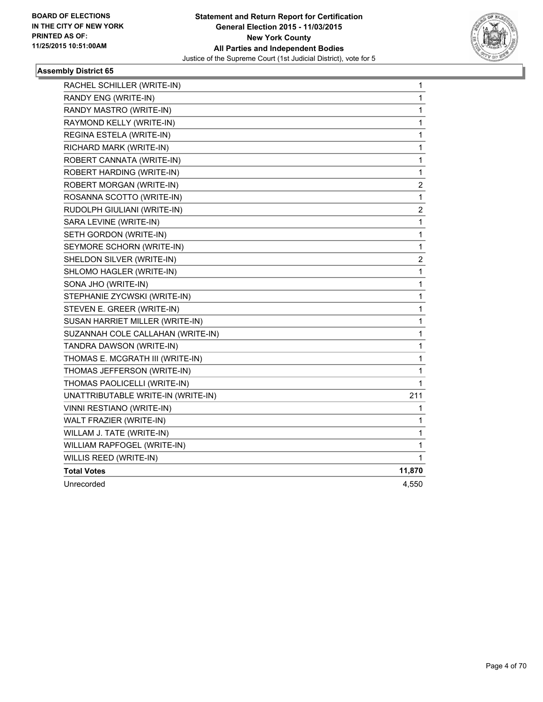

| RACHEL SCHILLER (WRITE-IN)         | 1              |
|------------------------------------|----------------|
| RANDY ENG (WRITE-IN)               | 1              |
| RANDY MASTRO (WRITE-IN)            | 1              |
| RAYMOND KELLY (WRITE-IN)           | $\mathbf 1$    |
| REGINA ESTELA (WRITE-IN)           | 1              |
| RICHARD MARK (WRITE-IN)            | 1              |
| ROBERT CANNATA (WRITE-IN)          | $\mathbf{1}$   |
| ROBERT HARDING (WRITE-IN)          | 1              |
| ROBERT MORGAN (WRITE-IN)           | $\overline{c}$ |
| ROSANNA SCOTTO (WRITE-IN)          | $\mathbf 1$    |
| RUDOLPH GIULIANI (WRITE-IN)        | 2              |
| SARA LEVINE (WRITE-IN)             | $\mathbf{1}$   |
| SETH GORDON (WRITE-IN)             | 1              |
| SEYMORE SCHORN (WRITE-IN)          | 1              |
| SHELDON SILVER (WRITE-IN)          | 2              |
| SHLOMO HAGLER (WRITE-IN)           | 1              |
| SONA JHO (WRITE-IN)                | $\mathbf{1}$   |
| STEPHANIE ZYCWSKI (WRITE-IN)       | 1              |
| STEVEN E. GREER (WRITE-IN)         | 1              |
| SUSAN HARRIET MILLER (WRITE-IN)    | $\mathbf 1$    |
| SUZANNAH COLE CALLAHAN (WRITE-IN)  | $\mathbf 1$    |
| TANDRA DAWSON (WRITE-IN)           | $\mathbf 1$    |
| THOMAS E. MCGRATH III (WRITE-IN)   | 1              |
| THOMAS JEFFERSON (WRITE-IN)        | 1              |
| THOMAS PAOLICELLI (WRITE-IN)       | 1              |
| UNATTRIBUTABLE WRITE-IN (WRITE-IN) | 211            |
| VINNI RESTIANO (WRITE-IN)          | 1              |
| WALT FRAZIER (WRITE-IN)            | 1              |
| WILLAM J. TATE (WRITE-IN)          | 1              |
| WILLIAM RAPFOGEL (WRITE-IN)        | 1              |
| WILLIS REED (WRITE-IN)             | 1              |
| <b>Total Votes</b>                 | 11,870         |
| Unrecorded                         | 4,550          |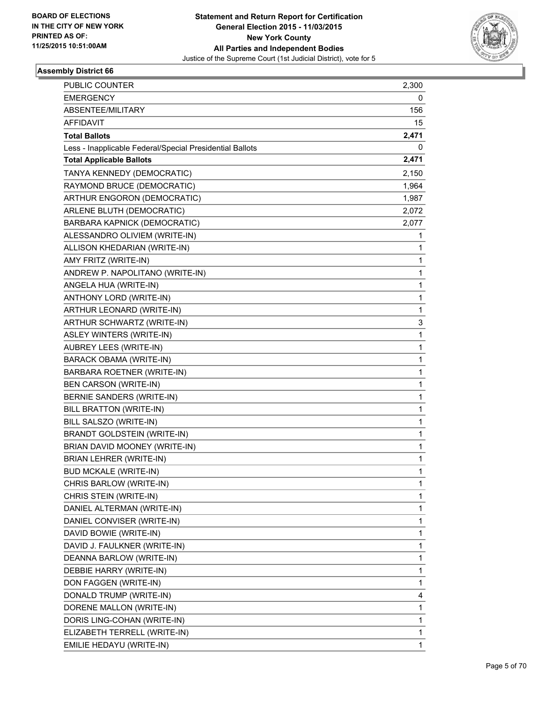

| <b>PUBLIC COUNTER</b>                                    | 2,300 |
|----------------------------------------------------------|-------|
| <b>EMERGENCY</b>                                         | 0     |
| ABSENTEE/MILITARY                                        | 156   |
| <b>AFFIDAVIT</b>                                         | 15    |
| <b>Total Ballots</b>                                     | 2,471 |
| Less - Inapplicable Federal/Special Presidential Ballots | 0     |
| <b>Total Applicable Ballots</b>                          | 2,471 |
| TANYA KENNEDY (DEMOCRATIC)                               | 2,150 |
| RAYMOND BRUCE (DEMOCRATIC)                               | 1,964 |
| ARTHUR ENGORON (DEMOCRATIC)                              | 1,987 |
| ARLENE BLUTH (DEMOCRATIC)                                | 2,072 |
| BARBARA KAPNICK (DEMOCRATIC)                             | 2,077 |
| ALESSANDRO OLIVIEM (WRITE-IN)                            | 1     |
| ALLISON KHEDARIAN (WRITE-IN)                             | 1     |
| AMY FRITZ (WRITE-IN)                                     | 1     |
| ANDREW P. NAPOLITANO (WRITE-IN)                          | 1     |
| ANGELA HUA (WRITE-IN)                                    | 1     |
| ANTHONY LORD (WRITE-IN)                                  | 1     |
| ARTHUR LEONARD (WRITE-IN)                                | 1     |
| ARTHUR SCHWARTZ (WRITE-IN)                               | 3     |
| ASLEY WINTERS (WRITE-IN)                                 | 1     |
| AUBREY LEES (WRITE-IN)                                   | 1     |
| <b>BARACK OBAMA (WRITE-IN)</b>                           | 1     |
| BARBARA ROETNER (WRITE-IN)                               | 1     |
| BEN CARSON (WRITE-IN)                                    | 1     |
| BERNIE SANDERS (WRITE-IN)                                | 1     |
| BILL BRATTON (WRITE-IN)                                  | 1     |
| BILL SALSZO (WRITE-IN)                                   | 1     |
| <b>BRANDT GOLDSTEIN (WRITE-IN)</b>                       | 1     |
| BRIAN DAVID MOONEY (WRITE-IN)                            | 1     |
| BRIAN LEHRER (WRITE-IN)                                  | 1     |
| <b>BUD MCKALE (WRITE-IN)</b>                             | 1     |
| CHRIS BARLOW (WRITE-IN)                                  | 1     |
| CHRIS STEIN (WRITE-IN)                                   | 1     |
| DANIEL ALTERMAN (WRITE-IN)                               | 1     |
| DANIEL CONVISER (WRITE-IN)                               | 1     |
| DAVID BOWIE (WRITE-IN)                                   | 1     |
| DAVID J. FAULKNER (WRITE-IN)                             | 1     |
| DEANNA BARLOW (WRITE-IN)                                 | 1     |
| DEBBIE HARRY (WRITE-IN)                                  | 1     |
| DON FAGGEN (WRITE-IN)                                    | 1     |
| DONALD TRUMP (WRITE-IN)                                  | 4     |
| DORENE MALLON (WRITE-IN)                                 | 1     |
| DORIS LING-COHAN (WRITE-IN)                              | 1     |
| ELIZABETH TERRELL (WRITE-IN)                             | 1     |
| EMILIE HEDAYU (WRITE-IN)                                 | 1     |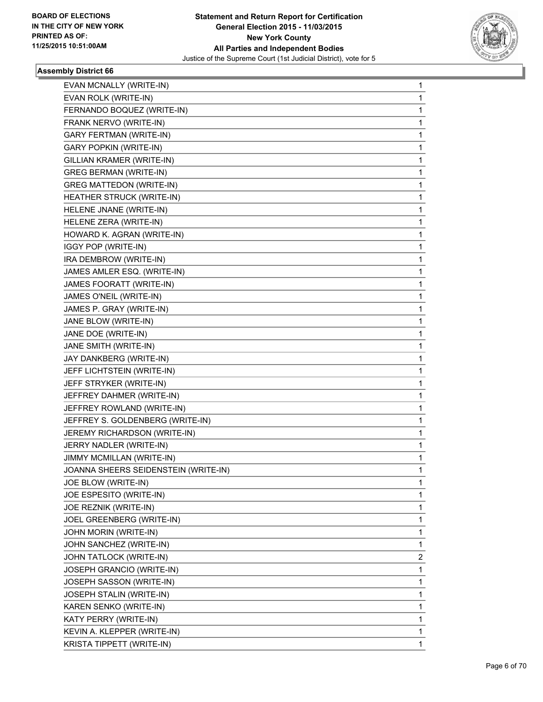

| EVAN MCNALLY (WRITE-IN)              | 1 |
|--------------------------------------|---|
| EVAN ROLK (WRITE-IN)                 | 1 |
| FERNANDO BOQUEZ (WRITE-IN)           | 1 |
| FRANK NERVO (WRITE-IN)               | 1 |
| <b>GARY FERTMAN (WRITE-IN)</b>       | 1 |
| <b>GARY POPKIN (WRITE-IN)</b>        | 1 |
| GILLIAN KRAMER (WRITE-IN)            | 1 |
| <b>GREG BERMAN (WRITE-IN)</b>        | 1 |
| <b>GREG MATTEDON (WRITE-IN)</b>      | 1 |
| HEATHER STRUCK (WRITE-IN)            | 1 |
| HELENE JNANE (WRITE-IN)              | 1 |
| HELENE ZERA (WRITE-IN)               | 1 |
| HOWARD K. AGRAN (WRITE-IN)           | 1 |
| IGGY POP (WRITE-IN)                  | 1 |
| IRA DEMBROW (WRITE-IN)               | 1 |
| JAMES AMLER ESQ. (WRITE-IN)          | 1 |
| JAMES FOORATT (WRITE-IN)             | 1 |
| JAMES O'NEIL (WRITE-IN)              | 1 |
| JAMES P. GRAY (WRITE-IN)             | 1 |
| JANE BLOW (WRITE-IN)                 | 1 |
| JANE DOE (WRITE-IN)                  | 1 |
| JANE SMITH (WRITE-IN)                | 1 |
| JAY DANKBERG (WRITE-IN)              | 1 |
| JEFF LICHTSTEIN (WRITE-IN)           | 1 |
| JEFF STRYKER (WRITE-IN)              | 1 |
| JEFFREY DAHMER (WRITE-IN)            | 1 |
| JEFFREY ROWLAND (WRITE-IN)           | 1 |
| JEFFREY S. GOLDENBERG (WRITE-IN)     | 1 |
| JEREMY RICHARDSON (WRITE-IN)         | 1 |
| JERRY NADLER (WRITE-IN)              | 1 |
| JIMMY MCMILLAN (WRITE-IN)            | 1 |
| JOANNA SHEERS SEIDENSTEIN (WRITE-IN) | 1 |
| JOE BLOW (WRITE-IN)                  | 1 |
| JOE ESPESITO (WRITE-IN)              | 1 |
| JOE REZNIK (WRITE-IN)                | 1 |
| JOEL GREENBERG (WRITE-IN)            | 1 |
| JOHN MORIN (WRITE-IN)                | 1 |
| JOHN SANCHEZ (WRITE-IN)              | 1 |
| JOHN TATLOCK (WRITE-IN)              | 2 |
| JOSEPH GRANCIO (WRITE-IN)            | 1 |
| JOSEPH SASSON (WRITE-IN)             | 1 |
| JOSEPH STALIN (WRITE-IN)             | 1 |
| KAREN SENKO (WRITE-IN)               | 1 |
| KATY PERRY (WRITE-IN)                | 1 |
| KEVIN A. KLEPPER (WRITE-IN)          | 1 |
| KRISTA TIPPETT (WRITE-IN)            | 1 |
|                                      |   |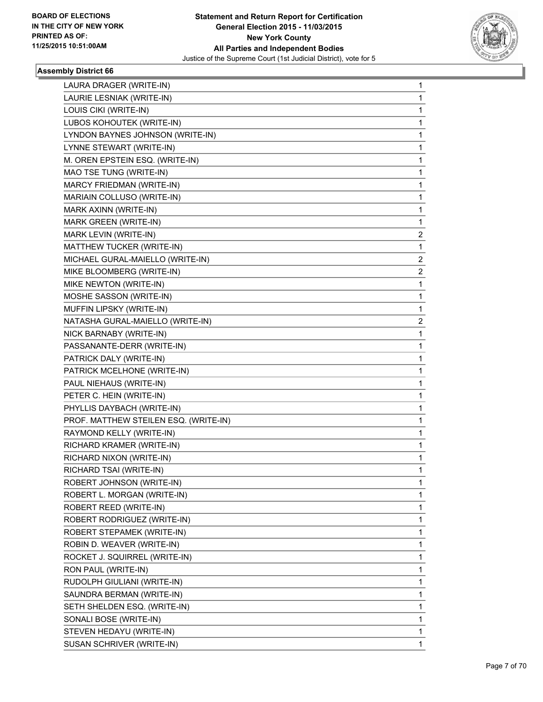

| LAURA DRAGER (WRITE-IN)               | 1            |
|---------------------------------------|--------------|
| LAURIE LESNIAK (WRITE-IN)             | 1            |
| LOUIS CIKI (WRITE-IN)                 | 1            |
| LUBOS KOHOUTEK (WRITE-IN)             | $\mathbf{1}$ |
| LYNDON BAYNES JOHNSON (WRITE-IN)      | 1            |
| LYNNE STEWART (WRITE-IN)              | 1            |
| M. OREN EPSTEIN ESQ. (WRITE-IN)       | 1            |
| MAO TSE TUNG (WRITE-IN)               | 1            |
| MARCY FRIEDMAN (WRITE-IN)             | 1            |
| MARIAIN COLLUSO (WRITE-IN)            | $\mathbf{1}$ |
| MARK AXINN (WRITE-IN)                 | 1            |
| MARK GREEN (WRITE-IN)                 | 1            |
| MARK LEVIN (WRITE-IN)                 | 2            |
| MATTHEW TUCKER (WRITE-IN)             | 1            |
| MICHAEL GURAL-MAIELLO (WRITE-IN)      | 2            |
| MIKE BLOOMBERG (WRITE-IN)             | 2            |
| MIKE NEWTON (WRITE-IN)                | 1            |
| MOSHE SASSON (WRITE-IN)               | 1            |
| MUFFIN LIPSKY (WRITE-IN)              | 1            |
| NATASHA GURAL-MAIELLO (WRITE-IN)      | 2            |
| NICK BARNABY (WRITE-IN)               | 1            |
| PASSANANTE-DERR (WRITE-IN)            | 1            |
| PATRICK DALY (WRITE-IN)               | 1            |
| PATRICK MCELHONE (WRITE-IN)           | 1            |
| PAUL NIEHAUS (WRITE-IN)               | 1            |
| PETER C. HEIN (WRITE-IN)              | 1            |
| PHYLLIS DAYBACH (WRITE-IN)            | 1            |
| PROF. MATTHEW STEILEN ESQ. (WRITE-IN) | 1            |
| RAYMOND KELLY (WRITE-IN)              | 1            |
| RICHARD KRAMER (WRITE-IN)             | 1            |
| RICHARD NIXON (WRITE-IN)              | 1            |
| RICHARD TSAI (WRITE-IN)               | 1            |
| ROBERT JOHNSON (WRITE-IN)             | 1            |
| ROBERT L. MORGAN (WRITE-IN)           | 1            |
| ROBERT REED (WRITE-IN)                | 1            |
| ROBERT RODRIGUEZ (WRITE-IN)           | 1            |
| ROBERT STEPAMEK (WRITE-IN)            | 1            |
| ROBIN D. WEAVER (WRITE-IN)            | 1            |
| ROCKET J. SQUIRREL (WRITE-IN)         | 1            |
| RON PAUL (WRITE-IN)                   | 1            |
| RUDOLPH GIULIANI (WRITE-IN)           | 1            |
| SAUNDRA BERMAN (WRITE-IN)             | 1            |
| SETH SHELDEN ESQ. (WRITE-IN)          | 1            |
| SONALI BOSE (WRITE-IN)                | 1            |
| STEVEN HEDAYU (WRITE-IN)              | 1            |
| SUSAN SCHRIVER (WRITE-IN)             | 1            |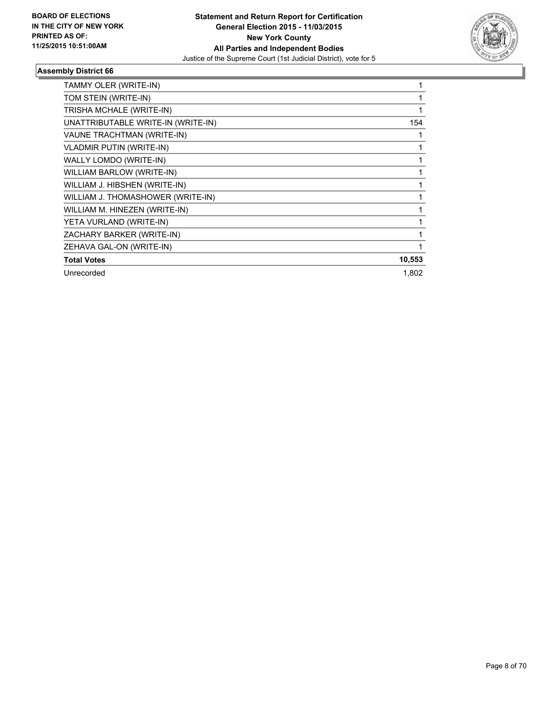

| TAMMY OLER (WRITE-IN)              |        |
|------------------------------------|--------|
| TOM STEIN (WRITE-IN)               |        |
| TRISHA MCHALE (WRITE-IN)           |        |
| UNATTRIBUTABLE WRITE-IN (WRITE-IN) | 154    |
| VAUNE TRACHTMAN (WRITE-IN)         |        |
| <b>VLADMIR PUTIN (WRITE-IN)</b>    |        |
| WALLY LOMDO (WRITE-IN)             |        |
| WILLIAM BARLOW (WRITE-IN)          |        |
| WILLIAM J. HIBSHEN (WRITE-IN)      |        |
| WILLIAM J. THOMASHOWER (WRITE-IN)  |        |
| WILLIAM M. HINEZEN (WRITE-IN)      |        |
| YETA VURLAND (WRITE-IN)            |        |
| ZACHARY BARKER (WRITE-IN)          |        |
| ZEHAVA GAL-ON (WRITE-IN)           |        |
| <b>Total Votes</b>                 | 10,553 |
| Unrecorded                         | 1,802  |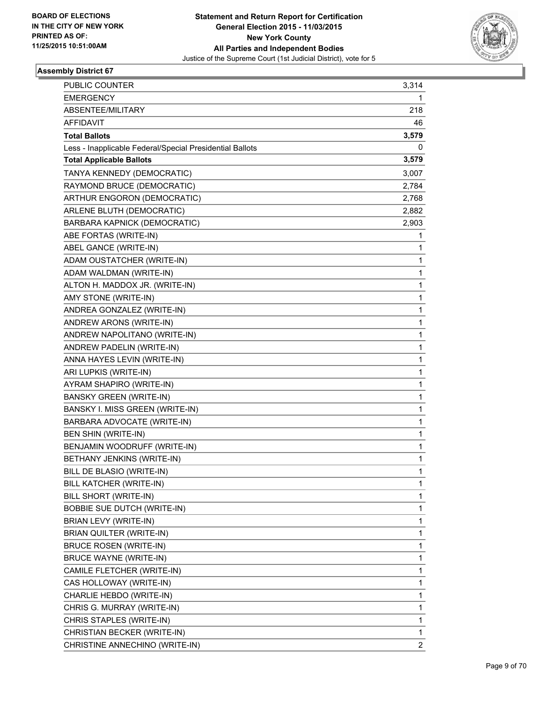

| PUBLIC COUNTER                                           | 3,314 |
|----------------------------------------------------------|-------|
| <b>EMERGENCY</b>                                         | 1     |
| ABSENTEE/MILITARY                                        | 218   |
| <b>AFFIDAVIT</b>                                         | 46    |
| <b>Total Ballots</b>                                     | 3,579 |
| Less - Inapplicable Federal/Special Presidential Ballots | 0     |
| <b>Total Applicable Ballots</b>                          | 3,579 |
| TANYA KENNEDY (DEMOCRATIC)                               | 3,007 |
| RAYMOND BRUCE (DEMOCRATIC)                               | 2,784 |
| ARTHUR ENGORON (DEMOCRATIC)                              | 2,768 |
| ARLENE BLUTH (DEMOCRATIC)                                | 2,882 |
| BARBARA KAPNICK (DEMOCRATIC)                             | 2,903 |
| ABE FORTAS (WRITE-IN)                                    | 1     |
| ABEL GANCE (WRITE-IN)                                    | 1     |
| ADAM OUSTATCHER (WRITE-IN)                               | 1     |
| ADAM WALDMAN (WRITE-IN)                                  | 1     |
| ALTON H. MADDOX JR. (WRITE-IN)                           | 1     |
| AMY STONE (WRITE-IN)                                     | 1     |
| ANDREA GONZALEZ (WRITE-IN)                               | 1     |
| ANDREW ARONS (WRITE-IN)                                  | 1     |
| ANDREW NAPOLITANO (WRITE-IN)                             | 1     |
| ANDREW PADELIN (WRITE-IN)                                | 1     |
| ANNA HAYES LEVIN (WRITE-IN)                              | 1     |
| ARI LUPKIS (WRITE-IN)                                    | 1     |
| AYRAM SHAPIRO (WRITE-IN)                                 | 1     |
| <b>BANSKY GREEN (WRITE-IN)</b>                           | 1     |
| BANSKY I. MISS GREEN (WRITE-IN)                          | 1     |
| BARBARA ADVOCATE (WRITE-IN)                              | 1     |
| <b>BEN SHIN (WRITE-IN)</b>                               | 1     |
| BENJAMIN WOODRUFF (WRITE-IN)                             | 1     |
| BETHANY JENKINS (WRITE-IN)                               | 1     |
| BILL DE BLASIO (WRITE-IN)                                | 1     |
| BILL KATCHER (WRITE-IN)                                  | 1     |
| BILL SHORT (WRITE-IN)                                    | 1     |
| <b>BOBBIE SUE DUTCH (WRITE-IN)</b>                       | 1     |
| BRIAN LEVY (WRITE-IN)                                    | 1     |
| BRIAN QUILTER (WRITE-IN)                                 | 1     |
| <b>BRUCE ROSEN (WRITE-IN)</b>                            | 1     |
| <b>BRUCE WAYNE (WRITE-IN)</b>                            | 1     |
| CAMILE FLETCHER (WRITE-IN)                               | 1     |
| CAS HOLLOWAY (WRITE-IN)                                  | 1     |
| CHARLIE HEBDO (WRITE-IN)                                 | 1     |
| CHRIS G. MURRAY (WRITE-IN)                               | 1     |
| CHRIS STAPLES (WRITE-IN)                                 | 1     |
| CHRISTIAN BECKER (WRITE-IN)                              | 1     |
| CHRISTINE ANNECHINO (WRITE-IN)                           | 2     |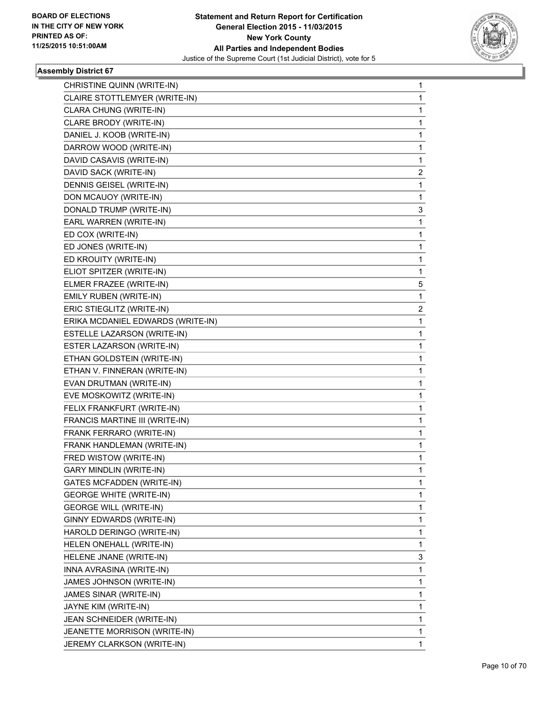

| CHRISTINE QUINN (WRITE-IN)        | 1 |
|-----------------------------------|---|
| CLAIRE STOTTLEMYER (WRITE-IN)     | 1 |
| CLARA CHUNG (WRITE-IN)            | 1 |
| CLARE BRODY (WRITE-IN)            | 1 |
| DANIEL J. KOOB (WRITE-IN)         | 1 |
| DARROW WOOD (WRITE-IN)            | 1 |
| DAVID CASAVIS (WRITE-IN)          | 1 |
| DAVID SACK (WRITE-IN)             | 2 |
| DENNIS GEISEL (WRITE-IN)          | 1 |
| DON MCAUOY (WRITE-IN)             | 1 |
| DONALD TRUMP (WRITE-IN)           | 3 |
| EARL WARREN (WRITE-IN)            | 1 |
| ED COX (WRITE-IN)                 | 1 |
| ED JONES (WRITE-IN)               | 1 |
| ED KROUITY (WRITE-IN)             | 1 |
| ELIOT SPITZER (WRITE-IN)          | 1 |
| ELMER FRAZEE (WRITE-IN)           | 5 |
| EMILY RUBEN (WRITE-IN)            | 1 |
| ERIC STIEGLITZ (WRITE-IN)         | 2 |
| ERIKA MCDANIEL EDWARDS (WRITE-IN) | 1 |
| ESTELLE LAZARSON (WRITE-IN)       | 1 |
| ESTER LAZARSON (WRITE-IN)         | 1 |
| ETHAN GOLDSTEIN (WRITE-IN)        | 1 |
| ETHAN V. FINNERAN (WRITE-IN)      | 1 |
| EVAN DRUTMAN (WRITE-IN)           | 1 |
| EVE MOSKOWITZ (WRITE-IN)          | 1 |
| FELIX FRANKFURT (WRITE-IN)        | 1 |
| FRANCIS MARTINE III (WRITE-IN)    | 1 |
| FRANK FERRARO (WRITE-IN)          | 1 |
| FRANK HANDLEMAN (WRITE-IN)        | 1 |
| FRED WISTOW (WRITE-IN)            | 1 |
| GARY MINDLIN (WRITE-IN)           | 1 |
| <b>GATES MCFADDEN (WRITE-IN)</b>  | 1 |
| <b>GEORGE WHITE (WRITE-IN)</b>    | 1 |
| <b>GEORGE WILL (WRITE-IN)</b>     | 1 |
| GINNY EDWARDS (WRITE-IN)          | 1 |
| HAROLD DERINGO (WRITE-IN)         | 1 |
| HELEN ONEHALL (WRITE-IN)          | 1 |
| HELENE JNANE (WRITE-IN)           | 3 |
| INNA AVRASINA (WRITE-IN)          | 1 |
| JAMES JOHNSON (WRITE-IN)          | 1 |
| JAMES SINAR (WRITE-IN)            | 1 |
| JAYNE KIM (WRITE-IN)              | 1 |
| JEAN SCHNEIDER (WRITE-IN)         | 1 |
|                                   |   |
| JEANETTE MORRISON (WRITE-IN)      | 1 |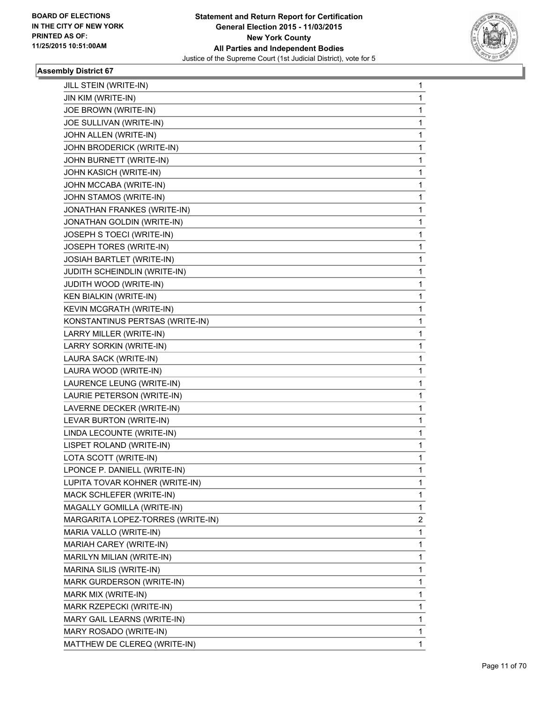

| JILL STEIN (WRITE-IN)             | 1            |
|-----------------------------------|--------------|
| JIN KIM (WRITE-IN)                | 1            |
| JOE BROWN (WRITE-IN)              | 1            |
| JOE SULLIVAN (WRITE-IN)           | 1            |
| JOHN ALLEN (WRITE-IN)             | 1            |
| JOHN BRODERICK (WRITE-IN)         | 1            |
| JOHN BURNETT (WRITE-IN)           | 1            |
| JOHN KASICH (WRITE-IN)            | 1            |
| JOHN MCCABA (WRITE-IN)            | 1            |
| JOHN STAMOS (WRITE-IN)            | 1            |
| JONATHAN FRANKES (WRITE-IN)       | 1            |
| JONATHAN GOLDIN (WRITE-IN)        | 1            |
| JOSEPH S TOECI (WRITE-IN)         | 1            |
| JOSEPH TORES (WRITE-IN)           | 1            |
| JOSIAH BARTLET (WRITE-IN)         | 1            |
| JUDITH SCHEINDLIN (WRITE-IN)      | 1            |
| JUDITH WOOD (WRITE-IN)            | 1            |
| <b>KEN BIALKIN (WRITE-IN)</b>     | 1            |
| KEVIN MCGRATH (WRITE-IN)          | 1            |
| KONSTANTINUS PERTSAS (WRITE-IN)   | 1            |
| LARRY MILLER (WRITE-IN)           | 1            |
| LARRY SORKIN (WRITE-IN)           | 1            |
| LAURA SACK (WRITE-IN)             | 1            |
| LAURA WOOD (WRITE-IN)             | 1            |
| LAURENCE LEUNG (WRITE-IN)         | 1            |
| LAURIE PETERSON (WRITE-IN)        | 1            |
| LAVERNE DECKER (WRITE-IN)         | 1            |
| LEVAR BURTON (WRITE-IN)           | 1            |
| LINDA LECOUNTE (WRITE-IN)         | 1            |
| LISPET ROLAND (WRITE-IN)          | 1            |
| LOTA SCOTT (WRITE-IN)             | 1            |
| LPONCE P. DANIELL (WRITE-IN)      | 1            |
| LUPITA TOVAR KOHNER (WRITE-IN)    | 1            |
| MACK SCHLEFER (WRITE-IN)          | 1            |
| MAGALLY GOMILLA (WRITE-IN)        | 1            |
| MARGARITA LOPEZ-TORRES (WRITE-IN) | 2            |
| MARIA VALLO (WRITE-IN)            | 1            |
| MARIAH CAREY (WRITE-IN)           | 1            |
| MARILYN MILIAN (WRITE-IN)         | 1            |
| MARINA SILIS (WRITE-IN)           | 1            |
| MARK GURDERSON (WRITE-IN)         | 1            |
| MARK MIX (WRITE-IN)               | 1            |
| MARK RZEPECKI (WRITE-IN)          | 1            |
| MARY GAIL LEARNS (WRITE-IN)       | 1            |
| MARY ROSADO (WRITE-IN)            | 1            |
| MATTHEW DE CLEREQ (WRITE-IN)      | $\mathbf{1}$ |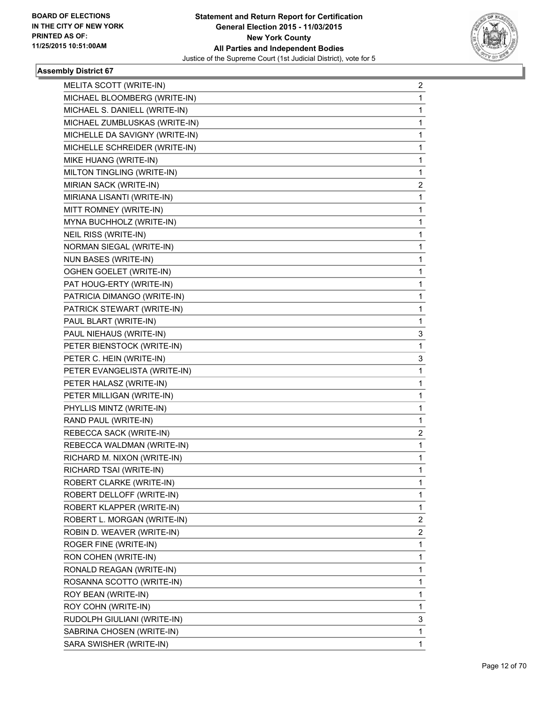

| MELITA SCOTT (WRITE-IN)        | 2              |
|--------------------------------|----------------|
| MICHAEL BLOOMBERG (WRITE-IN)   | 1              |
| MICHAEL S. DANIELL (WRITE-IN)  | 1              |
| MICHAEL ZUMBLUSKAS (WRITE-IN)  | 1              |
| MICHELLE DA SAVIGNY (WRITE-IN) | 1              |
| MICHELLE SCHREIDER (WRITE-IN)  | 1              |
| MIKE HUANG (WRITE-IN)          | 1              |
| MILTON TINGLING (WRITE-IN)     | 1              |
| MIRIAN SACK (WRITE-IN)         | $\overline{2}$ |
| MIRIANA LISANTI (WRITE-IN)     | 1              |
| MITT ROMNEY (WRITE-IN)         | 1              |
| MYNA BUCHHOLZ (WRITE-IN)       | 1              |
| NEIL RISS (WRITE-IN)           | 1              |
| NORMAN SIEGAL (WRITE-IN)       | 1              |
| NUN BASES (WRITE-IN)           | 1              |
| <b>OGHEN GOELET (WRITE-IN)</b> | 1              |
| PAT HOUG-ERTY (WRITE-IN)       | 1              |
| PATRICIA DIMANGO (WRITE-IN)    | 1              |
| PATRICK STEWART (WRITE-IN)     | 1              |
| PAUL BLART (WRITE-IN)          | 1              |
| PAUL NIEHAUS (WRITE-IN)        | 3              |
| PETER BIENSTOCK (WRITE-IN)     | 1              |
| PETER C. HEIN (WRITE-IN)       | 3              |
| PETER EVANGELISTA (WRITE-IN)   | 1              |
| PETER HALASZ (WRITE-IN)        | 1              |
| PETER MILLIGAN (WRITE-IN)      | 1              |
| PHYLLIS MINTZ (WRITE-IN)       | 1              |
| RAND PAUL (WRITE-IN)           | 1              |
| REBECCA SACK (WRITE-IN)        | 2              |
| REBECCA WALDMAN (WRITE-IN)     | 1              |
| RICHARD M. NIXON (WRITE-IN)    | 1              |
| RICHARD TSAI (WRITE-IN)        | 1              |
| ROBERT CLARKE (WRITE-IN)       | 1              |
| ROBERT DELLOFF (WRITE-IN)      | 1              |
| ROBERT KLAPPER (WRITE-IN)      | 1              |
| ROBERT L. MORGAN (WRITE-IN)    | 2              |
| ROBIN D. WEAVER (WRITE-IN)     | $\mathbf{2}$   |
| ROGER FINE (WRITE-IN)          | 1              |
| RON COHEN (WRITE-IN)           | 1              |
| RONALD REAGAN (WRITE-IN)       | 1              |
| ROSANNA SCOTTO (WRITE-IN)      | 1              |
| ROY BEAN (WRITE-IN)            | 1              |
| ROY COHN (WRITE-IN)            | 1              |
| RUDOLPH GIULIANI (WRITE-IN)    | 3              |
| SABRINA CHOSEN (WRITE-IN)      | 1              |
| SARA SWISHER (WRITE-IN)        | 1              |
|                                |                |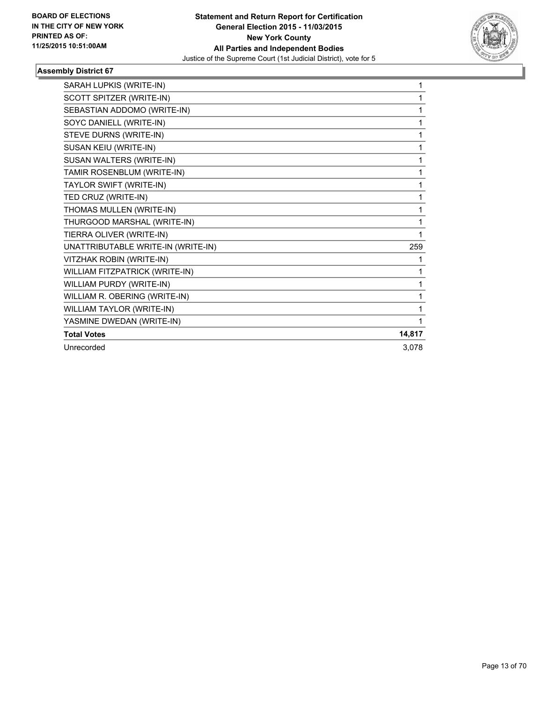

| SARAH LUPKIS (WRITE-IN)            | 1      |
|------------------------------------|--------|
| SCOTT SPITZER (WRITE-IN)           | 1      |
| SEBASTIAN ADDOMO (WRITE-IN)        | 1      |
| SOYC DANIELL (WRITE-IN)            | 1      |
| STEVE DURNS (WRITE-IN)             | 1      |
| SUSAN KEIU (WRITE-IN)              | 1      |
| SUSAN WALTERS (WRITE-IN)           | 1      |
| TAMIR ROSENBLUM (WRITE-IN)         | 1      |
| TAYLOR SWIFT (WRITE-IN)            | 1      |
| TED CRUZ (WRITE-IN)                | 1      |
| THOMAS MULLEN (WRITE-IN)           | 1      |
| THURGOOD MARSHAL (WRITE-IN)        | 1      |
| TIERRA OLIVER (WRITE-IN)           | 1      |
| UNATTRIBUTABLE WRITE-IN (WRITE-IN) | 259    |
| VITZHAK ROBIN (WRITE-IN)           | 1      |
| WILLIAM FITZPATRICK (WRITE-IN)     | 1      |
| WILLIAM PURDY (WRITE-IN)           | 1      |
| WILLIAM R. OBERING (WRITE-IN)      | 1      |
| WILLIAM TAYLOR (WRITE-IN)          | 1      |
| YASMINE DWEDAN (WRITE-IN)          | 1      |
| <b>Total Votes</b>                 | 14,817 |
| Unrecorded                         | 3,078  |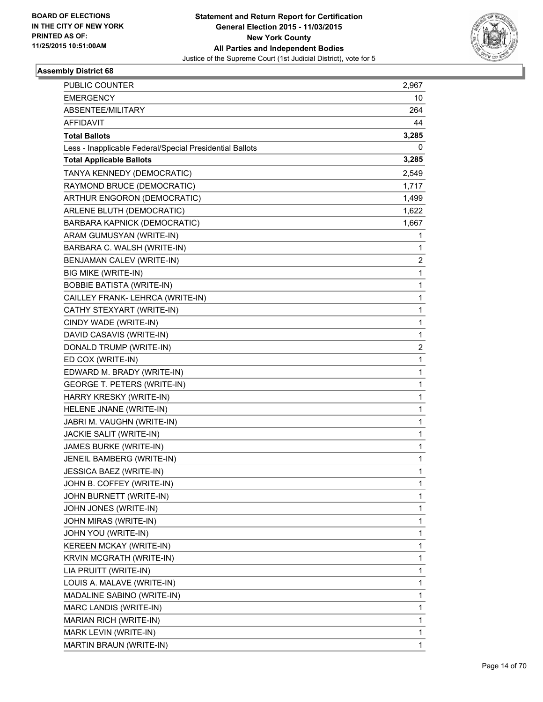

| PUBLIC COUNTER                                           | 2,967                   |
|----------------------------------------------------------|-------------------------|
| <b>EMERGENCY</b>                                         | 10                      |
| ABSENTEE/MILITARY                                        | 264                     |
| AFFIDAVIT                                                | 44                      |
| <b>Total Ballots</b>                                     | 3,285                   |
| Less - Inapplicable Federal/Special Presidential Ballots | 0                       |
| <b>Total Applicable Ballots</b>                          | 3,285                   |
| TANYA KENNEDY (DEMOCRATIC)                               | 2,549                   |
| RAYMOND BRUCE (DEMOCRATIC)                               | 1,717                   |
| ARTHUR ENGORON (DEMOCRATIC)                              | 1,499                   |
| ARLENE BLUTH (DEMOCRATIC)                                | 1,622                   |
| BARBARA KAPNICK (DEMOCRATIC)                             | 1,667                   |
| ARAM GUMUSYAN (WRITE-IN)                                 | 1                       |
| BARBARA C. WALSH (WRITE-IN)                              | 1                       |
| BENJAMAN CALEV (WRITE-IN)                                | 2                       |
| BIG MIKE (WRITE-IN)                                      | 1                       |
| <b>BOBBIE BATISTA (WRITE-IN)</b>                         | 1                       |
| CAILLEY FRANK- LEHRCA (WRITE-IN)                         | 1                       |
| CATHY STEXYART (WRITE-IN)                                | 1                       |
| CINDY WADE (WRITE-IN)                                    | 1                       |
| DAVID CASAVIS (WRITE-IN)                                 | 1                       |
| DONALD TRUMP (WRITE-IN)                                  | $\overline{\mathbf{c}}$ |
| ED COX (WRITE-IN)                                        | 1                       |
| EDWARD M. BRADY (WRITE-IN)                               | 1                       |
| GEORGE T. PETERS (WRITE-IN)                              | 1                       |
| HARRY KRESKY (WRITE-IN)                                  | 1                       |
| HELENE JNANE (WRITE-IN)                                  | 1                       |
| JABRI M. VAUGHN (WRITE-IN)                               | 1                       |
| JACKIE SALIT (WRITE-IN)                                  | 1                       |
| JAMES BURKE (WRITE-IN)                                   | 1                       |
| JENEIL BAMBERG (WRITE-IN)                                | 1                       |
| JESSICA BAEZ (WRITE-IN)                                  | 1                       |
| JOHN B. COFFEY (WRITE-IN)                                | 1                       |
| JOHN BURNETT (WRITE-IN)                                  | 1                       |
| JOHN JONES (WRITE-IN)                                    | 1                       |
| JOHN MIRAS (WRITE-IN)                                    | 1                       |
| JOHN YOU (WRITE-IN)                                      | 1                       |
| KEREEN MCKAY (WRITE-IN)                                  | 1                       |
| KRVIN MCGRATH (WRITE-IN)                                 | 1                       |
| LIA PRUITT (WRITE-IN)                                    | 1                       |
| LOUIS A. MALAVE (WRITE-IN)                               | 1                       |
| MADALINE SABINO (WRITE-IN)                               | 1                       |
| MARC LANDIS (WRITE-IN)                                   | 1                       |
| MARIAN RICH (WRITE-IN)                                   | 1                       |
| MARK LEVIN (WRITE-IN)                                    | 1                       |
| MARTIN BRAUN (WRITE-IN)                                  | $\mathbf{1}$            |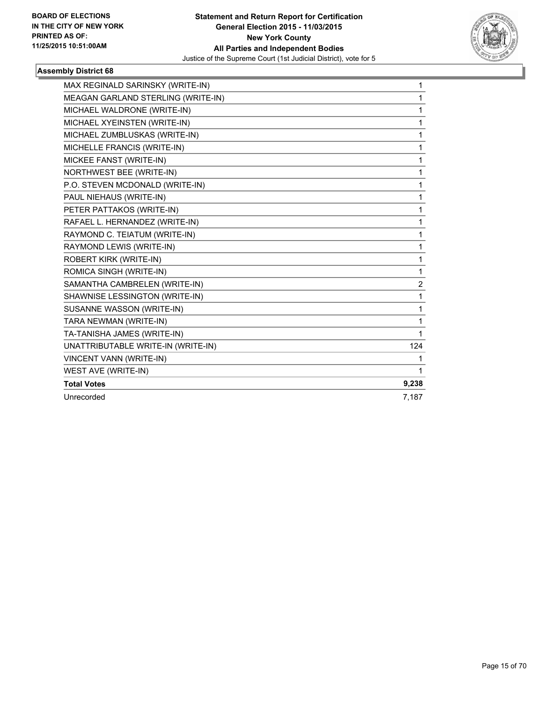

| MAX REGINALD SARINSKY (WRITE-IN)   | 1     |
|------------------------------------|-------|
| MEAGAN GARLAND STERLING (WRITE-IN) | 1     |
| MICHAEL WALDRONE (WRITE-IN)        | 1     |
| MICHAEL XYEINSTEN (WRITE-IN)       | 1     |
| MICHAEL ZUMBLUSKAS (WRITE-IN)      | 1     |
| MICHELLE FRANCIS (WRITE-IN)        | 1     |
| MICKEE FANST (WRITE-IN)            | 1     |
| NORTHWEST BEE (WRITE-IN)           | 1     |
| P.O. STEVEN MCDONALD (WRITE-IN)    | 1     |
| PAUL NIEHAUS (WRITE-IN)            | 1     |
| PETER PATTAKOS (WRITE-IN)          | 1     |
| RAFAEL L. HERNANDEZ (WRITE-IN)     | 1     |
| RAYMOND C. TEIATUM (WRITE-IN)      | 1     |
| RAYMOND LEWIS (WRITE-IN)           | 1     |
| ROBERT KIRK (WRITE-IN)             | 1     |
| ROMICA SINGH (WRITE-IN)            | 1     |
| SAMANTHA CAMBRELEN (WRITE-IN)      | 2     |
| SHAWNISE LESSINGTON (WRITE-IN)     | 1     |
| SUSANNE WASSON (WRITE-IN)          | 1     |
| TARA NEWMAN (WRITE-IN)             | 1     |
| TA-TANISHA JAMES (WRITE-IN)        | 1     |
| UNATTRIBUTABLE WRITE-IN (WRITE-IN) | 124   |
| VINCENT VANN (WRITE-IN)            | 1     |
| WEST AVE (WRITE-IN)                | 1     |
| <b>Total Votes</b>                 | 9,238 |
| Unrecorded                         | 7,187 |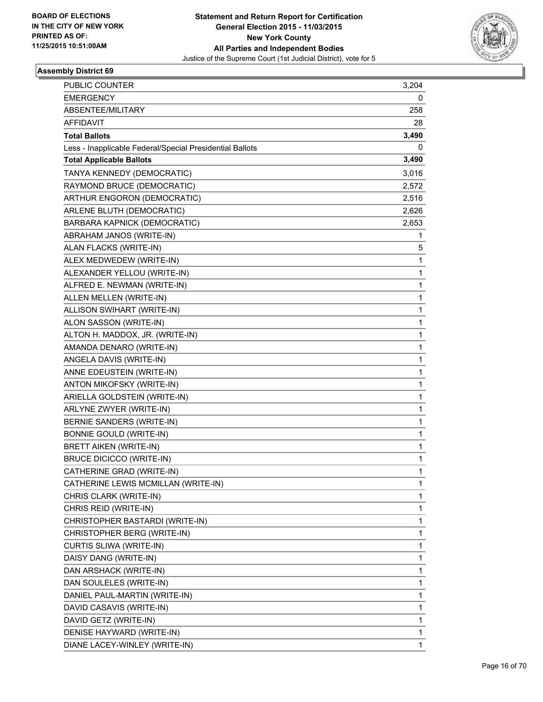

| PUBLIC COUNTER                                           | 3,204 |
|----------------------------------------------------------|-------|
| <b>EMERGENCY</b>                                         | 0     |
| ABSENTEE/MILITARY                                        | 258   |
| <b>AFFIDAVIT</b>                                         | 28    |
| <b>Total Ballots</b>                                     | 3,490 |
| Less - Inapplicable Federal/Special Presidential Ballots | 0     |
| <b>Total Applicable Ballots</b>                          | 3,490 |
| TANYA KENNEDY (DEMOCRATIC)                               | 3,016 |
| RAYMOND BRUCE (DEMOCRATIC)                               | 2,572 |
| ARTHUR ENGORON (DEMOCRATIC)                              | 2,516 |
| ARLENE BLUTH (DEMOCRATIC)                                | 2,626 |
| BARBARA KAPNICK (DEMOCRATIC)                             | 2,653 |
| ABRAHAM JANOS (WRITE-IN)                                 | 1     |
| ALAN FLACKS (WRITE-IN)                                   | 5.    |
| ALEX MEDWEDEW (WRITE-IN)                                 | 1     |
| ALEXANDER YELLOU (WRITE-IN)                              | 1     |
| ALFRED E. NEWMAN (WRITE-IN)                              | 1     |
| ALLEN MELLEN (WRITE-IN)                                  | 1     |
| ALLISON SWIHART (WRITE-IN)                               | 1     |
| ALON SASSON (WRITE-IN)                                   | 1     |
| ALTON H. MADDOX, JR. (WRITE-IN)                          | 1     |
| AMANDA DENARO (WRITE-IN)                                 | 1     |
| ANGELA DAVIS (WRITE-IN)                                  | 1     |
| ANNE EDEUSTEIN (WRITE-IN)                                | 1     |
| ANTON MIKOFSKY (WRITE-IN)                                | 1     |
| ARIELLA GOLDSTEIN (WRITE-IN)                             | 1     |
| ARLYNE ZWYER (WRITE-IN)                                  | 1     |
| BERNIE SANDERS (WRITE-IN)                                | 1     |
| <b>BONNIE GOULD (WRITE-IN)</b>                           | 1     |
| <b>BRETT AIKEN (WRITE-IN)</b>                            | 1     |
| <b>BRUCE DICICCO (WRITE-IN)</b>                          | 1     |
| CATHERINE GRAD (WRITE-IN)                                | 1     |
| CATHERINE LEWIS MCMILLAN (WRITE-IN)                      | 1     |
| CHRIS CLARK (WRITE-IN)                                   | 1     |
| CHRIS REID (WRITE-IN)                                    | 1     |
| CHRISTOPHER BASTARDI (WRITE-IN)                          | 1     |
| CHRISTOPHER BERG (WRITE-IN)                              | 1     |
| CURTIS SLIWA (WRITE-IN)                                  | 1     |
| DAISY DANG (WRITE-IN)                                    | 1     |
| DAN ARSHACK (WRITE-IN)                                   | 1     |
| DAN SOULELES (WRITE-IN)                                  | 1     |
| DANIEL PAUL-MARTIN (WRITE-IN)                            | 1     |
| DAVID CASAVIS (WRITE-IN)                                 | 1     |
| DAVID GETZ (WRITE-IN)                                    | 1     |
| DENISE HAYWARD (WRITE-IN)                                | 1     |
| DIANE LACEY-WINLEY (WRITE-IN)                            | 1     |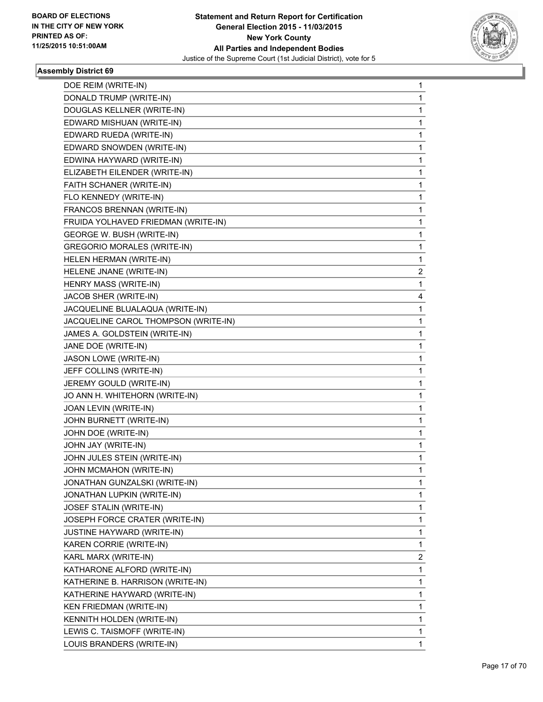

| DOE REIM (WRITE-IN)                  | $\mathbf{1}$ |
|--------------------------------------|--------------|
| DONALD TRUMP (WRITE-IN)              | 1            |
| DOUGLAS KELLNER (WRITE-IN)           | 1            |
| EDWARD MISHUAN (WRITE-IN)            | 1            |
| EDWARD RUEDA (WRITE-IN)              | 1            |
| EDWARD SNOWDEN (WRITE-IN)            | 1            |
| EDWINA HAYWARD (WRITE-IN)            | 1            |
| ELIZABETH EILENDER (WRITE-IN)        | 1            |
| FAITH SCHANER (WRITE-IN)             | 1            |
| FLO KENNEDY (WRITE-IN)               | 1            |
| FRANCOS BRENNAN (WRITE-IN)           | 1            |
| FRUIDA YOLHAVED FRIEDMAN (WRITE-IN)  | 1            |
| GEORGE W. BUSH (WRITE-IN)            | 1            |
| <b>GREGORIO MORALES (WRITE-IN)</b>   | 1            |
| HELEN HERMAN (WRITE-IN)              | 1            |
| HELENE JNANE (WRITE-IN)              | 2            |
| HENRY MASS (WRITE-IN)                | 1            |
| JACOB SHER (WRITE-IN)                | 4            |
| JACQUELINE BLUALAQUA (WRITE-IN)      | 1            |
| JACQUELINE CAROL THOMPSON (WRITE-IN) | 1            |
| JAMES A. GOLDSTEIN (WRITE-IN)        | 1            |
| JANE DOE (WRITE-IN)                  | 1            |
| JASON LOWE (WRITE-IN)                | 1            |
| JEFF COLLINS (WRITE-IN)              | 1            |
| JEREMY GOULD (WRITE-IN)              | 1            |
| JO ANN H. WHITEHORN (WRITE-IN)       | 1            |
| JOAN LEVIN (WRITE-IN)                | 1            |
| JOHN BURNETT (WRITE-IN)              | 1            |
| JOHN DOE (WRITE-IN)                  | 1            |
| JOHN JAY (WRITE-IN)                  | 1            |
| JOHN JULES STEIN (WRITE-IN)          | 1            |
| JOHN MCMAHON (WRITE-IN)              | $\mathbf{1}$ |
| JONATHAN GUNZALSKI (WRITE-IN)        | 1            |
| JONATHAN LUPKIN (WRITE-IN)           | 1            |
| JOSEF STALIN (WRITE-IN)              | 1            |
| JOSEPH FORCE CRATER (WRITE-IN)       | 1            |
| JUSTINE HAYWARD (WRITE-IN)           | 1            |
| KAREN CORRIE (WRITE-IN)              | $\mathbf{1}$ |
| KARL MARX (WRITE-IN)                 | 2            |
| KATHARONE ALFORD (WRITE-IN)          | 1            |
| KATHERINE B. HARRISON (WRITE-IN)     | 1            |
| KATHERINE HAYWARD (WRITE-IN)         | 1            |
| KEN FRIEDMAN (WRITE-IN)              | 1            |
| KENNITH HOLDEN (WRITE-IN)            | $\mathbf{1}$ |
| LEWIS C. TAISMOFF (WRITE-IN)         | 1            |
| LOUIS BRANDERS (WRITE-IN)            | 1            |
|                                      |              |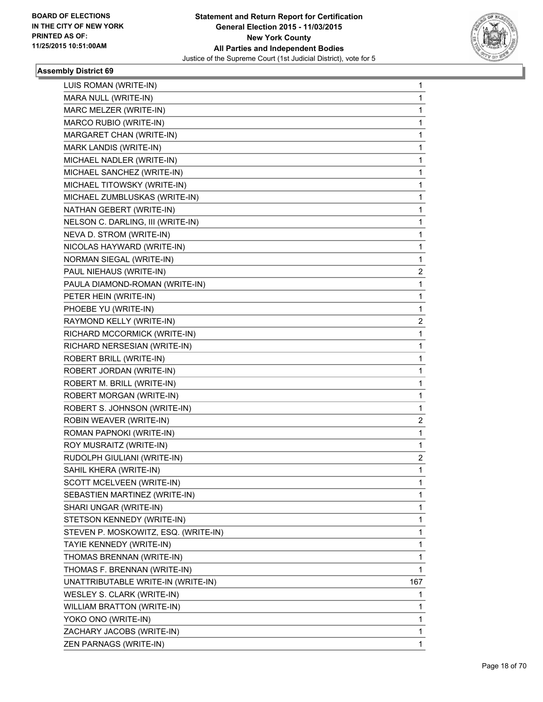

| LUIS ROMAN (WRITE-IN)                | 1   |
|--------------------------------------|-----|
| MARA NULL (WRITE-IN)                 | 1   |
| MARC MELZER (WRITE-IN)               | 1   |
| MARCO RUBIO (WRITE-IN)               | 1   |
| MARGARET CHAN (WRITE-IN)             | 1   |
| MARK LANDIS (WRITE-IN)               | 1   |
| MICHAEL NADLER (WRITE-IN)            | 1   |
| MICHAEL SANCHEZ (WRITE-IN)           | 1   |
| MICHAEL TITOWSKY (WRITE-IN)          | 1   |
| MICHAEL ZUMBLUSKAS (WRITE-IN)        | 1   |
| NATHAN GEBERT (WRITE-IN)             | 1   |
| NELSON C. DARLING, III (WRITE-IN)    | 1   |
| NEVA D. STROM (WRITE-IN)             | 1   |
| NICOLAS HAYWARD (WRITE-IN)           | 1   |
| NORMAN SIEGAL (WRITE-IN)             | 1   |
| PAUL NIEHAUS (WRITE-IN)              | 2   |
| PAULA DIAMOND-ROMAN (WRITE-IN)       | 1   |
| PETER HEIN (WRITE-IN)                | 1   |
| PHOEBE YU (WRITE-IN)                 | 1   |
| RAYMOND KELLY (WRITE-IN)             | 2   |
| RICHARD MCCORMICK (WRITE-IN)         | 1   |
| RICHARD NERSESIAN (WRITE-IN)         | 1   |
| ROBERT BRILL (WRITE-IN)              | 1   |
| ROBERT JORDAN (WRITE-IN)             | 1   |
| ROBERT M. BRILL (WRITE-IN)           | 1   |
| ROBERT MORGAN (WRITE-IN)             | 1   |
| ROBERT S. JOHNSON (WRITE-IN)         | 1   |
| ROBIN WEAVER (WRITE-IN)              | 2   |
| ROMAN PAPNOKI (WRITE-IN)             | 1   |
| ROY MUSRAITZ (WRITE-IN)              | 1   |
| RUDOLPH GIULIANI (WRITE-IN)          | 2   |
| SAHIL KHERA (WRITE-IN)               | 1   |
| SCOTT MCELVEEN (WRITE-IN)            | 1   |
| SEBASTIEN MARTINEZ (WRITE-IN)        | 1   |
| SHARI UNGAR (WRITE-IN)               | 1   |
| STETSON KENNEDY (WRITE-IN)           | 1   |
| STEVEN P. MOSKOWITZ, ESQ. (WRITE-IN) | 1   |
| TAYIE KENNEDY (WRITE-IN)             | 1   |
| THOMAS BRENNAN (WRITE-IN)            | 1   |
| THOMAS F. BRENNAN (WRITE-IN)         | 1   |
| UNATTRIBUTABLE WRITE-IN (WRITE-IN)   | 167 |
| WESLEY S. CLARK (WRITE-IN)           | 1   |
| WILLIAM BRATTON (WRITE-IN)           | 1   |
| YOKO ONO (WRITE-IN)                  | 1   |
| ZACHARY JACOBS (WRITE-IN)            | 1   |
| ZEN PARNAGS (WRITE-IN)               | 1   |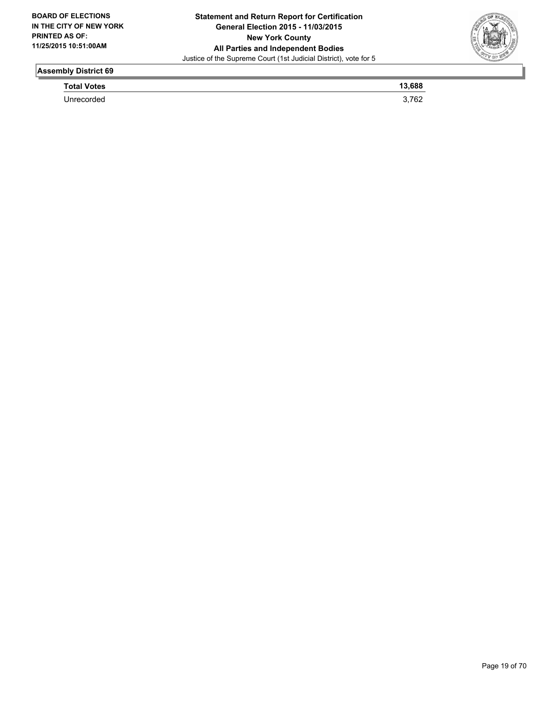

| <b>Total Votes</b> | 688 |
|--------------------|-----|
| Unrecorded         | ◡∠  |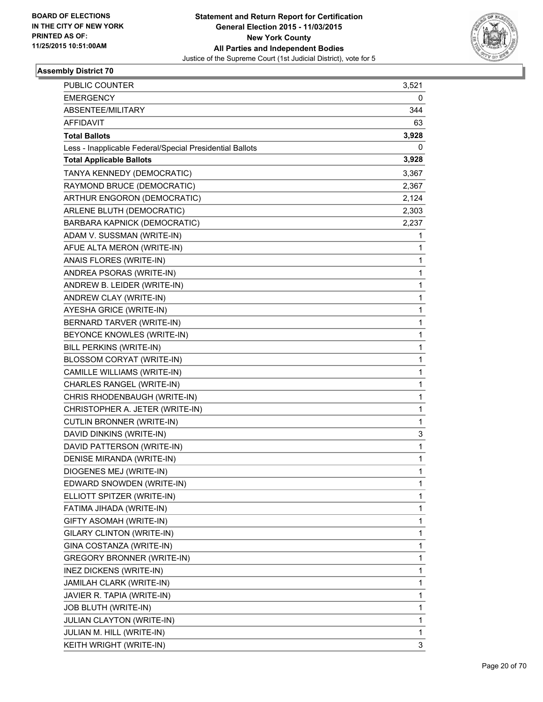

| <b>PUBLIC COUNTER</b>                                    | 3,521 |
|----------------------------------------------------------|-------|
| <b>EMERGENCY</b>                                         | 0     |
| ABSENTEE/MILITARY                                        | 344   |
| AFFIDAVIT                                                | 63    |
| <b>Total Ballots</b>                                     | 3,928 |
| Less - Inapplicable Federal/Special Presidential Ballots | 0     |
| <b>Total Applicable Ballots</b>                          | 3,928 |
| TANYA KENNEDY (DEMOCRATIC)                               | 3,367 |
| RAYMOND BRUCE (DEMOCRATIC)                               | 2,367 |
| ARTHUR ENGORON (DEMOCRATIC)                              | 2,124 |
| ARLENE BLUTH (DEMOCRATIC)                                | 2,303 |
| BARBARA KAPNICK (DEMOCRATIC)                             | 2,237 |
| ADAM V. SUSSMAN (WRITE-IN)                               | 1     |
| AFUE ALTA MERON (WRITE-IN)                               | 1     |
| ANAIS FLORES (WRITE-IN)                                  | 1     |
| ANDREA PSORAS (WRITE-IN)                                 | 1     |
| ANDREW B. LEIDER (WRITE-IN)                              | 1     |
| ANDREW CLAY (WRITE-IN)                                   | 1     |
| AYESHA GRICE (WRITE-IN)                                  | 1     |
| BERNARD TARVER (WRITE-IN)                                | 1     |
| BEYONCE KNOWLES (WRITE-IN)                               | 1     |
| BILL PERKINS (WRITE-IN)                                  | 1     |
| BLOSSOM CORYAT (WRITE-IN)                                | 1     |
| CAMILLE WILLIAMS (WRITE-IN)                              | 1     |
| CHARLES RANGEL (WRITE-IN)                                | 1     |
| CHRIS RHODENBAUGH (WRITE-IN)                             | 1     |
| CHRISTOPHER A. JETER (WRITE-IN)                          | 1     |
| CUTLIN BRONNER (WRITE-IN)                                | 1     |
| DAVID DINKINS (WRITE-IN)                                 | 3     |
| DAVID PATTERSON (WRITE-IN)                               | 1     |
| DENISE MIRANDA (WRITE-IN)                                | 1     |
| DIOGENES MEJ (WRITE-IN)                                  | 1     |
| EDWARD SNOWDEN (WRITE-IN)                                | 1     |
| ELLIOTT SPITZER (WRITE-IN)                               | 1     |
| FATIMA JIHADA (WRITE-IN)                                 | 1     |
| GIFTY ASOMAH (WRITE-IN)                                  | 1     |
| GILARY CLINTON (WRITE-IN)                                | 1     |
| GINA COSTANZA (WRITE-IN)                                 | 1     |
| <b>GREGORY BRONNER (WRITE-IN)</b>                        | 1     |
| INEZ DICKENS (WRITE-IN)                                  | 1     |
| JAMILAH CLARK (WRITE-IN)                                 | 1     |
| JAVIER R. TAPIA (WRITE-IN)                               | 1     |
| JOB BLUTH (WRITE-IN)                                     | 1     |
| JULIAN CLAYTON (WRITE-IN)                                | 1     |
| JULIAN M. HILL (WRITE-IN)                                | 1     |
| KEITH WRIGHT (WRITE-IN)                                  | 3     |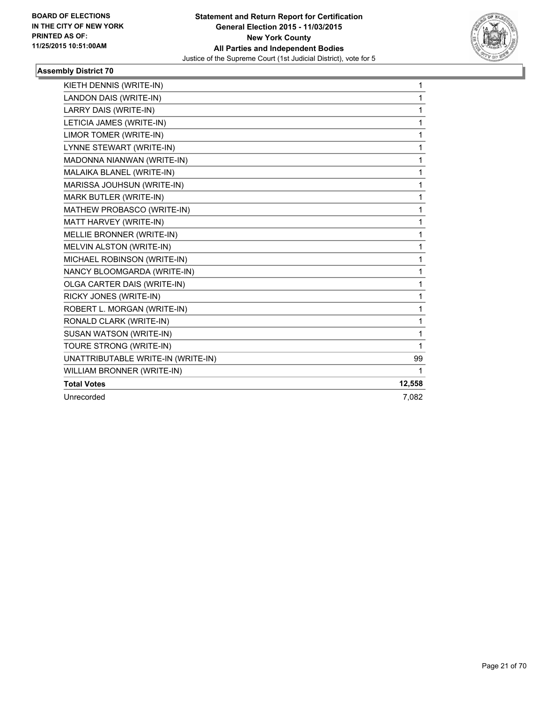

| KIETH DENNIS (WRITE-IN)            | 1      |
|------------------------------------|--------|
| LANDON DAIS (WRITE-IN)             | 1      |
| LARRY DAIS (WRITE-IN)              | 1      |
| LETICIA JAMES (WRITE-IN)           | 1      |
| LIMOR TOMER (WRITE-IN)             | 1      |
| LYNNE STEWART (WRITE-IN)           | 1      |
| MADONNA NIANWAN (WRITE-IN)         | 1      |
| MALAIKA BLANEL (WRITE-IN)          | 1      |
| MARISSA JOUHSUN (WRITE-IN)         | 1      |
| MARK BUTLER (WRITE-IN)             | 1      |
| MATHEW PROBASCO (WRITE-IN)         | 1      |
| MATT HARVEY (WRITE-IN)             | 1      |
| MELLIE BRONNER (WRITE-IN)          | 1      |
| MELVIN ALSTON (WRITE-IN)           | 1      |
| MICHAEL ROBINSON (WRITE-IN)        | 1      |
| NANCY BLOOMGARDA (WRITE-IN)        | 1      |
| OLGA CARTER DAIS (WRITE-IN)        | 1      |
| RICKY JONES (WRITE-IN)             | 1      |
| ROBERT L. MORGAN (WRITE-IN)        | 1      |
| RONALD CLARK (WRITE-IN)            | 1      |
| SUSAN WATSON (WRITE-IN)            | 1      |
| TOURE STRONG (WRITE-IN)            | 1      |
| UNATTRIBUTABLE WRITE-IN (WRITE-IN) | 99     |
| WILLIAM BRONNER (WRITE-IN)         | 1      |
| <b>Total Votes</b>                 | 12,558 |
| Unrecorded                         | 7,082  |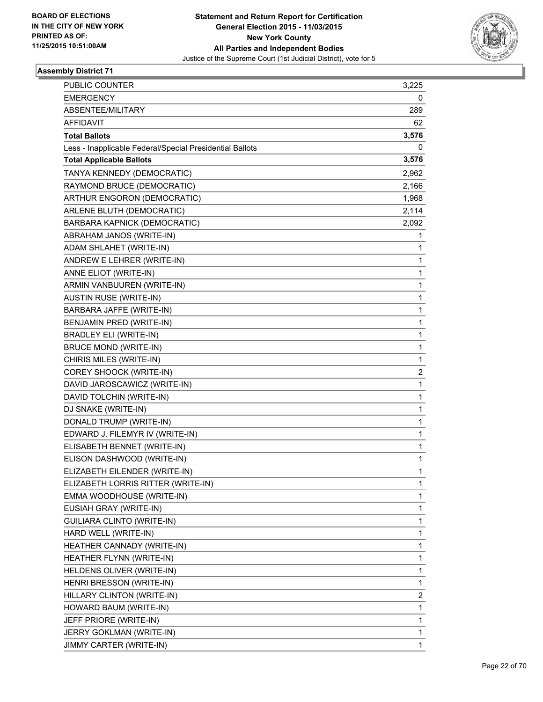

| PUBLIC COUNTER                                           | 3,225        |
|----------------------------------------------------------|--------------|
| <b>EMERGENCY</b>                                         | 0            |
| ABSENTEE/MILITARY                                        | 289          |
| AFFIDAVIT                                                | 62           |
| <b>Total Ballots</b>                                     | 3,576        |
| Less - Inapplicable Federal/Special Presidential Ballots | 0            |
| <b>Total Applicable Ballots</b>                          | 3,576        |
| TANYA KENNEDY (DEMOCRATIC)                               | 2,962        |
| RAYMOND BRUCE (DEMOCRATIC)                               | 2,166        |
| ARTHUR ENGORON (DEMOCRATIC)                              | 1,968        |
| ARLENE BLUTH (DEMOCRATIC)                                | 2,114        |
| BARBARA KAPNICK (DEMOCRATIC)                             | 2,092        |
| ABRAHAM JANOS (WRITE-IN)                                 | 1            |
| ADAM SHLAHET (WRITE-IN)                                  | 1            |
| ANDREW E LEHRER (WRITE-IN)                               | 1            |
| ANNE ELIOT (WRITE-IN)                                    | 1            |
| ARMIN VANBUUREN (WRITE-IN)                               | 1            |
| <b>AUSTIN RUSE (WRITE-IN)</b>                            | 1            |
| BARBARA JAFFE (WRITE-IN)                                 | $\mathbf{1}$ |
| BENJAMIN PRED (WRITE-IN)                                 | 1            |
| BRADLEY ELI (WRITE-IN)                                   | 1            |
| <b>BRUCE MOND (WRITE-IN)</b>                             | 1            |
| CHIRIS MILES (WRITE-IN)                                  | 1            |
| COREY SHOOCK (WRITE-IN)                                  | 2            |
| DAVID JAROSCAWICZ (WRITE-IN)                             | $\mathbf{1}$ |
| DAVID TOLCHIN (WRITE-IN)                                 | 1            |
| DJ SNAKE (WRITE-IN)                                      | 1            |
| DONALD TRUMP (WRITE-IN)                                  | 1            |
| EDWARD J. FILEMYR IV (WRITE-IN)                          | 1            |
| ELISABETH BENNET (WRITE-IN)                              | 1            |
| ELISON DASHWOOD (WRITE-IN)                               | $\mathbf{1}$ |
| ELIZABETH EILENDER (WRITE-IN)                            | 1            |
| ELIZABETH LORRIS RITTER (WRITE-IN)                       | 1            |
| EMMA WOODHOUSE (WRITE-IN)                                | 1            |
| EUSIAH GRAY (WRITE-IN)                                   | 1            |
| <b>GUILIARA CLINTO (WRITE-IN)</b>                        | 1            |
| HARD WELL (WRITE-IN)                                     | 1            |
| HEATHER CANNADY (WRITE-IN)                               | 1            |
| HEATHER FLYNN (WRITE-IN)                                 | 1            |
| HELDENS OLIVER (WRITE-IN)                                | 1            |
| HENRI BRESSON (WRITE-IN)                                 | 1            |
| HILLARY CLINTON (WRITE-IN)                               | 2            |
| HOWARD BAUM (WRITE-IN)                                   | 1            |
| JEFF PRIORE (WRITE-IN)                                   | 1            |
| JERRY GOKLMAN (WRITE-IN)                                 | 1            |
| JIMMY CARTER (WRITE-IN)                                  | 1            |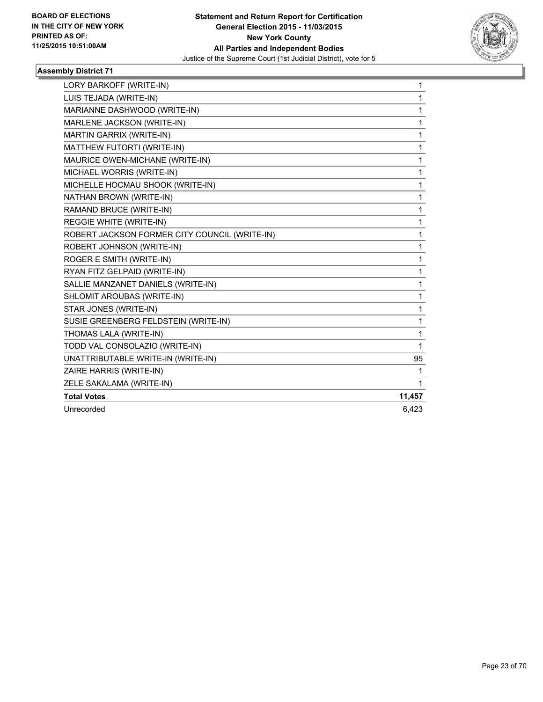

| LORY BARKOFF (WRITE-IN)                       | $\mathbf{1}$ |
|-----------------------------------------------|--------------|
| LUIS TEJADA (WRITE-IN)                        | 1            |
| MARIANNE DASHWOOD (WRITE-IN)                  | 1            |
| MARLENE JACKSON (WRITE-IN)                    | 1            |
| MARTIN GARRIX (WRITE-IN)                      | 1            |
| MATTHEW FUTORTI (WRITE-IN)                    | 1            |
| MAURICE OWEN-MICHANE (WRITE-IN)               | $\mathbf 1$  |
| MICHAEL WORRIS (WRITE-IN)                     | 1            |
| MICHELLE HOCMAU SHOOK (WRITE-IN)              | 1            |
| NATHAN BROWN (WRITE-IN)                       | 1            |
| RAMAND BRUCE (WRITE-IN)                       | 1            |
| REGGIE WHITE (WRITE-IN)                       | $\mathbf{1}$ |
| ROBERT JACKSON FORMER CITY COUNCIL (WRITE-IN) | 1            |
| ROBERT JOHNSON (WRITE-IN)                     | 1            |
| ROGER E SMITH (WRITE-IN)                      | 1            |
| RYAN FITZ GELPAID (WRITE-IN)                  | 1            |
| SALLIE MANZANET DANIELS (WRITE-IN)            | 1            |
| SHLOMIT AROUBAS (WRITE-IN)                    | 1            |
| STAR JONES (WRITE-IN)                         | 1            |
| SUSIE GREENBERG FELDSTEIN (WRITE-IN)          | $\mathbf{1}$ |
| THOMAS LALA (WRITE-IN)                        | 1            |
| TODD VAL CONSOLAZIO (WRITE-IN)                | 1            |
| UNATTRIBUTABLE WRITE-IN (WRITE-IN)            | 95           |
| ZAIRE HARRIS (WRITE-IN)                       | 1            |
| ZELE SAKALAMA (WRITE-IN)                      | 1            |
| <b>Total Votes</b>                            | 11,457       |
| Unrecorded                                    | 6.423        |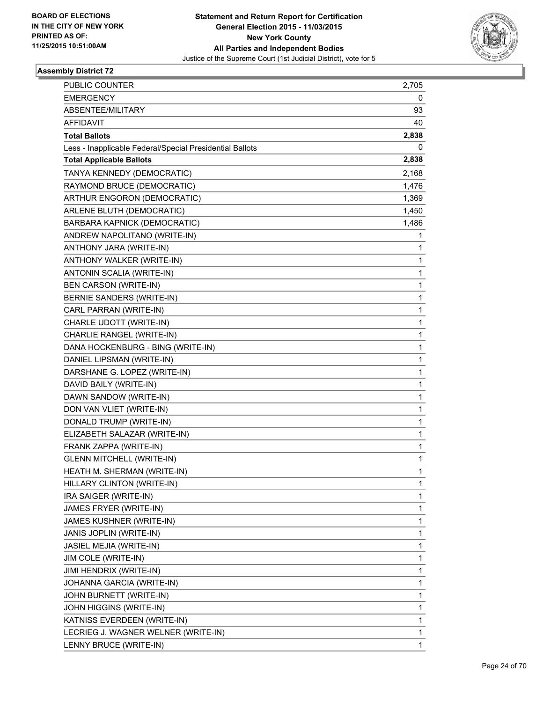

| PUBLIC COUNTER                                           | 2,705        |
|----------------------------------------------------------|--------------|
| <b>EMERGENCY</b>                                         | 0            |
| ABSENTEE/MILITARY                                        | 93           |
| AFFIDAVIT                                                | 40           |
| <b>Total Ballots</b>                                     | 2,838        |
| Less - Inapplicable Federal/Special Presidential Ballots | 0            |
| <b>Total Applicable Ballots</b>                          | 2,838        |
| TANYA KENNEDY (DEMOCRATIC)                               | 2,168        |
| RAYMOND BRUCE (DEMOCRATIC)                               | 1,476        |
| ARTHUR ENGORON (DEMOCRATIC)                              | 1,369        |
| ARLENE BLUTH (DEMOCRATIC)                                | 1,450        |
| BARBARA KAPNICK (DEMOCRATIC)                             | 1,486        |
| ANDREW NAPOLITANO (WRITE-IN)                             | 1            |
| ANTHONY JARA (WRITE-IN)                                  | 1            |
| ANTHONY WALKER (WRITE-IN)                                | 1            |
| ANTONIN SCALIA (WRITE-IN)                                | 1            |
| <b>BEN CARSON (WRITE-IN)</b>                             | 1            |
| BERNIE SANDERS (WRITE-IN)                                | 1            |
| CARL PARRAN (WRITE-IN)                                   | 1            |
| CHARLE UDOTT (WRITE-IN)                                  | 1            |
| CHARLIE RANGEL (WRITE-IN)                                | 1            |
| DANA HOCKENBURG - BING (WRITE-IN)                        | 1            |
| DANIEL LIPSMAN (WRITE-IN)                                | 1            |
| DARSHANE G. LOPEZ (WRITE-IN)                             | 1            |
| DAVID BAILY (WRITE-IN)                                   | 1            |
| DAWN SANDOW (WRITE-IN)                                   | 1            |
| DON VAN VLIET (WRITE-IN)                                 | 1            |
| DONALD TRUMP (WRITE-IN)                                  | 1            |
| ELIZABETH SALAZAR (WRITE-IN)                             | 1            |
| FRANK ZAPPA (WRITE-IN)                                   | 1            |
| <b>GLENN MITCHELL (WRITE-IN)</b>                         | $\mathbf{1}$ |
| HEATH M. SHERMAN (WRITE-IN)                              | 1            |
| HILLARY CLINTON (WRITE-IN)                               | 1            |
| IRA SAIGER (WRITE-IN)                                    | 1            |
| JAMES FRYER (WRITE-IN)                                   | 1            |
| JAMES KUSHNER (WRITE-IN)                                 | 1            |
| JANIS JOPLIN (WRITE-IN)                                  | $\mathbf 1$  |
| JASIEL MEJIA (WRITE-IN)                                  | 1            |
| JIM COLE (WRITE-IN)                                      | 1            |
| JIMI HENDRIX (WRITE-IN)                                  | 1            |
| JOHANNA GARCIA (WRITE-IN)                                | 1            |
| JOHN BURNETT (WRITE-IN)                                  | 1            |
| JOHN HIGGINS (WRITE-IN)                                  | $\mathbf 1$  |
| KATNISS EVERDEEN (WRITE-IN)                              | 1            |
| LECRIEG J. WAGNER WELNER (WRITE-IN)                      | 1            |
| LENNY BRUCE (WRITE-IN)                                   | 1            |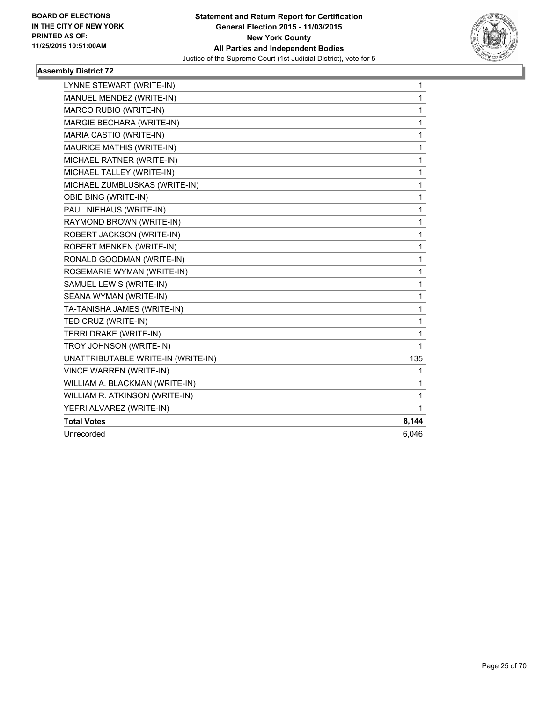

| LYNNE STEWART (WRITE-IN)           | $\mathbf{1}$ |
|------------------------------------|--------------|
| MANUEL MENDEZ (WRITE-IN)           | $\mathbf{1}$ |
| MARCO RUBIO (WRITE-IN)             | 1            |
| MARGIE BECHARA (WRITE-IN)          | 1            |
| MARIA CASTIO (WRITE-IN)            | 1            |
| <b>MAURICE MATHIS (WRITE-IN)</b>   | 1            |
| MICHAEL RATNER (WRITE-IN)          | 1            |
| MICHAEL TALLEY (WRITE-IN)          | 1            |
| MICHAEL ZUMBLUSKAS (WRITE-IN)      | $\mathbf 1$  |
| OBIE BING (WRITE-IN)               | 1            |
| PAUL NIEHAUS (WRITE-IN)            | 1            |
| RAYMOND BROWN (WRITE-IN)           | 1            |
| ROBERT JACKSON (WRITE-IN)          | 1            |
| ROBERT MENKEN (WRITE-IN)           | 1            |
| RONALD GOODMAN (WRITE-IN)          | 1            |
| ROSEMARIE WYMAN (WRITE-IN)         | $\mathbf{1}$ |
| SAMUEL LEWIS (WRITE-IN)            | 1            |
| SEANA WYMAN (WRITE-IN)             | 1            |
| TA-TANISHA JAMES (WRITE-IN)        | 1            |
| TED CRUZ (WRITE-IN)                | $\mathbf{1}$ |
| TERRI DRAKE (WRITE-IN)             | 1            |
| TROY JOHNSON (WRITE-IN)            | 1            |
| UNATTRIBUTABLE WRITE-IN (WRITE-IN) | 135          |
| <b>VINCE WARREN (WRITE-IN)</b>     | 1            |
| WILLIAM A. BLACKMAN (WRITE-IN)     | 1            |
| WILLIAM R. ATKINSON (WRITE-IN)     | 1            |
| YEFRI ALVAREZ (WRITE-IN)           | 1            |
| <b>Total Votes</b>                 | 8,144        |
| Unrecorded                         | 6,046        |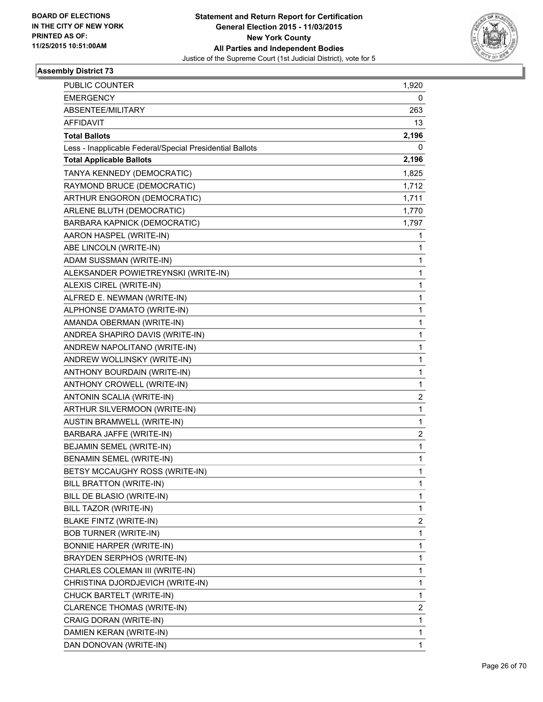

| PUBLIC COUNTER                                           | 1,920        |
|----------------------------------------------------------|--------------|
| <b>EMERGENCY</b>                                         | 0            |
| ABSENTEE/MILITARY                                        | 263          |
| AFFIDAVIT                                                | 13           |
| <b>Total Ballots</b>                                     | 2,196        |
| Less - Inapplicable Federal/Special Presidential Ballots | 0            |
| <b>Total Applicable Ballots</b>                          | 2,196        |
| TANYA KENNEDY (DEMOCRATIC)                               | 1,825        |
| RAYMOND BRUCE (DEMOCRATIC)                               | 1,712        |
| ARTHUR ENGORON (DEMOCRATIC)                              | 1,711        |
| ARLENE BLUTH (DEMOCRATIC)                                | 1,770        |
| BARBARA KAPNICK (DEMOCRATIC)                             | 1,797        |
| AARON HASPEL (WRITE-IN)                                  | 1            |
| ABE LINCOLN (WRITE-IN)                                   | 1            |
| ADAM SUSSMAN (WRITE-IN)                                  | 1            |
| ALEKSANDER POWIETREYNSKI (WRITE-IN)                      | 1            |
| ALEXIS CIREL (WRITE-IN)                                  | 1            |
| ALFRED E. NEWMAN (WRITE-IN)                              | 1            |
| ALPHONSE D'AMATO (WRITE-IN)                              | $\mathbf{1}$ |
| AMANDA OBERMAN (WRITE-IN)                                | 1            |
| ANDREA SHAPIRO DAVIS (WRITE-IN)                          | 1            |
| ANDREW NAPOLITANO (WRITE-IN)                             | 1            |
| ANDREW WOLLINSKY (WRITE-IN)                              | 1            |
| ANTHONY BOURDAIN (WRITE-IN)                              | 1            |
| ANTHONY CROWELL (WRITE-IN)                               | $\mathbf{1}$ |
| ANTONIN SCALIA (WRITE-IN)                                | 2            |
| ARTHUR SILVERMOON (WRITE-IN)                             | 1            |
| AUSTIN BRAMWELL (WRITE-IN)                               | 1            |
| BARBARA JAFFE (WRITE-IN)                                 | 2            |
| BEJAMIN SEMEL (WRITE-IN)                                 | 1            |
| BENAMIN SEMEL (WRITE-IN)                                 | $\mathbf{1}$ |
| BETSY MCCAUGHY ROSS (WRITE-IN)                           | 1            |
| BILL BRATTON (WRITE-IN)                                  | 1            |
| BILL DE BLASIO (WRITE-IN)                                | 1            |
| BILL TAZOR (WRITE-IN)                                    | 1            |
| BLAKE FINTZ (WRITE-IN)                                   | 2            |
| <b>BOB TURNER (WRITE-IN)</b>                             | 1            |
| <b>BONNIE HARPER (WRITE-IN)</b>                          | 1            |
| BRAYDEN SERPHOS (WRITE-IN)                               | 1            |
| CHARLES COLEMAN III (WRITE-IN)                           | $\mathbf{1}$ |
| CHRISTINA DJORDJEVICH (WRITE-IN)                         | 1            |
| CHUCK BARTELT (WRITE-IN)                                 | 1            |
| CLARENCE THOMAS (WRITE-IN)                               | 2            |
| CRAIG DORAN (WRITE-IN)                                   | 1            |
| DAMIEN KERAN (WRITE-IN)                                  | 1            |
| DAN DONOVAN (WRITE-IN)                                   | 1            |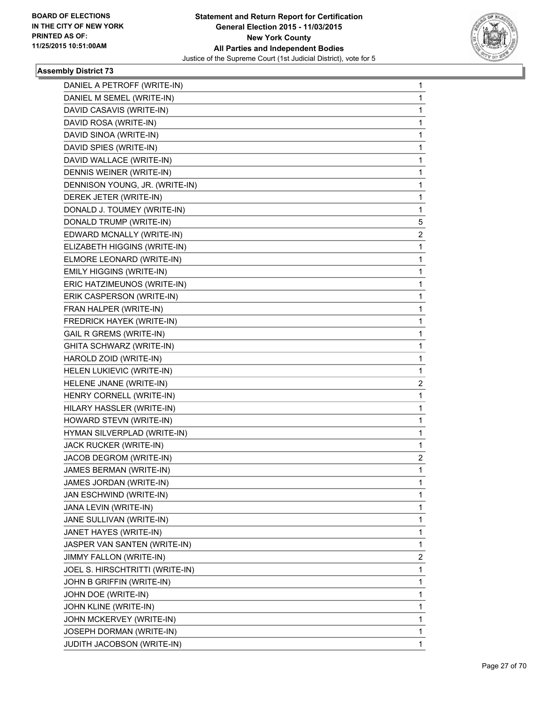

| DANIEL A PETROFF (WRITE-IN)     | 1              |
|---------------------------------|----------------|
| DANIEL M SEMEL (WRITE-IN)       | 1              |
| DAVID CASAVIS (WRITE-IN)        | 1              |
| DAVID ROSA (WRITE-IN)           | 1              |
| DAVID SINOA (WRITE-IN)          | 1              |
| DAVID SPIES (WRITE-IN)          | 1              |
| DAVID WALLACE (WRITE-IN)        | 1              |
| DENNIS WEINER (WRITE-IN)        | 1              |
| DENNISON YOUNG, JR. (WRITE-IN)  | 1              |
| DEREK JETER (WRITE-IN)          | 1              |
| DONALD J. TOUMEY (WRITE-IN)     | 1              |
| DONALD TRUMP (WRITE-IN)         | 5              |
| EDWARD MCNALLY (WRITE-IN)       | 2              |
| ELIZABETH HIGGINS (WRITE-IN)    | 1              |
| ELMORE LEONARD (WRITE-IN)       | 1              |
| EMILY HIGGINS (WRITE-IN)        | 1              |
| ERIC HATZIMEUNOS (WRITE-IN)     | 1              |
| ERIK CASPERSON (WRITE-IN)       | 1              |
| FRAN HALPER (WRITE-IN)          | 1              |
| FREDRICK HAYEK (WRITE-IN)       | 1              |
| <b>GAIL R GREMS (WRITE-IN)</b>  | 1              |
| GHITA SCHWARZ (WRITE-IN)        | 1              |
| HAROLD ZOID (WRITE-IN)          | 1              |
| HELEN LUKIEVIC (WRITE-IN)       | 1              |
| HELENE JNANE (WRITE-IN)         | $\overline{c}$ |
| HENRY CORNELL (WRITE-IN)        | 1              |
| HILARY HASSLER (WRITE-IN)       | 1              |
| HOWARD STEVN (WRITE-IN)         | 1              |
| HYMAN SILVERPLAD (WRITE-IN)     | 1              |
| JACK RUCKER (WRITE-IN)          | 1              |
| JACOB DEGROM (WRITE-IN)         | $\overline{c}$ |
| JAMES BERMAN (WRITE-IN)         | 1              |
| JAMES JORDAN (WRITE-IN)         | 1              |
| JAN ESCHWIND (WRITE-IN)         | 1              |
| JANA LEVIN (WRITE-IN)           | 1              |
| JANE SULLIVAN (WRITE-IN)        | 1              |
| JANET HAYES (WRITE-IN)          | 1              |
| JASPER VAN SANTEN (WRITE-IN)    | 1              |
| JIMMY FALLON (WRITE-IN)         | 2              |
| JOEL S. HIRSCHTRITTI (WRITE-IN) | 1              |
| JOHN B GRIFFIN (WRITE-IN)       | 1              |
| JOHN DOE (WRITE-IN)             | 1              |
| JOHN KLINE (WRITE-IN)           | 1              |
| JOHN MCKERVEY (WRITE-IN)        | 1              |
| JOSEPH DORMAN (WRITE-IN)        | 1              |
| JUDITH JACOBSON (WRITE-IN)      | 1              |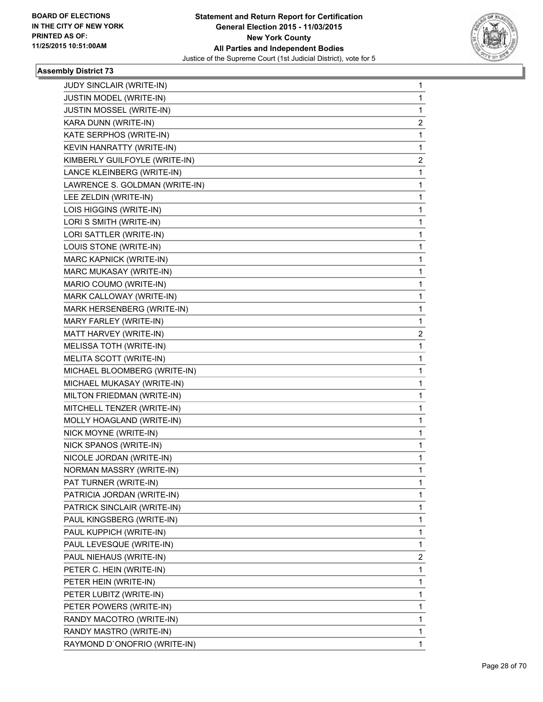

| JUDY SINCLAIR (WRITE-IN)       | 1           |
|--------------------------------|-------------|
| JUSTIN MODEL (WRITE-IN)        | 1           |
| JUSTIN MOSSEL (WRITE-IN)       | 1           |
| KARA DUNN (WRITE-IN)           | 2           |
| KATE SERPHOS (WRITE-IN)        | 1           |
| KEVIN HANRATTY (WRITE-IN)      | 1           |
| KIMBERLY GUILFOYLE (WRITE-IN)  | 2           |
| LANCE KLEINBERG (WRITE-IN)     | 1           |
| LAWRENCE S. GOLDMAN (WRITE-IN) | 1           |
| LEE ZELDIN (WRITE-IN)          | 1           |
| LOIS HIGGINS (WRITE-IN)        | 1           |
| LORI S SMITH (WRITE-IN)        | 1           |
| LORI SATTLER (WRITE-IN)        | 1           |
| LOUIS STONE (WRITE-IN)         | 1           |
| MARC KAPNICK (WRITE-IN)        | 1           |
| MARC MUKASAY (WRITE-IN)        | 1           |
| MARIO COUMO (WRITE-IN)         | 1           |
| MARK CALLOWAY (WRITE-IN)       | 1           |
| MARK HERSENBERG (WRITE-IN)     | 1           |
| MARY FARLEY (WRITE-IN)         | 1           |
| MATT HARVEY (WRITE-IN)         | 2           |
| MELISSA TOTH (WRITE-IN)        | 1           |
| MELITA SCOTT (WRITE-IN)        | 1           |
| MICHAEL BLOOMBERG (WRITE-IN)   | 1           |
| MICHAEL MUKASAY (WRITE-IN)     | 1           |
| MILTON FRIEDMAN (WRITE-IN)     | 1           |
| MITCHELL TENZER (WRITE-IN)     | 1           |
| MOLLY HOAGLAND (WRITE-IN)      | 1           |
| NICK MOYNE (WRITE-IN)          | 1           |
| NICK SPANOS (WRITE-IN)         | 1           |
| NICOLE JORDAN (WRITE-IN)       | 1           |
| NORMAN MASSRY (WRITE-IN)       | 1           |
| PAT TURNER (WRITE-IN)          | 1           |
| PATRICIA JORDAN (WRITE-IN)     | 1           |
| PATRICK SINCLAIR (WRITE-IN)    | 1           |
| PAUL KINGSBERG (WRITE-IN)      | $\mathbf 1$ |
| PAUL KUPPICH (WRITE-IN)        | 1           |
| PAUL LEVESQUE (WRITE-IN)       | 1           |
| PAUL NIEHAUS (WRITE-IN)        | 2           |
| PETER C. HEIN (WRITE-IN)       | 1           |
| PETER HEIN (WRITE-IN)          | 1           |
| PETER LUBITZ (WRITE-IN)        | $\mathbf 1$ |
| PETER POWERS (WRITE-IN)        | 1           |
| RANDY MACOTRO (WRITE-IN)       | 1           |
| RANDY MASTRO (WRITE-IN)        | 1           |
|                                |             |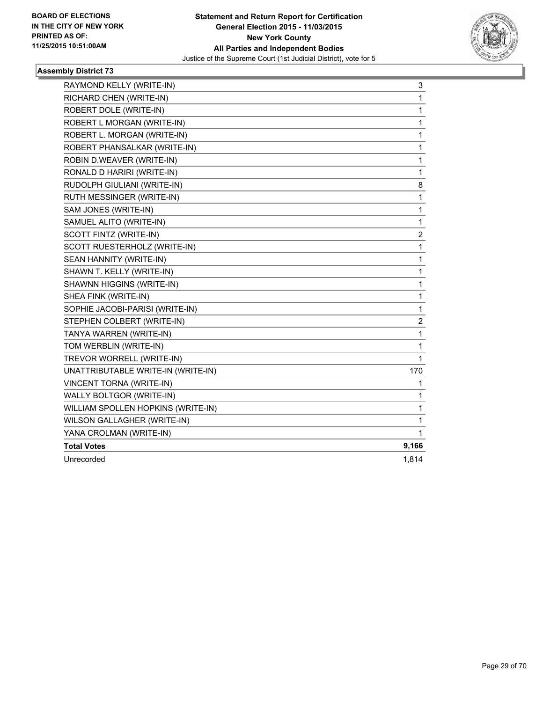

| RAYMOND KELLY (WRITE-IN)           | 3     |
|------------------------------------|-------|
| RICHARD CHEN (WRITE-IN)            | 1     |
| ROBERT DOLE (WRITE-IN)             | 1     |
| ROBERT L MORGAN (WRITE-IN)         | 1     |
| ROBERT L. MORGAN (WRITE-IN)        | 1     |
| ROBERT PHANSALKAR (WRITE-IN)       | 1     |
| ROBIN D.WEAVER (WRITE-IN)          | 1     |
| RONALD D HARIRI (WRITE-IN)         | 1     |
| RUDOLPH GIULIANI (WRITE-IN)        | 8     |
| RUTH MESSINGER (WRITE-IN)          | 1     |
| SAM JONES (WRITE-IN)               | 1     |
| SAMUEL ALITO (WRITE-IN)            | 1     |
| SCOTT FINTZ (WRITE-IN)             | 2     |
| SCOTT RUESTERHOLZ (WRITE-IN)       | 1     |
| SEAN HANNITY (WRITE-IN)            | 1     |
| SHAWN T. KELLY (WRITE-IN)          | 1     |
| SHAWNN HIGGINS (WRITE-IN)          | 1     |
| SHEA FINK (WRITE-IN)               | 1     |
| SOPHIE JACOBI-PARISI (WRITE-IN)    | 1     |
| STEPHEN COLBERT (WRITE-IN)         | 2     |
| TANYA WARREN (WRITE-IN)            | 1     |
| TOM WERBLIN (WRITE-IN)             | 1     |
| TREVOR WORRELL (WRITE-IN)          | 1     |
| UNATTRIBUTABLE WRITE-IN (WRITE-IN) | 170   |
| <b>VINCENT TORNA (WRITE-IN)</b>    | 1     |
| WALLY BOLTGOR (WRITE-IN)           | 1     |
| WILLIAM SPOLLEN HOPKINS (WRITE-IN) | 1     |
| WILSON GALLAGHER (WRITE-IN)        | 1     |
| YANA CROLMAN (WRITE-IN)            | 1     |
| <b>Total Votes</b>                 | 9,166 |
| Unrecorded                         | 1,814 |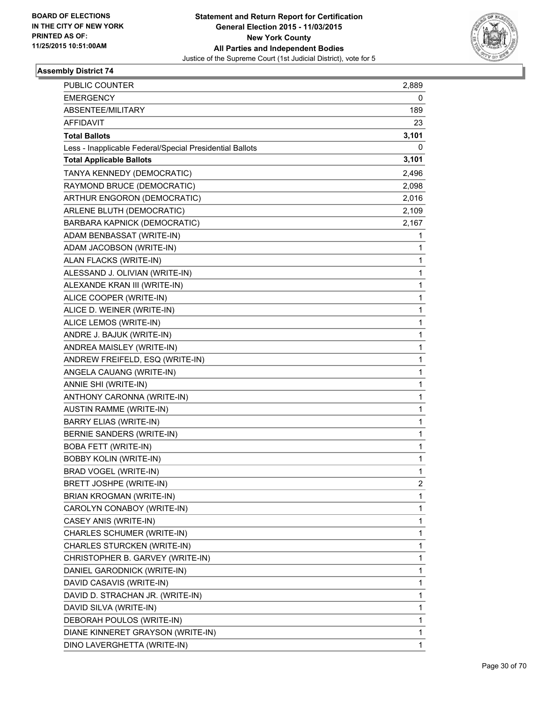

| <b>PUBLIC COUNTER</b>                                    | 2,889 |
|----------------------------------------------------------|-------|
| <b>EMERGENCY</b>                                         | 0     |
| ABSENTEE/MILITARY                                        | 189   |
| <b>AFFIDAVIT</b>                                         | 23    |
| <b>Total Ballots</b>                                     | 3,101 |
| Less - Inapplicable Federal/Special Presidential Ballots | 0     |
| <b>Total Applicable Ballots</b>                          | 3,101 |
| TANYA KENNEDY (DEMOCRATIC)                               | 2,496 |
| RAYMOND BRUCE (DEMOCRATIC)                               | 2,098 |
| ARTHUR ENGORON (DEMOCRATIC)                              | 2,016 |
| ARLENE BLUTH (DEMOCRATIC)                                | 2,109 |
| BARBARA KAPNICK (DEMOCRATIC)                             | 2,167 |
| ADAM BENBASSAT (WRITE-IN)                                | 1     |
| ADAM JACOBSON (WRITE-IN)                                 | 1     |
| ALAN FLACKS (WRITE-IN)                                   | 1     |
| ALESSAND J. OLIVIAN (WRITE-IN)                           | 1     |
| ALEXANDE KRAN III (WRITE-IN)                             | 1     |
| ALICE COOPER (WRITE-IN)                                  | 1     |
| ALICE D. WEINER (WRITE-IN)                               | 1     |
| ALICE LEMOS (WRITE-IN)                                   | 1     |
| ANDRE J. BAJUK (WRITE-IN)                                | 1     |
| ANDREA MAISLEY (WRITE-IN)                                | 1     |
| ANDREW FREIFELD, ESQ (WRITE-IN)                          | 1     |
| ANGELA CAUANG (WRITE-IN)                                 | 1     |
| ANNIE SHI (WRITE-IN)                                     | 1     |
| ANTHONY CARONNA (WRITE-IN)                               | 1     |
| <b>AUSTIN RAMME (WRITE-IN)</b>                           | 1     |
| BARRY ELIAS (WRITE-IN)                                   | 1     |
| BERNIE SANDERS (WRITE-IN)                                | 1     |
| <b>BOBA FETT (WRITE-IN)</b>                              | 1     |
| <b>BOBBY KOLIN (WRITE-IN)</b>                            | 1     |
| BRAD VOGEL (WRITE-IN)                                    | 1     |
| BRETT JOSHPE (WRITE-IN)                                  | 2     |
| <b>BRIAN KROGMAN (WRITE-IN)</b>                          | 1     |
| CAROLYN CONABOY (WRITE-IN)                               | 1     |
| CASEY ANIS (WRITE-IN)                                    | 1     |
| CHARLES SCHUMER (WRITE-IN)                               | 1     |
| CHARLES STURCKEN (WRITE-IN)                              | 1     |
| CHRISTOPHER B. GARVEY (WRITE-IN)                         | 1     |
| DANIEL GARODNICK (WRITE-IN)                              | 1     |
| DAVID CASAVIS (WRITE-IN)                                 | 1     |
| DAVID D. STRACHAN JR. (WRITE-IN)                         | 1     |
| DAVID SILVA (WRITE-IN)                                   | 1     |
| DEBORAH POULOS (WRITE-IN)                                | 1     |
| DIANE KINNERET GRAYSON (WRITE-IN)                        | 1     |
| DINO LAVERGHETTA (WRITE-IN)                              | 1     |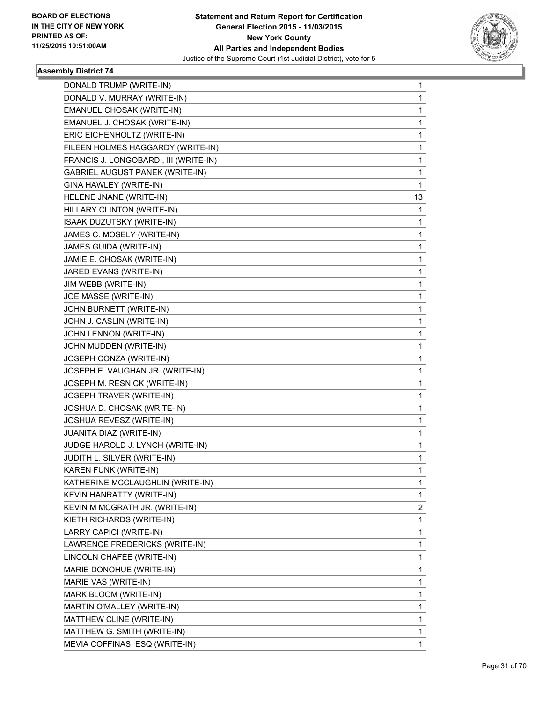

| DONALD TRUMP (WRITE-IN)                | 1  |
|----------------------------------------|----|
| DONALD V. MURRAY (WRITE-IN)            | 1  |
| EMANUEL CHOSAK (WRITE-IN)              | 1  |
| EMANUEL J. CHOSAK (WRITE-IN)           | 1  |
| ERIC EICHENHOLTZ (WRITE-IN)            | 1  |
| FILEEN HOLMES HAGGARDY (WRITE-IN)      | 1  |
| FRANCIS J. LONGOBARDI, III (WRITE-IN)  | 1  |
| <b>GABRIEL AUGUST PANEK (WRITE-IN)</b> | 1  |
| GINA HAWLEY (WRITE-IN)                 | 1  |
| HELENE JNANE (WRITE-IN)                | 13 |
| HILLARY CLINTON (WRITE-IN)             | 1  |
| <b>ISAAK DUZUTSKY (WRITE-IN)</b>       | 1  |
| JAMES C. MOSELY (WRITE-IN)             | 1  |
| JAMES GUIDA (WRITE-IN)                 | 1  |
| JAMIE E. CHOSAK (WRITE-IN)             | 1  |
| JARED EVANS (WRITE-IN)                 | 1  |
| JIM WEBB (WRITE-IN)                    | 1  |
| JOE MASSE (WRITE-IN)                   | 1  |
| JOHN BURNETT (WRITE-IN)                | 1  |
| JOHN J. CASLIN (WRITE-IN)              | 1  |
| JOHN LENNON (WRITE-IN)                 | 1  |
| JOHN MUDDEN (WRITE-IN)                 | 1  |
| JOSEPH CONZA (WRITE-IN)                | 1  |
| JOSEPH E. VAUGHAN JR. (WRITE-IN)       | 1  |
| JOSEPH M. RESNICK (WRITE-IN)           | 1  |
| JOSEPH TRAVER (WRITE-IN)               | 1  |
| JOSHUA D. CHOSAK (WRITE-IN)            | 1  |
| JOSHUA REVESZ (WRITE-IN)               | 1  |
| JUANITA DIAZ (WRITE-IN)                | 1  |
| JUDGE HAROLD J. LYNCH (WRITE-IN)       | 1  |
| JUDITH L. SILVER (WRITE-IN)            | 1  |
| KAREN FUNK (WRITE-IN)                  | 1  |
| KATHERINE MCCLAUGHLIN (WRITE-IN)       | 1  |
| KEVIN HANRATTY (WRITE-IN)              | 1  |
| KEVIN M MCGRATH JR. (WRITE-IN)         | 2  |
| KIETH RICHARDS (WRITE-IN)              | 1  |
| LARRY CAPICI (WRITE-IN)                | 1  |
| LAWRENCE FREDERICKS (WRITE-IN)         | 1  |
| LINCOLN CHAFEE (WRITE-IN)              | 1  |
| MARIE DONOHUE (WRITE-IN)               | 1  |
| MARIE VAS (WRITE-IN)                   | 1  |
| MARK BLOOM (WRITE-IN)                  | 1  |
| MARTIN O'MALLEY (WRITE-IN)             | 1  |
| MATTHEW CLINE (WRITE-IN)               | 1  |
| MATTHEW G. SMITH (WRITE-IN)            | 1  |
| MEVIA COFFINAS, ESQ (WRITE-IN)         | 1  |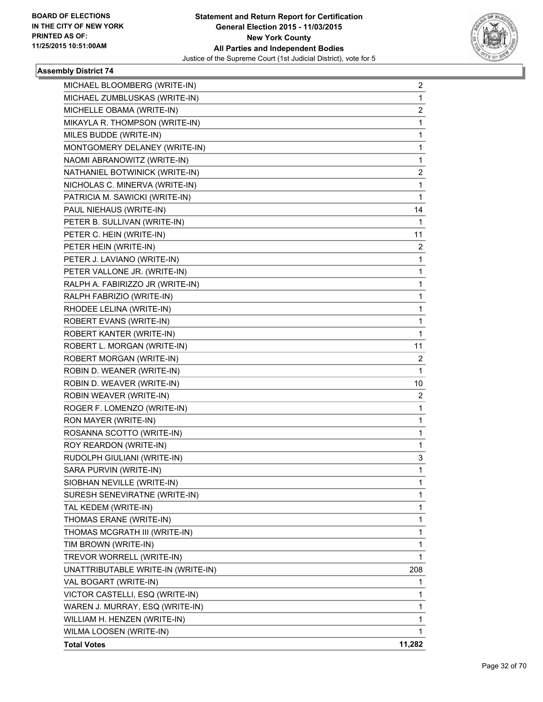

| MICHAEL BLOOMBERG (WRITE-IN)       | $\mathbf{2}$   |
|------------------------------------|----------------|
| MICHAEL ZUMBLUSKAS (WRITE-IN)      | $\mathbf{1}$   |
| MICHELLE OBAMA (WRITE-IN)          | 2              |
| MIKAYLA R. THOMPSON (WRITE-IN)     | 1              |
| MILES BUDDE (WRITE-IN)             | 1              |
| MONTGOMERY DELANEY (WRITE-IN)      | 1              |
| NAOMI ABRANOWITZ (WRITE-IN)        | 1              |
| NATHANIEL BOTWINICK (WRITE-IN)     | 2              |
| NICHOLAS C. MINERVA (WRITE-IN)     | 1              |
| PATRICIA M. SAWICKI (WRITE-IN)     | 1              |
| PAUL NIEHAUS (WRITE-IN)            | 14             |
| PETER B. SULLIVAN (WRITE-IN)       | 1              |
| PETER C. HEIN (WRITE-IN)           | 11             |
| PETER HEIN (WRITE-IN)              | $\overline{2}$ |
| PETER J. LAVIANO (WRITE-IN)        | 1              |
| PETER VALLONE JR. (WRITE-IN)       | 1              |
| RALPH A. FABIRIZZO JR (WRITE-IN)   | 1              |
| RALPH FABRIZIO (WRITE-IN)          | 1              |
| RHODEE LELINA (WRITE-IN)           | 1              |
| ROBERT EVANS (WRITE-IN)            | $\mathbf{1}$   |
| <b>ROBERT KANTER (WRITE-IN)</b>    | 1              |
| ROBERT L. MORGAN (WRITE-IN)        | 11             |
| ROBERT MORGAN (WRITE-IN)           | 2              |
| ROBIN D. WEANER (WRITE-IN)         | 1              |
| ROBIN D. WEAVER (WRITE-IN)         | 10             |
| ROBIN WEAVER (WRITE-IN)            | $\overline{2}$ |
| ROGER F. LOMENZO (WRITE-IN)        | 1              |
| RON MAYER (WRITE-IN)               | 1              |
| ROSANNA SCOTTO (WRITE-IN)          | 1              |
| ROY REARDON (WRITE-IN)             | 1              |
| RUDOLPH GIULIANI (WRITE-IN)        | 3              |
| SARA PURVIN (WRITE-IN)             | $\mathbf{1}$   |
| SIOBHAN NEVILLE (WRITE-IN)         | 1              |
| SURESH SENEVIRATNE (WRITE-IN)      | 1              |
| TAL KEDEM (WRITE-IN)               | 1              |
| THOMAS ERANE (WRITE-IN)            | 1              |
| THOMAS MCGRATH III (WRITE-IN)      | 1              |
| TIM BROWN (WRITE-IN)               | 1              |
| TREVOR WORRELL (WRITE-IN)          | 1              |
| UNATTRIBUTABLE WRITE-IN (WRITE-IN) | 208            |
| VAL BOGART (WRITE-IN)              | 1              |
| VICTOR CASTELLI, ESQ (WRITE-IN)    | 1              |
| WAREN J. MURRAY, ESQ (WRITE-IN)    | 1              |
| WILLIAM H. HENZEN (WRITE-IN)       | 1              |
| WILMA LOOSEN (WRITE-IN)            | 1              |
| <b>Total Votes</b>                 | 11,282         |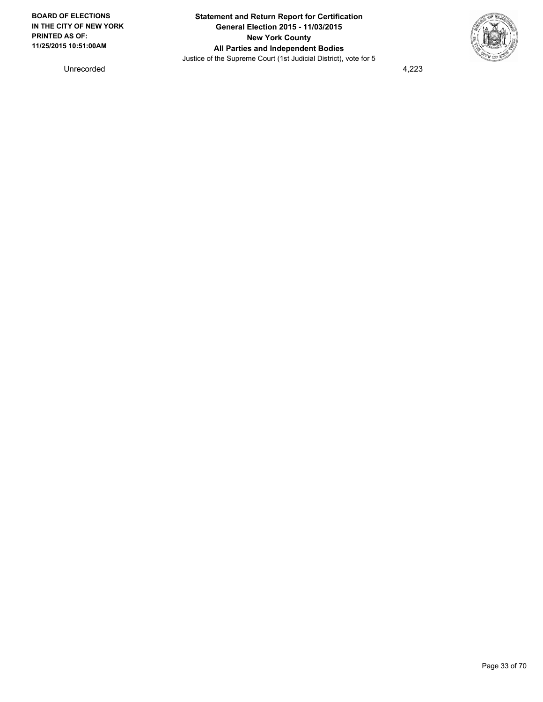

Unrecorded 4,223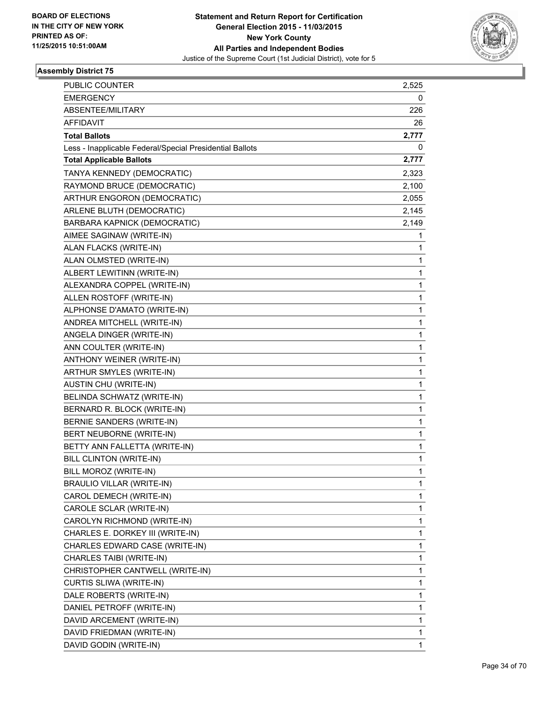

| PUBLIC COUNTER                                           | 2,525 |
|----------------------------------------------------------|-------|
| <b>EMERGENCY</b>                                         | 0     |
| ABSENTEE/MILITARY                                        | 226   |
| <b>AFFIDAVIT</b>                                         | 26    |
| <b>Total Ballots</b>                                     | 2,777 |
| Less - Inapplicable Federal/Special Presidential Ballots | 0     |
| <b>Total Applicable Ballots</b>                          | 2,777 |
| TANYA KENNEDY (DEMOCRATIC)                               | 2,323 |
| RAYMOND BRUCE (DEMOCRATIC)                               | 2,100 |
| ARTHUR ENGORON (DEMOCRATIC)                              | 2,055 |
| ARLENE BLUTH (DEMOCRATIC)                                | 2,145 |
| BARBARA KAPNICK (DEMOCRATIC)                             | 2,149 |
| AIMEE SAGINAW (WRITE-IN)                                 | 1     |
| ALAN FLACKS (WRITE-IN)                                   | 1     |
| ALAN OLMSTED (WRITE-IN)                                  | 1     |
| ALBERT LEWITINN (WRITE-IN)                               | 1     |
| ALEXANDRA COPPEL (WRITE-IN)                              | 1     |
| ALLEN ROSTOFF (WRITE-IN)                                 | 1     |
| ALPHONSE D'AMATO (WRITE-IN)                              | 1     |
| ANDREA MITCHELL (WRITE-IN)                               | 1     |
| ANGELA DINGER (WRITE-IN)                                 | 1     |
| ANN COULTER (WRITE-IN)                                   | 1     |
| ANTHONY WEINER (WRITE-IN)                                | 1     |
| ARTHUR SMYLES (WRITE-IN)                                 | 1     |
| AUSTIN CHU (WRITE-IN)                                    | 1     |
| BELINDA SCHWATZ (WRITE-IN)                               | 1     |
| BERNARD R. BLOCK (WRITE-IN)                              | 1     |
| BERNIE SANDERS (WRITE-IN)                                | 1     |
| BERT NEUBORNE (WRITE-IN)                                 | 1     |
| BETTY ANN FALLETTA (WRITE-IN)                            | 1     |
| BILL CLINTON (WRITE-IN)                                  | 1     |
| BILL MOROZ (WRITE-IN)                                    | 1     |
| BRAULIO VILLAR (WRITE-IN)                                | 1     |
| CAROL DEMECH (WRITE-IN)                                  | 1     |
| CAROLE SCLAR (WRITE-IN)                                  | 1     |
| CAROLYN RICHMOND (WRITE-IN)                              | 1     |
| CHARLES E. DORKEY III (WRITE-IN)                         | 1     |
| CHARLES EDWARD CASE (WRITE-IN)                           | 1     |
| CHARLES TAIBI (WRITE-IN)                                 | 1     |
| CHRISTOPHER CANTWELL (WRITE-IN)                          | 1     |
| CURTIS SLIWA (WRITE-IN)                                  | 1     |
| DALE ROBERTS (WRITE-IN)                                  | 1     |
| DANIEL PETROFF (WRITE-IN)                                | 1     |
| DAVID ARCEMENT (WRITE-IN)                                | 1     |
| DAVID FRIEDMAN (WRITE-IN)                                | 1     |
| DAVID GODIN (WRITE-IN)                                   | 1     |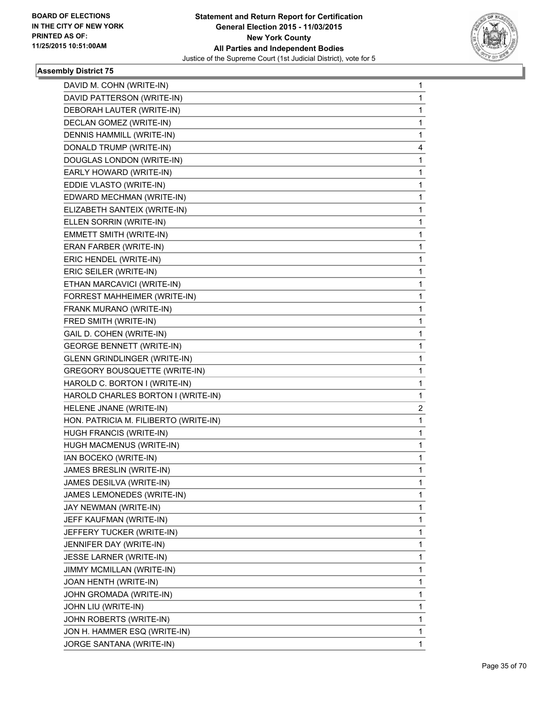

| DAVID M. COHN (WRITE-IN)              | 1 |
|---------------------------------------|---|
| DAVID PATTERSON (WRITE-IN)            | 1 |
| DEBORAH LAUTER (WRITE-IN)             | 1 |
| DECLAN GOMEZ (WRITE-IN)               | 1 |
| DENNIS HAMMILL (WRITE-IN)             | 1 |
| DONALD TRUMP (WRITE-IN)               | 4 |
| DOUGLAS LONDON (WRITE-IN)             | 1 |
| EARLY HOWARD (WRITE-IN)               | 1 |
| EDDIE VLASTO (WRITE-IN)               | 1 |
| EDWARD MECHMAN (WRITE-IN)             | 1 |
| ELIZABETH SANTEIX (WRITE-IN)          | 1 |
| ELLEN SORRIN (WRITE-IN)               | 1 |
| EMMETT SMITH (WRITE-IN)               | 1 |
| ERAN FARBER (WRITE-IN)                | 1 |
| ERIC HENDEL (WRITE-IN)                | 1 |
| ERIC SEILER (WRITE-IN)                | 1 |
| ETHAN MARCAVICI (WRITE-IN)            | 1 |
| FORREST MAHHEIMER (WRITE-IN)          | 1 |
| FRANK MURANO (WRITE-IN)               | 1 |
| FRED SMITH (WRITE-IN)                 | 1 |
| GAIL D. COHEN (WRITE-IN)              | 1 |
| <b>GEORGE BENNETT (WRITE-IN)</b>      | 1 |
| <b>GLENN GRINDLINGER (WRITE-IN)</b>   | 1 |
| <b>GREGORY BOUSQUETTE (WRITE-IN)</b>  | 1 |
|                                       |   |
| HAROLD C. BORTON I (WRITE-IN)         | 1 |
| HAROLD CHARLES BORTON I (WRITE-IN)    | 1 |
| HELENE JNANE (WRITE-IN)               | 2 |
| HON. PATRICIA M. FILIBERTO (WRITE-IN) | 1 |
| HUGH FRANCIS (WRITE-IN)               | 1 |
| HUGH MACMENUS (WRITE-IN)              | 1 |
| IAN BOCEKO (WRITE-IN)                 | 1 |
| JAMES BRESLIN (WRITE-IN)              | 1 |
| JAMES DESILVA (WRITE-IN)              | 1 |
| JAMES LEMONEDES (WRITE-IN)            | 1 |
| JAY NEWMAN (WRITE-IN)                 | 1 |
| JEFF KAUFMAN (WRITE-IN)               | 1 |
| JEFFERY TUCKER (WRITE-IN)             | 1 |
| JENNIFER DAY (WRITE-IN)               | 1 |
| JESSE LARNER (WRITE-IN)               | 1 |
| JIMMY MCMILLAN (WRITE-IN)             | 1 |
| JOAN HENTH (WRITE-IN)                 | 1 |
| JOHN GROMADA (WRITE-IN)               | 1 |
| JOHN LIU (WRITE-IN)                   | 1 |
| JOHN ROBERTS (WRITE-IN)               | 1 |
| JON H. HAMMER ESQ (WRITE-IN)          | 1 |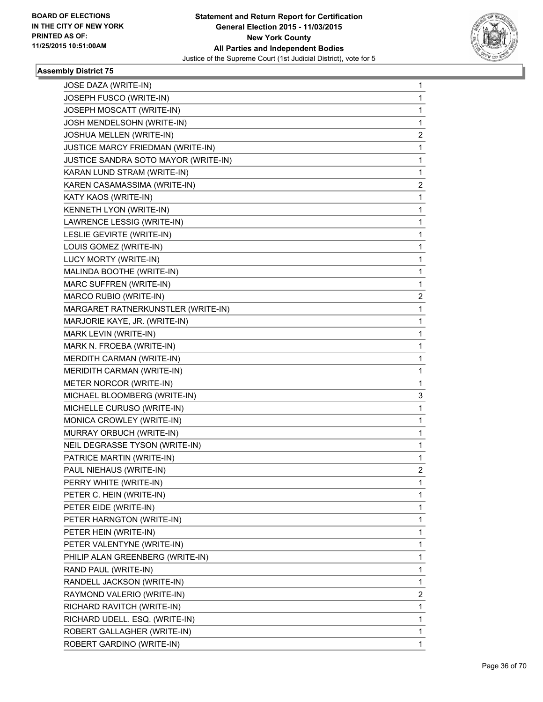

| JOSE DAZA (WRITE-IN)                 | 1              |
|--------------------------------------|----------------|
| JOSEPH FUSCO (WRITE-IN)              | 1              |
| JOSEPH MOSCATT (WRITE-IN)            | 1              |
| JOSH MENDELSOHN (WRITE-IN)           | 1              |
| JOSHUA MELLEN (WRITE-IN)             | 2              |
| JUSTICE MARCY FRIEDMAN (WRITE-IN)    | 1              |
| JUSTICE SANDRA SOTO MAYOR (WRITE-IN) | 1              |
| KARAN LUND STRAM (WRITE-IN)          | 1              |
| KAREN CASAMASSIMA (WRITE-IN)         | 2              |
| KATY KAOS (WRITE-IN)                 | 1              |
| KENNETH LYON (WRITE-IN)              | 1              |
| LAWRENCE LESSIG (WRITE-IN)           | 1              |
| LESLIE GEVIRTE (WRITE-IN)            | 1              |
| LOUIS GOMEZ (WRITE-IN)               | 1              |
| LUCY MORTY (WRITE-IN)                | 1              |
| MALINDA BOOTHE (WRITE-IN)            | 1              |
| MARC SUFFREN (WRITE-IN)              | 1              |
| MARCO RUBIO (WRITE-IN)               | 2              |
| MARGARET RATNERKUNSTLER (WRITE-IN)   | 1              |
| MARJORIE KAYE, JR. (WRITE-IN)        | 1              |
| MARK LEVIN (WRITE-IN)                | 1              |
| MARK N. FROEBA (WRITE-IN)            | 1              |
| MERDITH CARMAN (WRITE-IN)            | 1              |
| MERIDITH CARMAN (WRITE-IN)           | 1              |
| METER NORCOR (WRITE-IN)              | 1              |
| MICHAEL BLOOMBERG (WRITE-IN)         | 3              |
| MICHELLE CURUSO (WRITE-IN)           | 1              |
| MONICA CROWLEY (WRITE-IN)            | 1              |
| MURRAY ORBUCH (WRITE-IN)             | 1              |
| NEIL DEGRASSE TYSON (WRITE-IN)       | 1              |
| PATRICE MARTIN (WRITE-IN)            | 1              |
| PAUL NIEHAUS (WRITE-IN)              | $\overline{2}$ |
| PERRY WHITE (WRITE-IN)               | 1              |
| PETER C. HEIN (WRITE-IN)             | 1              |
| PETER EIDE (WRITE-IN)                | 1              |
| PETER HARNGTON (WRITE-IN)            | 1              |
| PETER HEIN (WRITE-IN)                | 1              |
| PETER VALENTYNE (WRITE-IN)           | 1              |
| PHILIP ALAN GREENBERG (WRITE-IN)     | 1              |
| RAND PAUL (WRITE-IN)                 | 1              |
| RANDELL JACKSON (WRITE-IN)           | 1              |
| RAYMOND VALERIO (WRITE-IN)           | 2              |
| RICHARD RAVITCH (WRITE-IN)           | 1              |
| RICHARD UDELL. ESQ. (WRITE-IN)       | 1              |
| ROBERT GALLAGHER (WRITE-IN)          | $\mathbf{1}$   |
| ROBERT GARDINO (WRITE-IN)            | 1.             |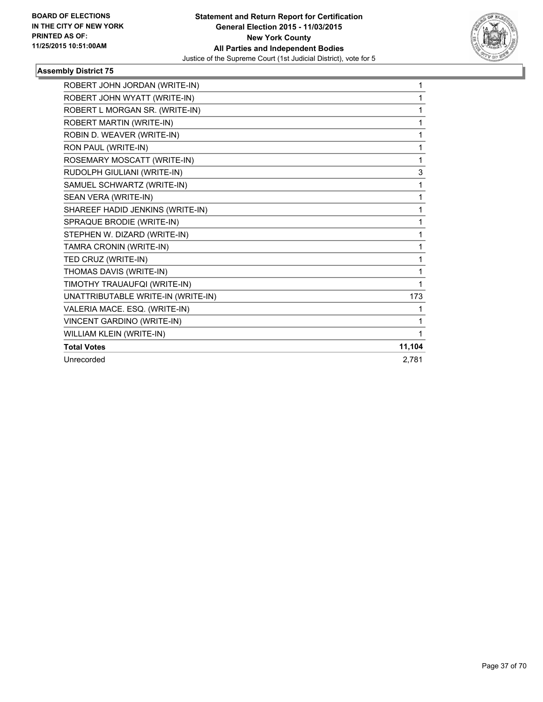

| ROBERT JOHN JORDAN (WRITE-IN)      | 1      |
|------------------------------------|--------|
| ROBERT JOHN WYATT (WRITE-IN)       | 1      |
| ROBERT L MORGAN SR. (WRITE-IN)     | 1      |
| ROBERT MARTIN (WRITE-IN)           | 1      |
| ROBIN D. WEAVER (WRITE-IN)         | 1      |
| RON PAUL (WRITE-IN)                | 1      |
| ROSEMARY MOSCATT (WRITE-IN)        | 1      |
| RUDOLPH GIULIANI (WRITE-IN)        | 3      |
| SAMUEL SCHWARTZ (WRITE-IN)         | 1      |
| SEAN VERA (WRITE-IN)               | 1      |
| SHAREEF HADID JENKINS (WRITE-IN)   | 1      |
| SPRAQUE BRODIE (WRITE-IN)          | 1      |
| STEPHEN W. DIZARD (WRITE-IN)       | 1      |
| TAMRA CRONIN (WRITE-IN)            | 1      |
| TED CRUZ (WRITE-IN)                | 1      |
| THOMAS DAVIS (WRITE-IN)            | 1      |
| TIMOTHY TRAUAUFQI (WRITE-IN)       | 1      |
| UNATTRIBUTABLE WRITE-IN (WRITE-IN) | 173    |
| VALERIA MACE. ESQ. (WRITE-IN)      | 1      |
| VINCENT GARDINO (WRITE-IN)         | 1      |
| WILLIAM KLEIN (WRITE-IN)           | 1      |
| <b>Total Votes</b>                 | 11,104 |
| Unrecorded                         | 2,781  |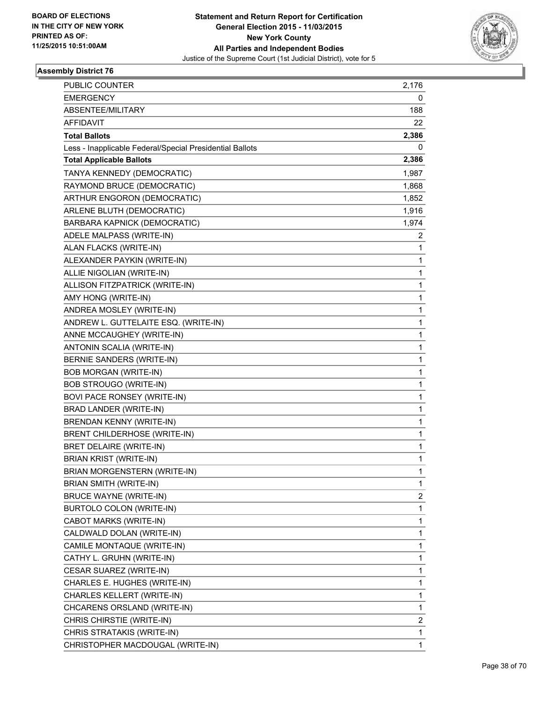

| PUBLIC COUNTER                                           | 2,176        |
|----------------------------------------------------------|--------------|
| <b>EMERGENCY</b>                                         | 0            |
| ABSENTEE/MILITARY                                        | 188          |
| <b>AFFIDAVIT</b>                                         | 22           |
| <b>Total Ballots</b>                                     | 2,386        |
| Less - Inapplicable Federal/Special Presidential Ballots | 0            |
| <b>Total Applicable Ballots</b>                          | 2,386        |
| TANYA KENNEDY (DEMOCRATIC)                               | 1,987        |
| RAYMOND BRUCE (DEMOCRATIC)                               | 1,868        |
| ARTHUR ENGORON (DEMOCRATIC)                              | 1,852        |
| ARLENE BLUTH (DEMOCRATIC)                                | 1,916        |
| BARBARA KAPNICK (DEMOCRATIC)                             | 1,974        |
| ADELE MALPASS (WRITE-IN)                                 | 2            |
| ALAN FLACKS (WRITE-IN)                                   | 1            |
| ALEXANDER PAYKIN (WRITE-IN)                              | 1            |
| ALLIE NIGOLIAN (WRITE-IN)                                | 1            |
| ALLISON FITZPATRICK (WRITE-IN)                           | 1            |
| AMY HONG (WRITE-IN)                                      | 1            |
| ANDREA MOSLEY (WRITE-IN)                                 | 1            |
| ANDREW L. GUTTELAITE ESQ. (WRITE-IN)                     | 1            |
| ANNE MCCAUGHEY (WRITE-IN)                                | 1            |
| ANTONIN SCALIA (WRITE-IN)                                | 1            |
| BERNIE SANDERS (WRITE-IN)                                | 1            |
| <b>BOB MORGAN (WRITE-IN)</b>                             | 1            |
| <b>BOB STROUGO (WRITE-IN)</b>                            | 1            |
| BOVI PACE RONSEY (WRITE-IN)                              | 1            |
| BRAD LANDER (WRITE-IN)                                   | 1            |
| <b>BRENDAN KENNY (WRITE-IN)</b>                          | 1            |
| <b>BRENT CHILDERHOSE (WRITE-IN)</b>                      | 1            |
| BRET DELAIRE (WRITE-IN)                                  | 1            |
| <b>BRIAN KRIST (WRITE-IN)</b>                            | 1            |
| BRIAN MORGENSTERN (WRITE-IN)                             | 1            |
| BRIAN SMITH (WRITE-IN)                                   | 1            |
| <b>BRUCE WAYNE (WRITE-IN)</b>                            | 2            |
| BURTOLO COLON (WRITE-IN)                                 | 1            |
| CABOT MARKS (WRITE-IN)                                   | 1            |
| CALDWALD DOLAN (WRITE-IN)                                | 1            |
| CAMILE MONTAQUE (WRITE-IN)                               | 1            |
| CATHY L. GRUHN (WRITE-IN)                                | 1            |
| CESAR SUAREZ (WRITE-IN)                                  | 1            |
| CHARLES E. HUGHES (WRITE-IN)                             | 1            |
| CHARLES KELLERT (WRITE-IN)                               | 1            |
| CHCARENS ORSLAND (WRITE-IN)                              | 1            |
| CHRIS CHIRSTIE (WRITE-IN)                                | 2            |
| CHRIS STRATAKIS (WRITE-IN)                               | 1            |
| CHRISTOPHER MACDOUGAL (WRITE-IN)                         | $\mathbf{1}$ |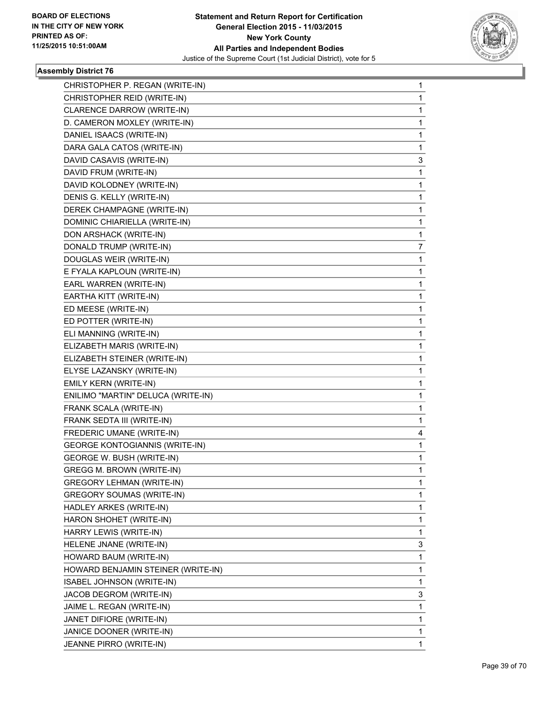

| CHRISTOPHER P. REGAN (WRITE-IN)       | 1 |
|---------------------------------------|---|
| CHRISTOPHER REID (WRITE-IN)           | 1 |
| CLARENCE DARROW (WRITE-IN)            | 1 |
| D. CAMERON MOXLEY (WRITE-IN)          | 1 |
| DANIEL ISAACS (WRITE-IN)              | 1 |
| DARA GALA CATOS (WRITE-IN)            | 1 |
| DAVID CASAVIS (WRITE-IN)              | 3 |
| DAVID FRUM (WRITE-IN)                 | 1 |
| DAVID KOLODNEY (WRITE-IN)             | 1 |
| DENIS G. KELLY (WRITE-IN)             | 1 |
| DEREK CHAMPAGNE (WRITE-IN)            | 1 |
| DOMINIC CHIARIELLA (WRITE-IN)         | 1 |
| DON ARSHACK (WRITE-IN)                | 1 |
| DONALD TRUMP (WRITE-IN)               | 7 |
| DOUGLAS WEIR (WRITE-IN)               | 1 |
| E FYALA KAPLOUN (WRITE-IN)            | 1 |
| EARL WARREN (WRITE-IN)                | 1 |
| EARTHA KITT (WRITE-IN)                | 1 |
| ED MEESE (WRITE-IN)                   | 1 |
| ED POTTER (WRITE-IN)                  | 1 |
| ELI MANNING (WRITE-IN)                | 1 |
| ELIZABETH MARIS (WRITE-IN)            | 1 |
| ELIZABETH STEINER (WRITE-IN)          | 1 |
| ELYSE LAZANSKY (WRITE-IN)             | 1 |
| EMILY KERN (WRITE-IN)                 | 1 |
| ENILIMO "MARTIN" DELUCA (WRITE-IN)    | 1 |
| FRANK SCALA (WRITE-IN)                | 1 |
| FRANK SEDTA III (WRITE-IN)            | 1 |
| FREDERIC UMANE (WRITE-IN)             | 4 |
| <b>GEORGE KONTOGIANNIS (WRITE-IN)</b> | 1 |
| GEORGE W. BUSH (WRITE-IN)             | 1 |
| GREGG M. BROWN (WRITE-IN)             | 1 |
| GREGORY LEHMAN (WRITE-IN)             | 1 |
| <b>GREGORY SOUMAS (WRITE-IN)</b>      | 1 |
| HADLEY ARKES (WRITE-IN)               | 1 |
| HARON SHOHET (WRITE-IN)               | 1 |
| HARRY LEWIS (WRITE-IN)                | 1 |
| HELENE JNANE (WRITE-IN)               | 3 |
| HOWARD BAUM (WRITE-IN)                | 1 |
| HOWARD BENJAMIN STEINER (WRITE-IN)    | 1 |
| <b>ISABEL JOHNSON (WRITE-IN)</b>      | 1 |
| JACOB DEGROM (WRITE-IN)               | 3 |
| JAIME L. REGAN (WRITE-IN)             | 1 |
| JANET DIFIORE (WRITE-IN)              | 1 |
| JANICE DOONER (WRITE-IN)              | 1 |
| JEANNE PIRRO (WRITE-IN)               | 1 |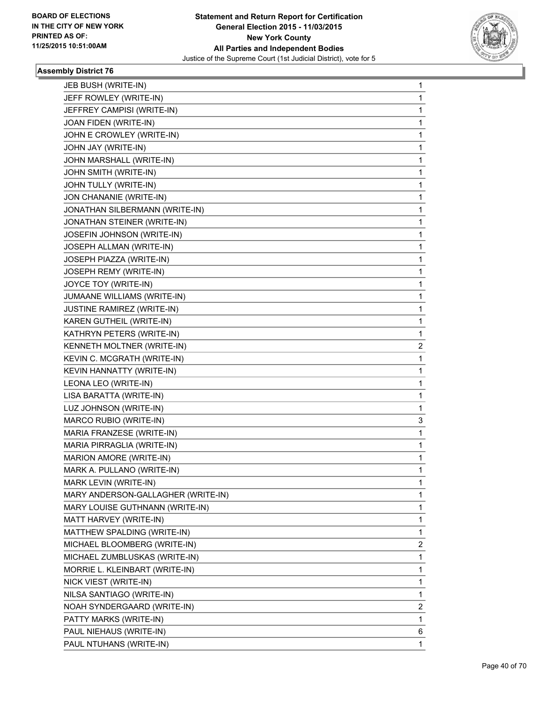

| JEB BUSH (WRITE-IN)                | 1 |
|------------------------------------|---|
| JEFF ROWLEY (WRITE-IN)             | 1 |
| JEFFREY CAMPISI (WRITE-IN)         | 1 |
| JOAN FIDEN (WRITE-IN)              | 1 |
| JOHN E CROWLEY (WRITE-IN)          | 1 |
| JOHN JAY (WRITE-IN)                | 1 |
| JOHN MARSHALL (WRITE-IN)           | 1 |
| JOHN SMITH (WRITE-IN)              | 1 |
| JOHN TULLY (WRITE-IN)              | 1 |
| JON CHANANIE (WRITE-IN)            | 1 |
| JONATHAN SILBERMANN (WRITE-IN)     | 1 |
| JONATHAN STEINER (WRITE-IN)        | 1 |
| JOSEFIN JOHNSON (WRITE-IN)         | 1 |
| JOSEPH ALLMAN (WRITE-IN)           | 1 |
| JOSEPH PIAZZA (WRITE-IN)           | 1 |
| JOSEPH REMY (WRITE-IN)             | 1 |
| JOYCE TOY (WRITE-IN)               | 1 |
| JUMAANE WILLIAMS (WRITE-IN)        | 1 |
| JUSTINE RAMIREZ (WRITE-IN)         | 1 |
| KAREN GUTHEIL (WRITE-IN)           | 1 |
| KATHRYN PETERS (WRITE-IN)          | 1 |
| KENNETH MOLTNER (WRITE-IN)         | 2 |
| KEVIN C. MCGRATH (WRITE-IN)        | 1 |
| KEVIN HANNATTY (WRITE-IN)          | 1 |
| LEONA LEO (WRITE-IN)               | 1 |
| LISA BARATTA (WRITE-IN)            | 1 |
| LUZ JOHNSON (WRITE-IN)             | 1 |
| MARCO RUBIO (WRITE-IN)             | 3 |
| MARIA FRANZESE (WRITE-IN)          | 1 |
| MARIA PIRRAGLIA (WRITE-IN)         | 1 |
| MARION AMORE (WRITE-IN)            | 1 |
| MARK A. PULLANO (WRITE-IN)         | 1 |
| MARK LEVIN (WRITE-IN)              | 1 |
| MARY ANDERSON-GALLAGHER (WRITE-IN) | 1 |
| MARY LOUISE GUTHNANN (WRITE-IN)    | 1 |
| MATT HARVEY (WRITE-IN)             | 1 |
| MATTHEW SPALDING (WRITE-IN)        | 1 |
| MICHAEL BLOOMBERG (WRITE-IN)       | 2 |
| MICHAEL ZUMBLUSKAS (WRITE-IN)      | 1 |
| MORRIE L. KLEINBART (WRITE-IN)     | 1 |
| NICK VIEST (WRITE-IN)              | 1 |
| NILSA SANTIAGO (WRITE-IN)          | 1 |
| NOAH SYNDERGAARD (WRITE-IN)        | 2 |
| PATTY MARKS (WRITE-IN)             | 1 |
| PAUL NIEHAUS (WRITE-IN)            | 6 |
| PAUL NTUHANS (WRITE-IN)            | 1 |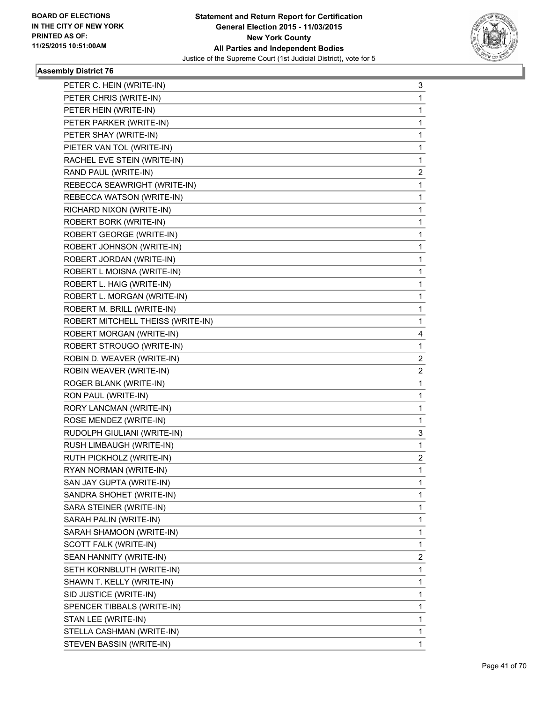

| PETER C. HEIN (WRITE-IN)          | 3 |
|-----------------------------------|---|
| PETER CHRIS (WRITE-IN)            | 1 |
| PETER HEIN (WRITE-IN)             | 1 |
| PETER PARKER (WRITE-IN)           | 1 |
| PETER SHAY (WRITE-IN)             | 1 |
| PIETER VAN TOL (WRITE-IN)         | 1 |
| RACHEL EVE STEIN (WRITE-IN)       | 1 |
| RAND PAUL (WRITE-IN)              | 2 |
| REBECCA SEAWRIGHT (WRITE-IN)      | 1 |
| REBECCA WATSON (WRITE-IN)         | 1 |
| RICHARD NIXON (WRITE-IN)          | 1 |
| ROBERT BORK (WRITE-IN)            | 1 |
| ROBERT GEORGE (WRITE-IN)          | 1 |
| ROBERT JOHNSON (WRITE-IN)         | 1 |
| ROBERT JORDAN (WRITE-IN)          | 1 |
| ROBERT L MOISNA (WRITE-IN)        | 1 |
| ROBERT L. HAIG (WRITE-IN)         | 1 |
| ROBERT L. MORGAN (WRITE-IN)       | 1 |
| ROBERT M. BRILL (WRITE-IN)        | 1 |
| ROBERT MITCHELL THEISS (WRITE-IN) | 1 |
| ROBERT MORGAN (WRITE-IN)          | 4 |
| ROBERT STROUGO (WRITE-IN)         | 1 |
| ROBIN D. WEAVER (WRITE-IN)        | 2 |
| ROBIN WEAVER (WRITE-IN)           | 2 |
|                                   |   |
| ROGER BLANK (WRITE-IN)            | 1 |
| RON PAUL (WRITE-IN)               | 1 |
| RORY LANCMAN (WRITE-IN)           | 1 |
| ROSE MENDEZ (WRITE-IN)            | 1 |
| RUDOLPH GIULIANI (WRITE-IN)       | 3 |
| RUSH LIMBAUGH (WRITE-IN)          | 1 |
| RUTH PICKHOLZ (WRITE-IN)          | 2 |
| RYAN NORMAN (WRITE-IN)            | 1 |
| SAN JAY GUPTA (WRITE-IN)          | 1 |
| SANDRA SHOHET (WRITE-IN)          | 1 |
| SARA STEINER (WRITE-IN)           | 1 |
| SARAH PALIN (WRITE-IN)            | 1 |
| SARAH SHAMOON (WRITE-IN)          | 1 |
| SCOTT FALK (WRITE-IN)             | 1 |
| SEAN HANNITY (WRITE-IN)           | 2 |
| SETH KORNBLUTH (WRITE-IN)         | 1 |
| SHAWN T. KELLY (WRITE-IN)         | 1 |
| SID JUSTICE (WRITE-IN)            | 1 |
| SPENCER TIBBALS (WRITE-IN)        | 1 |
| STAN LEE (WRITE-IN)               | 1 |
| STELLA CASHMAN (WRITE-IN)         | 1 |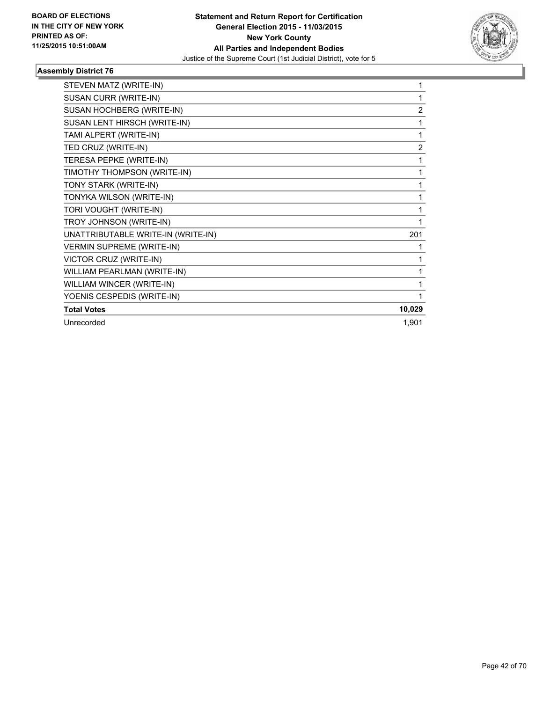

| STEVEN MATZ (WRITE-IN)             | 1              |
|------------------------------------|----------------|
| SUSAN CURR (WRITE-IN)              | 1              |
| SUSAN HOCHBERG (WRITE-IN)          | $\overline{2}$ |
| SUSAN LENT HIRSCH (WRITE-IN)       | 1              |
| TAMI ALPERT (WRITE-IN)             | 1              |
| TED CRUZ (WRITE-IN)                | $\overline{2}$ |
| TERESA PEPKE (WRITE-IN)            | 1              |
| TIMOTHY THOMPSON (WRITE-IN)        | 1              |
| TONY STARK (WRITE-IN)              | 1              |
| TONYKA WILSON (WRITE-IN)           | 1              |
| TORI VOUGHT (WRITE-IN)             | 1              |
| TROY JOHNSON (WRITE-IN)            | 1              |
| UNATTRIBUTABLE WRITE-IN (WRITE-IN) | 201            |
| <b>VERMIN SUPREME (WRITE-IN)</b>   | 1              |
| VICTOR CRUZ (WRITE-IN)             | 1              |
| WILLIAM PEARLMAN (WRITE-IN)        | 1              |
| WILLIAM WINCER (WRITE-IN)          | 1              |
| YOENIS CESPEDIS (WRITE-IN)         | 1              |
| <b>Total Votes</b>                 | 10,029         |
| Unrecorded                         | 1,901          |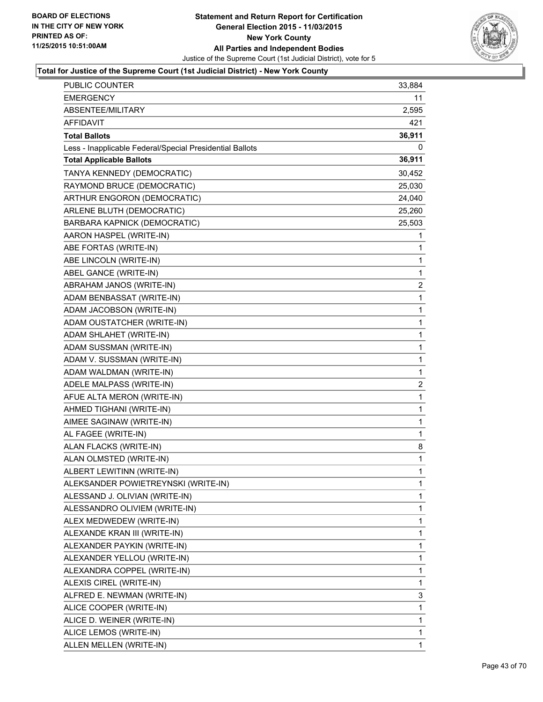

| PUBLIC COUNTER                                           | 33,884       |
|----------------------------------------------------------|--------------|
| <b>EMERGENCY</b>                                         | 11           |
| ABSENTEE/MILITARY                                        | 2,595        |
| AFFIDAVIT                                                | 421          |
| <b>Total Ballots</b>                                     | 36,911       |
| Less - Inapplicable Federal/Special Presidential Ballots | 0            |
| <b>Total Applicable Ballots</b>                          | 36,911       |
| TANYA KENNEDY (DEMOCRATIC)                               | 30,452       |
| RAYMOND BRUCE (DEMOCRATIC)                               | 25,030       |
| ARTHUR ENGORON (DEMOCRATIC)                              | 24,040       |
| ARLENE BLUTH (DEMOCRATIC)                                | 25,260       |
| BARBARA KAPNICK (DEMOCRATIC)                             | 25,503       |
| AARON HASPEL (WRITE-IN)                                  | 1            |
| ABE FORTAS (WRITE-IN)                                    | 1            |
| ABE LINCOLN (WRITE-IN)                                   | 1            |
| ABEL GANCE (WRITE-IN)                                    | 1            |
| ABRAHAM JANOS (WRITE-IN)                                 | 2            |
| ADAM BENBASSAT (WRITE-IN)                                | 1            |
| ADAM JACOBSON (WRITE-IN)                                 | 1            |
| ADAM OUSTATCHER (WRITE-IN)                               | 1            |
| ADAM SHLAHET (WRITE-IN)                                  | $\mathbf{1}$ |
| ADAM SUSSMAN (WRITE-IN)                                  | 1            |
| ADAM V. SUSSMAN (WRITE-IN)                               | 1            |
| ADAM WALDMAN (WRITE-IN)                                  | 1            |
| ADELE MALPASS (WRITE-IN)                                 | 2            |
| AFUE ALTA MERON (WRITE-IN)                               | 1            |
| AHMED TIGHANI (WRITE-IN)                                 | $\mathbf{1}$ |
| AIMEE SAGINAW (WRITE-IN)                                 | 1            |
| AL FAGEE (WRITE-IN)                                      | 1            |
| ALAN FLACKS (WRITE-IN)                                   | 8            |
| ALAN OLMSTED (WRITE-IN)                                  | 1            |
| ALBERT LEWITINN (WRITE-IN)                               | 1            |
| ALEKSANDER POWIETREYNSKI (WRITE-IN)                      | 1            |
| ALESSAND J. OLIVIAN (WRITE-IN)                           | 1            |
| ALESSANDRO OLIVIEM (WRITE-IN)                            | 1            |
| ALEX MEDWEDEW (WRITE-IN)                                 | 1            |
| ALEXANDE KRAN III (WRITE-IN)                             | 1            |
| ALEXANDER PAYKIN (WRITE-IN)                              | 1            |
| ALEXANDER YELLOU (WRITE-IN)                              | 1            |
| ALEXANDRA COPPEL (WRITE-IN)                              | 1            |
| ALEXIS CIREL (WRITE-IN)                                  | 1            |
| ALFRED E. NEWMAN (WRITE-IN)                              | 3            |
| ALICE COOPER (WRITE-IN)                                  | 1            |
| ALICE D. WEINER (WRITE-IN)                               | 1            |
| ALICE LEMOS (WRITE-IN)                                   | 1            |
| ALLEN MELLEN (WRITE-IN)                                  | 1            |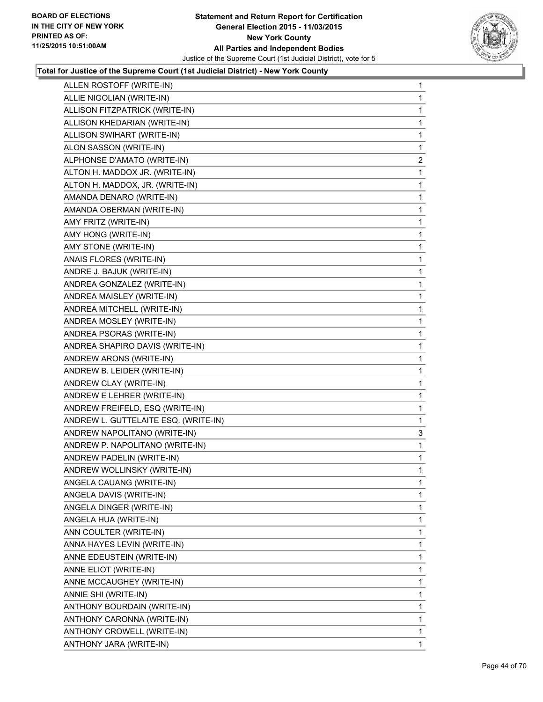

| ALLEN ROSTOFF (WRITE-IN)             | 1              |
|--------------------------------------|----------------|
| ALLIE NIGOLIAN (WRITE-IN)            | 1              |
| ALLISON FITZPATRICK (WRITE-IN)       | 1              |
| ALLISON KHEDARIAN (WRITE-IN)         | 1              |
| ALLISON SWIHART (WRITE-IN)           | 1              |
| ALON SASSON (WRITE-IN)               | 1              |
| ALPHONSE D'AMATO (WRITE-IN)          | $\overline{2}$ |
| ALTON H. MADDOX JR. (WRITE-IN)       | 1              |
| ALTON H. MADDOX, JR. (WRITE-IN)      | 1              |
| AMANDA DENARO (WRITE-IN)             | 1              |
| AMANDA OBERMAN (WRITE-IN)            | 1              |
| AMY FRITZ (WRITE-IN)                 | 1              |
| AMY HONG (WRITE-IN)                  | 1              |
| AMY STONE (WRITE-IN)                 | 1              |
| ANAIS FLORES (WRITE-IN)              | 1              |
| ANDRE J. BAJUK (WRITE-IN)            | 1              |
| ANDREA GONZALEZ (WRITE-IN)           | 1              |
| ANDREA MAISLEY (WRITE-IN)            | 1              |
| ANDREA MITCHELL (WRITE-IN)           | 1              |
| ANDREA MOSLEY (WRITE-IN)             | 1              |
| ANDREA PSORAS (WRITE-IN)             | 1              |
| ANDREA SHAPIRO DAVIS (WRITE-IN)      | 1              |
| ANDREW ARONS (WRITE-IN)              | 1              |
| ANDREW B. LEIDER (WRITE-IN)          | 1              |
| ANDREW CLAY (WRITE-IN)               | 1              |
| ANDREW E LEHRER (WRITE-IN)           | 1              |
| ANDREW FREIFELD, ESQ (WRITE-IN)      | 1              |
| ANDREW L. GUTTELAITE ESQ. (WRITE-IN) | 1              |
| ANDREW NAPOLITANO (WRITE-IN)         | 3              |
| ANDREW P. NAPOLITANO (WRITE-IN)      | 1              |
| ANDREW PADELIN (WRITE-IN)            | 1              |
| ANDREW WOLLINSKY (WRITE-IN)          | 1              |
| ANGELA CAUANG (WRITE-IN)             | 1              |
| ANGELA DAVIS (WRITE-IN)              | 1              |
| ANGELA DINGER (WRITE-IN)             | 1              |
| ANGELA HUA (WRITE-IN)                | 1              |
| ANN COULTER (WRITE-IN)               | 1              |
| ANNA HAYES LEVIN (WRITE-IN)          | 1              |
| ANNE EDEUSTEIN (WRITE-IN)            | 1              |
| ANNE ELIOT (WRITE-IN)                | 1              |
| ANNE MCCAUGHEY (WRITE-IN)            | 1              |
| ANNIE SHI (WRITE-IN)                 | 1              |
| ANTHONY BOURDAIN (WRITE-IN)          | 1              |
| ANTHONY CARONNA (WRITE-IN)           | 1              |
| ANTHONY CROWELL (WRITE-IN)           | 1              |
| ANTHONY JARA (WRITE-IN)              | $\mathbf 1$    |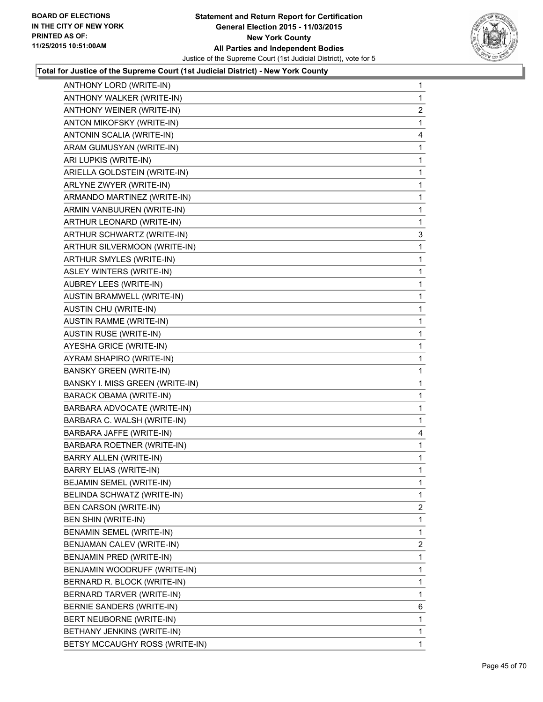

| ANTHONY LORD (WRITE-IN)         | 1              |
|---------------------------------|----------------|
| ANTHONY WALKER (WRITE-IN)       | 1              |
| ANTHONY WEINER (WRITE-IN)       | 2              |
| ANTON MIKOFSKY (WRITE-IN)       | 1              |
| ANTONIN SCALIA (WRITE-IN)       | 4              |
| ARAM GUMUSYAN (WRITE-IN)        | 1              |
| ARI LUPKIS (WRITE-IN)           | 1              |
| ARIELLA GOLDSTEIN (WRITE-IN)    | 1              |
| ARLYNE ZWYER (WRITE-IN)         | 1              |
| ARMANDO MARTINEZ (WRITE-IN)     | 1              |
| ARMIN VANBUUREN (WRITE-IN)      | 1              |
| ARTHUR LEONARD (WRITE-IN)       | 1              |
| ARTHUR SCHWARTZ (WRITE-IN)      | 3              |
| ARTHUR SILVERMOON (WRITE-IN)    | 1              |
| ARTHUR SMYLES (WRITE-IN)        | 1              |
| ASLEY WINTERS (WRITE-IN)        | 1              |
| AUBREY LEES (WRITE-IN)          | 1              |
| AUSTIN BRAMWELL (WRITE-IN)      | 1              |
| AUSTIN CHU (WRITE-IN)           | 1              |
| <b>AUSTIN RAMME (WRITE-IN)</b>  | 1              |
| <b>AUSTIN RUSE (WRITE-IN)</b>   | 1              |
| AYESHA GRICE (WRITE-IN)         | 1              |
| AYRAM SHAPIRO (WRITE-IN)        | 1              |
| <b>BANSKY GREEN (WRITE-IN)</b>  | 1              |
| BANSKY I. MISS GREEN (WRITE-IN) | 1              |
| <b>BARACK OBAMA (WRITE-IN)</b>  | 1              |
| BARBARA ADVOCATE (WRITE-IN)     | 1              |
| BARBARA C. WALSH (WRITE-IN)     | 1.             |
| BARBARA JAFFE (WRITE-IN)        | 4              |
| BARBARA ROETNER (WRITE-IN)      | 1              |
| BARRY ALLEN (WRITE-IN)          | 1.             |
| <b>BARRY ELIAS (WRITE-IN)</b>   | 1              |
| BEJAMIN SEMEL (WRITE-IN)        | 1              |
| BELINDA SCHWATZ (WRITE-IN)      | $\mathbf{1}$   |
| <b>BEN CARSON (WRITE-IN)</b>    | 2              |
| BEN SHIN (WRITE-IN)             | 1              |
| BENAMIN SEMEL (WRITE-IN)        | 1              |
| BENJAMAN CALEV (WRITE-IN)       | $\overline{2}$ |
| BENJAMIN PRED (WRITE-IN)        | 1              |
| BENJAMIN WOODRUFF (WRITE-IN)    | 1              |
| BERNARD R. BLOCK (WRITE-IN)     | 1              |
| BERNARD TARVER (WRITE-IN)       | 1              |
| BERNIE SANDERS (WRITE-IN)       | 6              |
| BERT NEUBORNE (WRITE-IN)        | 1              |
| BETHANY JENKINS (WRITE-IN)      | 1              |
| BETSY MCCAUGHY ROSS (WRITE-IN)  | 1.             |
|                                 |                |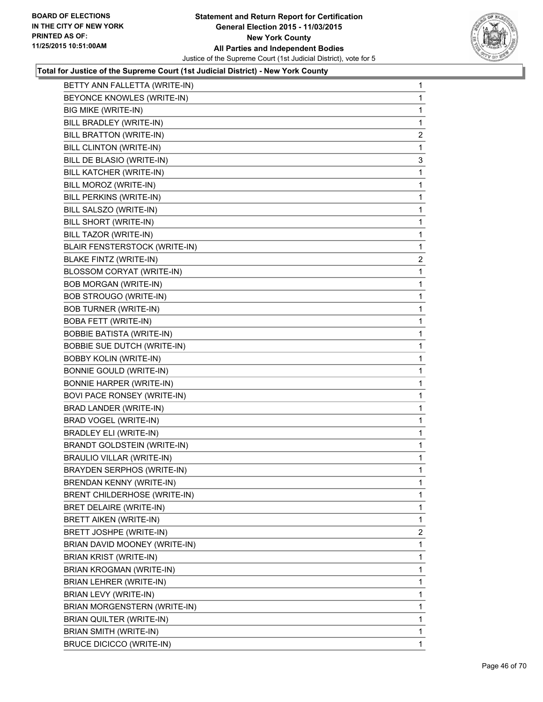

| BETTY ANN FALLETTA (WRITE-IN)      | 1                       |
|------------------------------------|-------------------------|
| BEYONCE KNOWLES (WRITE-IN)         | 1                       |
| BIG MIKE (WRITE-IN)                | 1                       |
| BILL BRADLEY (WRITE-IN)            | 1                       |
| BILL BRATTON (WRITE-IN)            | $\overline{\mathbf{c}}$ |
| BILL CLINTON (WRITE-IN)            | 1                       |
| BILL DE BLASIO (WRITE-IN)          | 3                       |
| BILL KATCHER (WRITE-IN)            | 1                       |
| BILL MOROZ (WRITE-IN)              | 1                       |
| BILL PERKINS (WRITE-IN)            | 1                       |
| BILL SALSZO (WRITE-IN)             | 1                       |
| BILL SHORT (WRITE-IN)              | 1                       |
| BILL TAZOR (WRITE-IN)              | 1                       |
| BLAIR FENSTERSTOCK (WRITE-IN)      | 1                       |
| <b>BLAKE FINTZ (WRITE-IN)</b>      | $\overline{2}$          |
| <b>BLOSSOM CORYAT (WRITE-IN)</b>   | 1                       |
| <b>BOB MORGAN (WRITE-IN)</b>       | 1                       |
| BOB STROUGO (WRITE-IN)             | 1                       |
| <b>BOB TURNER (WRITE-IN)</b>       | 1                       |
| <b>BOBA FETT (WRITE-IN)</b>        | 1                       |
| <b>BOBBIE BATISTA (WRITE-IN)</b>   | 1                       |
| <b>BOBBIE SUE DUTCH (WRITE-IN)</b> | 1                       |
| <b>BOBBY KOLIN (WRITE-IN)</b>      | 1                       |
| <b>BONNIE GOULD (WRITE-IN)</b>     | 1                       |
| <b>BONNIE HARPER (WRITE-IN)</b>    | 1                       |
| BOVI PACE RONSEY (WRITE-IN)        | 1                       |
| BRAD LANDER (WRITE-IN)             | 1                       |
| BRAD VOGEL (WRITE-IN)              | 1                       |
| <b>BRADLEY ELI (WRITE-IN)</b>      | 1                       |
| <b>BRANDT GOLDSTEIN (WRITE-IN)</b> | 1                       |
| <b>BRAULIO VILLAR (WRITE-IN)</b>   | 1                       |
| <b>BRAYDEN SERPHOS (WRITE-IN)</b>  | 1                       |
| <b>BRENDAN KENNY (WRITE-IN)</b>    | 1                       |
| BRENT CHILDERHOSE (WRITE-IN)       | 1                       |
| BRET DELAIRE (WRITE-IN)            | 1                       |
| <b>BRETT AIKEN (WRITE-IN)</b>      | 1                       |
| BRETT JOSHPE (WRITE-IN)            | $\overline{2}$          |
| BRIAN DAVID MOONEY (WRITE-IN)      | 1                       |
| BRIAN KRIST (WRITE-IN)             | 1                       |
| BRIAN KROGMAN (WRITE-IN)           | 1                       |
| BRIAN LEHRER (WRITE-IN)            | 1                       |
| BRIAN LEVY (WRITE-IN)              | 1                       |
| BRIAN MORGENSTERN (WRITE-IN)       | 1                       |
| BRIAN QUILTER (WRITE-IN)           | 1                       |
| BRIAN SMITH (WRITE-IN)             | 1                       |
| <b>BRUCE DICICCO (WRITE-IN)</b>    | 1                       |
|                                    |                         |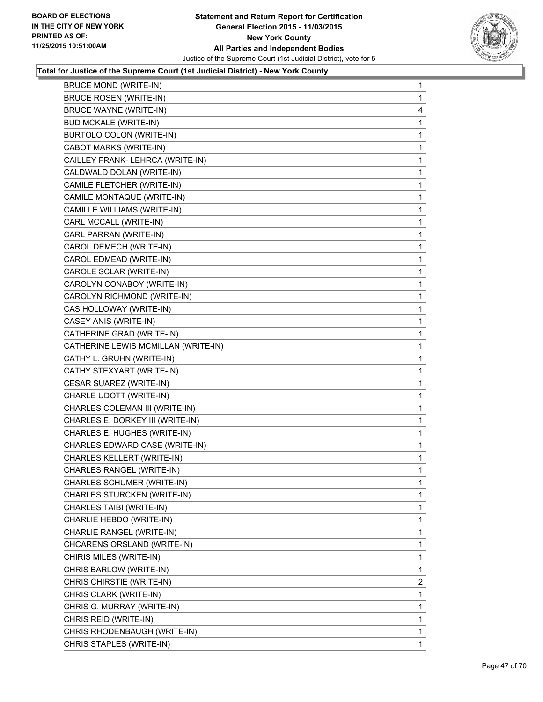

| <b>BRUCE ROSEN (WRITE-IN)</b><br><b>BRUCE WAYNE (WRITE-IN)</b><br><b>BUD MCKALE (WRITE-IN)</b><br>BURTOLO COLON (WRITE-IN)<br>CABOT MARKS (WRITE-IN)<br>CAILLEY FRANK- LEHRCA (WRITE-IN)<br>CALDWALD DOLAN (WRITE-IN)<br>CAMILE FLETCHER (WRITE-IN)<br>CAMILE MONTAQUE (WRITE-IN)<br>CAMILLE WILLIAMS (WRITE-IN)<br>CARL MCCALL (WRITE-IN)<br>CARL PARRAN (WRITE-IN)<br>CAROL DEMECH (WRITE-IN)<br>CAROL EDMEAD (WRITE-IN)<br>CAROLE SCLAR (WRITE-IN)<br>CAROLYN CONABOY (WRITE-IN)<br>CAROLYN RICHMOND (WRITE-IN)<br>CAS HOLLOWAY (WRITE-IN)<br>CASEY ANIS (WRITE-IN)<br>CATHERINE GRAD (WRITE-IN)<br>CATHERINE LEWIS MCMILLAN (WRITE-IN)<br>CATHY L. GRUHN (WRITE-IN)<br>CATHY STEXYART (WRITE-IN)<br>CESAR SUAREZ (WRITE-IN)<br>CHARLE UDOTT (WRITE-IN)<br>CHARLES COLEMAN III (WRITE-IN)<br>CHARLES E. DORKEY III (WRITE-IN)<br>CHARLES E. HUGHES (WRITE-IN)<br>CHARLES EDWARD CASE (WRITE-IN)<br>CHARLES KELLERT (WRITE-IN)<br>CHARLES RANGEL (WRITE-IN)<br>CHARLES SCHUMER (WRITE-IN)<br>CHARLES STURCKEN (WRITE-IN)<br>CHARLES TAIBI (WRITE-IN)<br>CHARLIE HEBDO (WRITE-IN)<br>CHARLIE RANGEL (WRITE-IN)<br>CHCARENS ORSLAND (WRITE-IN)<br>CHIRIS MILES (WRITE-IN)<br>CHRIS BARLOW (WRITE-IN)<br>CHRIS CHIRSTIE (WRITE-IN)<br>CHRIS CLARK (WRITE-IN)<br>CHRIS G. MURRAY (WRITE-IN)<br>CHRIS REID (WRITE-IN)<br>CHRIS RHODENBAUGH (WRITE-IN) | <b>BRUCE MOND (WRITE-IN)</b> | 1              |
|----------------------------------------------------------------------------------------------------------------------------------------------------------------------------------------------------------------------------------------------------------------------------------------------------------------------------------------------------------------------------------------------------------------------------------------------------------------------------------------------------------------------------------------------------------------------------------------------------------------------------------------------------------------------------------------------------------------------------------------------------------------------------------------------------------------------------------------------------------------------------------------------------------------------------------------------------------------------------------------------------------------------------------------------------------------------------------------------------------------------------------------------------------------------------------------------------------------------------------------------------------------------------------------------------------------------------------------------------|------------------------------|----------------|
|                                                                                                                                                                                                                                                                                                                                                                                                                                                                                                                                                                                                                                                                                                                                                                                                                                                                                                                                                                                                                                                                                                                                                                                                                                                                                                                                                    |                              | $\mathbf{1}$   |
|                                                                                                                                                                                                                                                                                                                                                                                                                                                                                                                                                                                                                                                                                                                                                                                                                                                                                                                                                                                                                                                                                                                                                                                                                                                                                                                                                    |                              | 4              |
|                                                                                                                                                                                                                                                                                                                                                                                                                                                                                                                                                                                                                                                                                                                                                                                                                                                                                                                                                                                                                                                                                                                                                                                                                                                                                                                                                    |                              | 1              |
|                                                                                                                                                                                                                                                                                                                                                                                                                                                                                                                                                                                                                                                                                                                                                                                                                                                                                                                                                                                                                                                                                                                                                                                                                                                                                                                                                    |                              | 1              |
|                                                                                                                                                                                                                                                                                                                                                                                                                                                                                                                                                                                                                                                                                                                                                                                                                                                                                                                                                                                                                                                                                                                                                                                                                                                                                                                                                    |                              | 1              |
|                                                                                                                                                                                                                                                                                                                                                                                                                                                                                                                                                                                                                                                                                                                                                                                                                                                                                                                                                                                                                                                                                                                                                                                                                                                                                                                                                    |                              | 1              |
|                                                                                                                                                                                                                                                                                                                                                                                                                                                                                                                                                                                                                                                                                                                                                                                                                                                                                                                                                                                                                                                                                                                                                                                                                                                                                                                                                    |                              | 1              |
|                                                                                                                                                                                                                                                                                                                                                                                                                                                                                                                                                                                                                                                                                                                                                                                                                                                                                                                                                                                                                                                                                                                                                                                                                                                                                                                                                    |                              | 1              |
|                                                                                                                                                                                                                                                                                                                                                                                                                                                                                                                                                                                                                                                                                                                                                                                                                                                                                                                                                                                                                                                                                                                                                                                                                                                                                                                                                    |                              | 1              |
|                                                                                                                                                                                                                                                                                                                                                                                                                                                                                                                                                                                                                                                                                                                                                                                                                                                                                                                                                                                                                                                                                                                                                                                                                                                                                                                                                    |                              | 1              |
|                                                                                                                                                                                                                                                                                                                                                                                                                                                                                                                                                                                                                                                                                                                                                                                                                                                                                                                                                                                                                                                                                                                                                                                                                                                                                                                                                    |                              | 1              |
|                                                                                                                                                                                                                                                                                                                                                                                                                                                                                                                                                                                                                                                                                                                                                                                                                                                                                                                                                                                                                                                                                                                                                                                                                                                                                                                                                    |                              | 1              |
|                                                                                                                                                                                                                                                                                                                                                                                                                                                                                                                                                                                                                                                                                                                                                                                                                                                                                                                                                                                                                                                                                                                                                                                                                                                                                                                                                    |                              | 1              |
|                                                                                                                                                                                                                                                                                                                                                                                                                                                                                                                                                                                                                                                                                                                                                                                                                                                                                                                                                                                                                                                                                                                                                                                                                                                                                                                                                    |                              | 1              |
|                                                                                                                                                                                                                                                                                                                                                                                                                                                                                                                                                                                                                                                                                                                                                                                                                                                                                                                                                                                                                                                                                                                                                                                                                                                                                                                                                    |                              | 1              |
|                                                                                                                                                                                                                                                                                                                                                                                                                                                                                                                                                                                                                                                                                                                                                                                                                                                                                                                                                                                                                                                                                                                                                                                                                                                                                                                                                    |                              | 1              |
|                                                                                                                                                                                                                                                                                                                                                                                                                                                                                                                                                                                                                                                                                                                                                                                                                                                                                                                                                                                                                                                                                                                                                                                                                                                                                                                                                    |                              | 1              |
|                                                                                                                                                                                                                                                                                                                                                                                                                                                                                                                                                                                                                                                                                                                                                                                                                                                                                                                                                                                                                                                                                                                                                                                                                                                                                                                                                    |                              | 1              |
|                                                                                                                                                                                                                                                                                                                                                                                                                                                                                                                                                                                                                                                                                                                                                                                                                                                                                                                                                                                                                                                                                                                                                                                                                                                                                                                                                    |                              | 1              |
|                                                                                                                                                                                                                                                                                                                                                                                                                                                                                                                                                                                                                                                                                                                                                                                                                                                                                                                                                                                                                                                                                                                                                                                                                                                                                                                                                    |                              | 1              |
|                                                                                                                                                                                                                                                                                                                                                                                                                                                                                                                                                                                                                                                                                                                                                                                                                                                                                                                                                                                                                                                                                                                                                                                                                                                                                                                                                    |                              | 1              |
|                                                                                                                                                                                                                                                                                                                                                                                                                                                                                                                                                                                                                                                                                                                                                                                                                                                                                                                                                                                                                                                                                                                                                                                                                                                                                                                                                    |                              | 1              |
|                                                                                                                                                                                                                                                                                                                                                                                                                                                                                                                                                                                                                                                                                                                                                                                                                                                                                                                                                                                                                                                                                                                                                                                                                                                                                                                                                    |                              | 1              |
|                                                                                                                                                                                                                                                                                                                                                                                                                                                                                                                                                                                                                                                                                                                                                                                                                                                                                                                                                                                                                                                                                                                                                                                                                                                                                                                                                    |                              | 1              |
|                                                                                                                                                                                                                                                                                                                                                                                                                                                                                                                                                                                                                                                                                                                                                                                                                                                                                                                                                                                                                                                                                                                                                                                                                                                                                                                                                    |                              | 1              |
|                                                                                                                                                                                                                                                                                                                                                                                                                                                                                                                                                                                                                                                                                                                                                                                                                                                                                                                                                                                                                                                                                                                                                                                                                                                                                                                                                    |                              | 1              |
|                                                                                                                                                                                                                                                                                                                                                                                                                                                                                                                                                                                                                                                                                                                                                                                                                                                                                                                                                                                                                                                                                                                                                                                                                                                                                                                                                    |                              | 1              |
|                                                                                                                                                                                                                                                                                                                                                                                                                                                                                                                                                                                                                                                                                                                                                                                                                                                                                                                                                                                                                                                                                                                                                                                                                                                                                                                                                    |                              | 1              |
|                                                                                                                                                                                                                                                                                                                                                                                                                                                                                                                                                                                                                                                                                                                                                                                                                                                                                                                                                                                                                                                                                                                                                                                                                                                                                                                                                    |                              | 1              |
|                                                                                                                                                                                                                                                                                                                                                                                                                                                                                                                                                                                                                                                                                                                                                                                                                                                                                                                                                                                                                                                                                                                                                                                                                                                                                                                                                    |                              | 1              |
|                                                                                                                                                                                                                                                                                                                                                                                                                                                                                                                                                                                                                                                                                                                                                                                                                                                                                                                                                                                                                                                                                                                                                                                                                                                                                                                                                    |                              | 1              |
|                                                                                                                                                                                                                                                                                                                                                                                                                                                                                                                                                                                                                                                                                                                                                                                                                                                                                                                                                                                                                                                                                                                                                                                                                                                                                                                                                    |                              | 1              |
|                                                                                                                                                                                                                                                                                                                                                                                                                                                                                                                                                                                                                                                                                                                                                                                                                                                                                                                                                                                                                                                                                                                                                                                                                                                                                                                                                    |                              | 1              |
|                                                                                                                                                                                                                                                                                                                                                                                                                                                                                                                                                                                                                                                                                                                                                                                                                                                                                                                                                                                                                                                                                                                                                                                                                                                                                                                                                    |                              | 1              |
|                                                                                                                                                                                                                                                                                                                                                                                                                                                                                                                                                                                                                                                                                                                                                                                                                                                                                                                                                                                                                                                                                                                                                                                                                                                                                                                                                    |                              | 1              |
|                                                                                                                                                                                                                                                                                                                                                                                                                                                                                                                                                                                                                                                                                                                                                                                                                                                                                                                                                                                                                                                                                                                                                                                                                                                                                                                                                    |                              | 1              |
|                                                                                                                                                                                                                                                                                                                                                                                                                                                                                                                                                                                                                                                                                                                                                                                                                                                                                                                                                                                                                                                                                                                                                                                                                                                                                                                                                    |                              | 1              |
|                                                                                                                                                                                                                                                                                                                                                                                                                                                                                                                                                                                                                                                                                                                                                                                                                                                                                                                                                                                                                                                                                                                                                                                                                                                                                                                                                    |                              | 1              |
|                                                                                                                                                                                                                                                                                                                                                                                                                                                                                                                                                                                                                                                                                                                                                                                                                                                                                                                                                                                                                                                                                                                                                                                                                                                                                                                                                    |                              | 1              |
|                                                                                                                                                                                                                                                                                                                                                                                                                                                                                                                                                                                                                                                                                                                                                                                                                                                                                                                                                                                                                                                                                                                                                                                                                                                                                                                                                    |                              | $\overline{2}$ |
|                                                                                                                                                                                                                                                                                                                                                                                                                                                                                                                                                                                                                                                                                                                                                                                                                                                                                                                                                                                                                                                                                                                                                                                                                                                                                                                                                    |                              | 1              |
|                                                                                                                                                                                                                                                                                                                                                                                                                                                                                                                                                                                                                                                                                                                                                                                                                                                                                                                                                                                                                                                                                                                                                                                                                                                                                                                                                    |                              | 1              |
|                                                                                                                                                                                                                                                                                                                                                                                                                                                                                                                                                                                                                                                                                                                                                                                                                                                                                                                                                                                                                                                                                                                                                                                                                                                                                                                                                    |                              | 1              |
|                                                                                                                                                                                                                                                                                                                                                                                                                                                                                                                                                                                                                                                                                                                                                                                                                                                                                                                                                                                                                                                                                                                                                                                                                                                                                                                                                    |                              | 1              |
|                                                                                                                                                                                                                                                                                                                                                                                                                                                                                                                                                                                                                                                                                                                                                                                                                                                                                                                                                                                                                                                                                                                                                                                                                                                                                                                                                    | CHRIS STAPLES (WRITE-IN)     | $\mathbf{1}$   |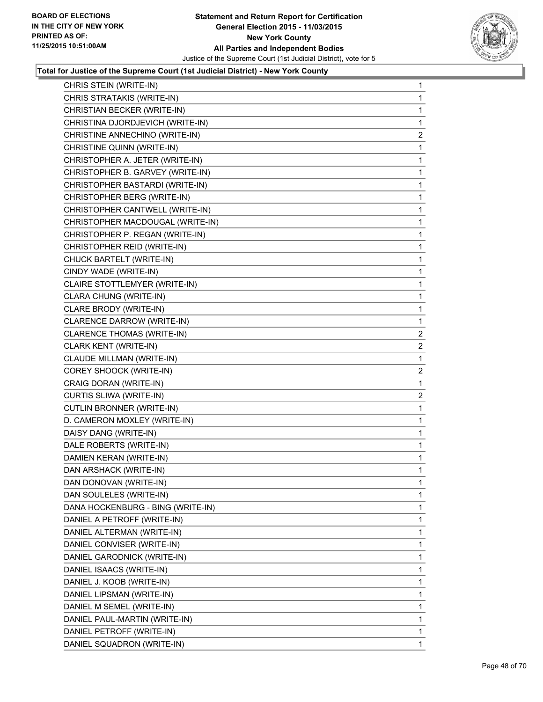

| CHRIS STEIN (WRITE-IN)            | 1              |
|-----------------------------------|----------------|
| CHRIS STRATAKIS (WRITE-IN)        | 1              |
| CHRISTIAN BECKER (WRITE-IN)       | 1              |
| CHRISTINA DJORDJEVICH (WRITE-IN)  | 1              |
| CHRISTINE ANNECHINO (WRITE-IN)    | 2              |
| CHRISTINE QUINN (WRITE-IN)        | 1              |
| CHRISTOPHER A. JETER (WRITE-IN)   | 1              |
| CHRISTOPHER B. GARVEY (WRITE-IN)  | 1              |
| CHRISTOPHER BASTARDI (WRITE-IN)   | 1              |
| CHRISTOPHER BERG (WRITE-IN)       | 1              |
| CHRISTOPHER CANTWELL (WRITE-IN)   | 1              |
| CHRISTOPHER MACDOUGAL (WRITE-IN)  | 1              |
| CHRISTOPHER P. REGAN (WRITE-IN)   | 1              |
| CHRISTOPHER REID (WRITE-IN)       | 1              |
| CHUCK BARTELT (WRITE-IN)          | 1              |
| CINDY WADE (WRITE-IN)             | 1              |
| CLAIRE STOTTLEMYER (WRITE-IN)     | 1              |
| CLARA CHUNG (WRITE-IN)            | 1              |
| CLARE BRODY (WRITE-IN)            | 1              |
| CLARENCE DARROW (WRITE-IN)        | 1              |
| <b>CLARENCE THOMAS (WRITE-IN)</b> | 2              |
| CLARK KENT (WRITE-IN)             | $\overline{2}$ |
| CLAUDE MILLMAN (WRITE-IN)         | 1              |
| COREY SHOOCK (WRITE-IN)           | 2              |
| CRAIG DORAN (WRITE-IN)            | 1              |
| CURTIS SLIWA (WRITE-IN)           | 2              |
| CUTLIN BRONNER (WRITE-IN)         | 1              |
| D. CAMERON MOXLEY (WRITE-IN)      | 1              |
| DAISY DANG (WRITE-IN)             | 1              |
| DALE ROBERTS (WRITE-IN)           | 1              |
| DAMIEN KERAN (WRITE-IN)           | 1              |
| DAN ARSHACK (WRITE-IN)            | 1              |
| DAN DONOVAN (WRITE-IN)            | 1              |
| DAN SOULELES (WRITE-IN)           | 1              |
| DANA HOCKENBURG - BING (WRITE-IN) | 1              |
| DANIEL A PETROFF (WRITE-IN)       | 1              |
| DANIEL ALTERMAN (WRITE-IN)        | 1              |
| DANIEL CONVISER (WRITE-IN)        | 1              |
| DANIEL GARODNICK (WRITE-IN)       | 1              |
| DANIEL ISAACS (WRITE-IN)          | 1              |
| DANIEL J. KOOB (WRITE-IN)         | 1              |
| DANIEL LIPSMAN (WRITE-IN)         | 1              |
|                                   |                |
| DANIEL M SEMEL (WRITE-IN)         | 1              |
| DANIEL PAUL-MARTIN (WRITE-IN)     | 1              |
| DANIEL PETROFF (WRITE-IN)         | 1              |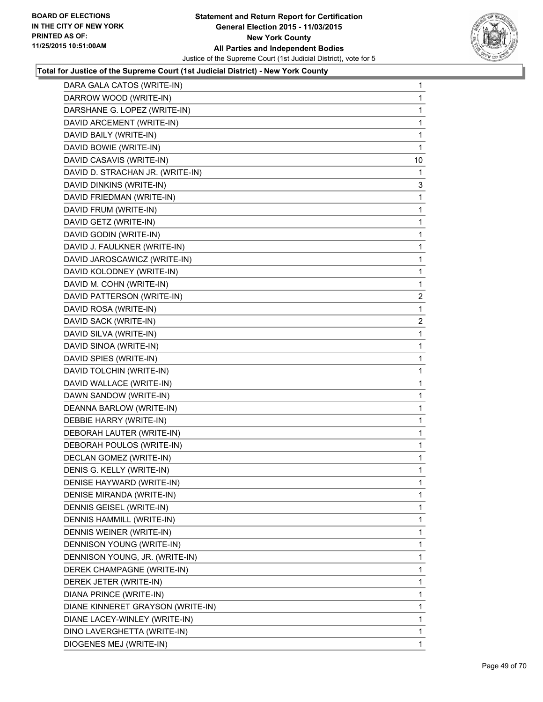

| DARA GALA CATOS (WRITE-IN)        | 1  |
|-----------------------------------|----|
| DARROW WOOD (WRITE-IN)            | 1  |
| DARSHANE G. LOPEZ (WRITE-IN)      | 1  |
| DAVID ARCEMENT (WRITE-IN)         | 1  |
| DAVID BAILY (WRITE-IN)            | 1  |
| DAVID BOWIE (WRITE-IN)            | 1  |
| DAVID CASAVIS (WRITE-IN)          | 10 |
| DAVID D. STRACHAN JR. (WRITE-IN)  | 1  |
| DAVID DINKINS (WRITE-IN)          | 3  |
| DAVID FRIEDMAN (WRITE-IN)         | 1  |
| DAVID FRUM (WRITE-IN)             | 1  |
| DAVID GETZ (WRITE-IN)             | 1  |
| DAVID GODIN (WRITE-IN)            | 1  |
| DAVID J. FAULKNER (WRITE-IN)      | 1  |
| DAVID JAROSCAWICZ (WRITE-IN)      | 1  |
| DAVID KOLODNEY (WRITE-IN)         | 1  |
| DAVID M. COHN (WRITE-IN)          | 1  |
| DAVID PATTERSON (WRITE-IN)        | 2  |
| DAVID ROSA (WRITE-IN)             | 1  |
| DAVID SACK (WRITE-IN)             | 2  |
| DAVID SILVA (WRITE-IN)            | 1  |
| DAVID SINOA (WRITE-IN)            | 1  |
| DAVID SPIES (WRITE-IN)            | 1  |
| DAVID TOLCHIN (WRITE-IN)          | 1  |
| DAVID WALLACE (WRITE-IN)          | 1  |
| DAWN SANDOW (WRITE-IN)            | 1  |
| DEANNA BARLOW (WRITE-IN)          | 1  |
| DEBBIE HARRY (WRITE-IN)           | 1  |
| DEBORAH LAUTER (WRITE-IN)         | 1  |
| DEBORAH POULOS (WRITE-IN)         | 1  |
| DECLAN GOMEZ (WRITE-IN)           | 1  |
| DENIS G. KELLY (WRITE-IN)         | 1  |
| DENISE HAYWARD (WRITE-IN)         | 1  |
| DENISE MIRANDA (WRITE-IN)         | 1  |
| DENNIS GEISEL (WRITE-IN)          | 1  |
| <b>DENNIS HAMMILL (WRITE-IN)</b>  | 1  |
| DENNIS WEINER (WRITE-IN)          | 1  |
| DENNISON YOUNG (WRITE-IN)         | 1  |
| DENNISON YOUNG, JR. (WRITE-IN)    | 1  |
| DEREK CHAMPAGNE (WRITE-IN)        | 1  |
| DEREK JETER (WRITE-IN)            | 1  |
| DIANA PRINCE (WRITE-IN)           | 1  |
| DIANE KINNERET GRAYSON (WRITE-IN) | 1  |
| DIANE LACEY-WINLEY (WRITE-IN)     | 1  |
| DINO LAVERGHETTA (WRITE-IN)       | 1  |
| DIOGENES MEJ (WRITE-IN)           | 1  |
|                                   |    |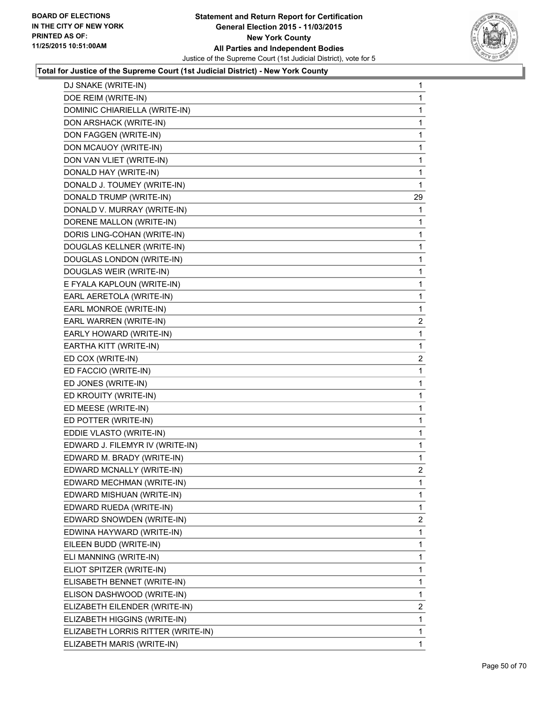

| DJ SNAKE (WRITE-IN)                | 1              |
|------------------------------------|----------------|
| DOE REIM (WRITE-IN)                | 1              |
| DOMINIC CHIARIELLA (WRITE-IN)      | 1              |
| DON ARSHACK (WRITE-IN)             | 1              |
| DON FAGGEN (WRITE-IN)              | 1              |
| DON MCAUOY (WRITE-IN)              | 1              |
| DON VAN VLIET (WRITE-IN)           | 1              |
| DONALD HAY (WRITE-IN)              | 1              |
| DONALD J. TOUMEY (WRITE-IN)        | 1              |
| DONALD TRUMP (WRITE-IN)            | 29             |
| DONALD V. MURRAY (WRITE-IN)        | 1              |
| DORENE MALLON (WRITE-IN)           | 1              |
| DORIS LING-COHAN (WRITE-IN)        | 1              |
| DOUGLAS KELLNER (WRITE-IN)         | 1              |
| DOUGLAS LONDON (WRITE-IN)          | 1              |
| DOUGLAS WEIR (WRITE-IN)            | 1              |
| E FYALA KAPLOUN (WRITE-IN)         | 1              |
| EARL AERETOLA (WRITE-IN)           | 1              |
| EARL MONROE (WRITE-IN)             | 1              |
| EARL WARREN (WRITE-IN)             | $\overline{2}$ |
| EARLY HOWARD (WRITE-IN)            | 1              |
| EARTHA KITT (WRITE-IN)             | 1              |
| ED COX (WRITE-IN)                  | 2              |
| ED FACCIO (WRITE-IN)               | 1              |
| ED JONES (WRITE-IN)                | 1              |
| ED KROUITY (WRITE-IN)              | 1              |
| ED MEESE (WRITE-IN)                | 1              |
| ED POTTER (WRITE-IN)               | 1              |
| EDDIE VLASTO (WRITE-IN)            | 1              |
| EDWARD J. FILEMYR IV (WRITE-IN)    | 1              |
| EDWARD M. BRADY (WRITE-IN)         | 1              |
| EDWARD MCNALLY (WRITE-IN)          | 2              |
| EDWARD MECHMAN (WRITE-IN)          | 1              |
| EDWARD MISHUAN (WRITE-IN)          | 1              |
| EDWARD RUEDA (WRITE-IN)            | 1              |
| EDWARD SNOWDEN (WRITE-IN)          | $\mathbf{2}$   |
| EDWINA HAYWARD (WRITE-IN)          | 1              |
| EILEEN BUDD (WRITE-IN)             | 1              |
| ELI MANNING (WRITE-IN)             | 1              |
| ELIOT SPITZER (WRITE-IN)           | 1              |
| ELISABETH BENNET (WRITE-IN)        | 1              |
| ELISON DASHWOOD (WRITE-IN)         | 1              |
| ELIZABETH EILENDER (WRITE-IN)      | $\overline{2}$ |
| ELIZABETH HIGGINS (WRITE-IN)       | 1              |
| ELIZABETH LORRIS RITTER (WRITE-IN) | 1              |
| ELIZABETH MARIS (WRITE-IN)         | 1              |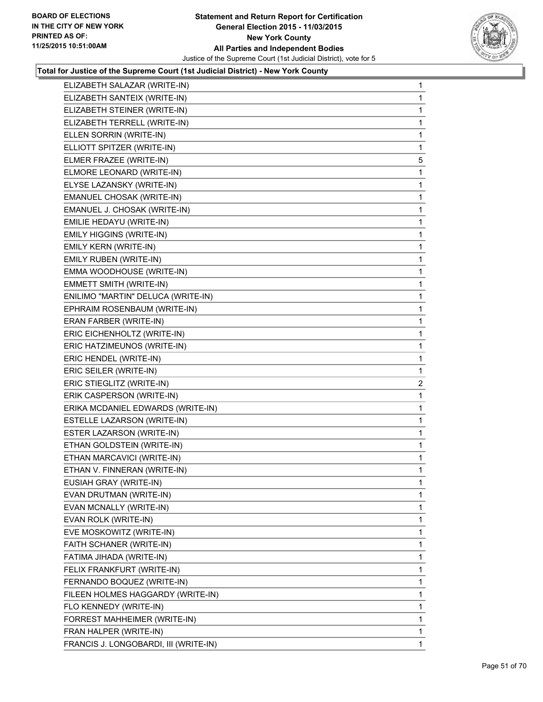

| ELIZABETH SALAZAR (WRITE-IN)          | 1              |
|---------------------------------------|----------------|
| ELIZABETH SANTEIX (WRITE-IN)          | 1              |
| ELIZABETH STEINER (WRITE-IN)          | 1              |
| ELIZABETH TERRELL (WRITE-IN)          | 1              |
| ELLEN SORRIN (WRITE-IN)               | 1              |
| ELLIOTT SPITZER (WRITE-IN)            | 1              |
| ELMER FRAZEE (WRITE-IN)               | 5              |
| ELMORE LEONARD (WRITE-IN)             | 1              |
| ELYSE LAZANSKY (WRITE-IN)             | 1              |
| EMANUEL CHOSAK (WRITE-IN)             | 1              |
| EMANUEL J. CHOSAK (WRITE-IN)          | 1              |
| EMILIE HEDAYU (WRITE-IN)              | 1              |
| EMILY HIGGINS (WRITE-IN)              | 1              |
| EMILY KERN (WRITE-IN)                 | 1              |
| EMILY RUBEN (WRITE-IN)                | 1              |
| EMMA WOODHOUSE (WRITE-IN)             | 1              |
| EMMETT SMITH (WRITE-IN)               | 1              |
| ENILIMO "MARTIN" DELUCA (WRITE-IN)    | 1              |
| EPHRAIM ROSENBAUM (WRITE-IN)          | 1              |
| ERAN FARBER (WRITE-IN)                | 1              |
| ERIC EICHENHOLTZ (WRITE-IN)           | 1              |
| ERIC HATZIMEUNOS (WRITE-IN)           | 1              |
| ERIC HENDEL (WRITE-IN)                | $\mathbf{1}$   |
| ERIC SEILER (WRITE-IN)                | 1              |
| ERIC STIEGLITZ (WRITE-IN)             | $\overline{a}$ |
| ERIK CASPERSON (WRITE-IN)             | 1              |
| ERIKA MCDANIEL EDWARDS (WRITE-IN)     | 1              |
| ESTELLE LAZARSON (WRITE-IN)           | 1              |
| ESTER LAZARSON (WRITE-IN)             | 1              |
| ETHAN GOLDSTEIN (WRITE-IN)            | 1              |
| ETHAN MARCAVICI (WRITE-IN)            | 1              |
| ETHAN V. FINNERAN (WRITE-IN)          | $\mathbf{1}$   |
| EUSIAH GRAY (WRITE-IN)                | 1              |
| EVAN DRUTMAN (WRITE-IN)               | 1              |
| EVAN MCNALLY (WRITE-IN)               | 1              |
| EVAN ROLK (WRITE-IN)                  | 1              |
| EVE MOSKOWITZ (WRITE-IN)              | 1              |
| FAITH SCHANER (WRITE-IN)              | 1              |
| FATIMA JIHADA (WRITE-IN)              | 1              |
| FELIX FRANKFURT (WRITE-IN)            | 1              |
| FERNANDO BOQUEZ (WRITE-IN)            | 1              |
| FILEEN HOLMES HAGGARDY (WRITE-IN)     | 1              |
| FLO KENNEDY (WRITE-IN)                | 1              |
| FORREST MAHHEIMER (WRITE-IN)          | 1              |
| FRAN HALPER (WRITE-IN)                | 1              |
|                                       | 1              |
| FRANCIS J. LONGOBARDI, III (WRITE-IN) |                |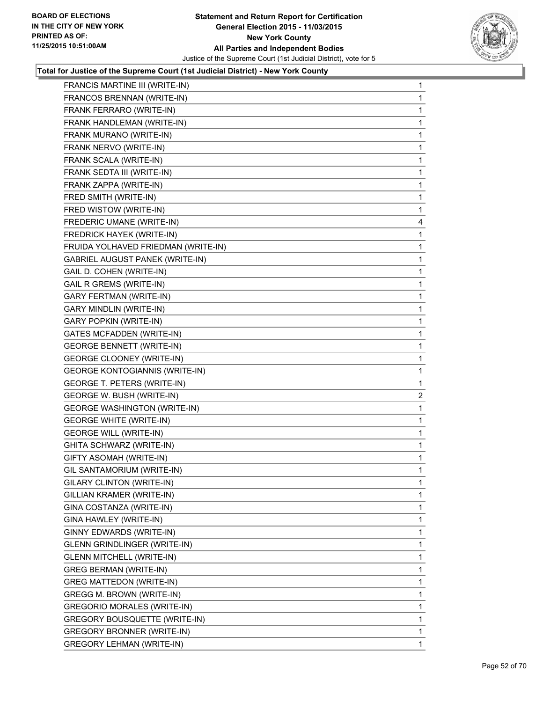

| FRANCIS MARTINE III (WRITE-IN)         | 1            |
|----------------------------------------|--------------|
| FRANCOS BRENNAN (WRITE-IN)             | 1            |
| FRANK FERRARO (WRITE-IN)               | 1            |
| FRANK HANDLEMAN (WRITE-IN)             | 1            |
| FRANK MURANO (WRITE-IN)                | 1            |
| FRANK NERVO (WRITE-IN)                 | 1            |
| FRANK SCALA (WRITE-IN)                 | 1            |
| FRANK SEDTA III (WRITE-IN)             | 1            |
| FRANK ZAPPA (WRITE-IN)                 | 1            |
| FRED SMITH (WRITE-IN)                  | 1            |
| FRED WISTOW (WRITE-IN)                 | 1            |
| FREDERIC UMANE (WRITE-IN)              | 4            |
| FREDRICK HAYEK (WRITE-IN)              | 1            |
| FRUIDA YOLHAVED FRIEDMAN (WRITE-IN)    | 1            |
| <b>GABRIEL AUGUST PANEK (WRITE-IN)</b> | 1            |
| GAIL D. COHEN (WRITE-IN)               | 1            |
| <b>GAIL R GREMS (WRITE-IN)</b>         | 1            |
| <b>GARY FERTMAN (WRITE-IN)</b>         | 1            |
| GARY MINDLIN (WRITE-IN)                | 1            |
| <b>GARY POPKIN (WRITE-IN)</b>          | 1            |
| <b>GATES MCFADDEN (WRITE-IN)</b>       | 1            |
| <b>GEORGE BENNETT (WRITE-IN)</b>       | 1            |
| GEORGE CLOONEY (WRITE-IN)              | 1            |
| <b>GEORGE KONTOGIANNIS (WRITE-IN)</b>  | 1            |
| GEORGE T. PETERS (WRITE-IN)            | 1            |
| GEORGE W. BUSH (WRITE-IN)              | $\mathbf{2}$ |
| <b>GEORGE WASHINGTON (WRITE-IN)</b>    | 1            |
| <b>GEORGE WHITE (WRITE-IN)</b>         | 1            |
| <b>GEORGE WILL (WRITE-IN)</b>          | 1            |
| <b>GHITA SCHWARZ (WRITE-IN)</b>        | 1            |
| GIFTY ASOMAH (WRITE-IN)                | 1            |
| GIL SANTAMORIUM (WRITE-IN)             | 1            |
| GILARY CLINTON (WRITE-IN)              | 1            |
| GILLIAN KRAMER (WRITE-IN)              | 1            |
| GINA COSTANZA (WRITE-IN)               | 1            |
| GINA HAWLEY (WRITE-IN)                 | 1            |
| GINNY EDWARDS (WRITE-IN)               | 1            |
| GLENN GRINDLINGER (WRITE-IN)           | 1            |
| <b>GLENN MITCHELL (WRITE-IN)</b>       | 1            |
| <b>GREG BERMAN (WRITE-IN)</b>          | 1            |
| GREG MATTEDON (WRITE-IN)               | 1            |
| GREGG M. BROWN (WRITE-IN)              | 1            |
| <b>GREGORIO MORALES (WRITE-IN)</b>     | 1            |
| GREGORY BOUSQUETTE (WRITE-IN)          | 1            |
| <b>GREGORY BRONNER (WRITE-IN)</b>      | 1            |
| <b>GREGORY LEHMAN (WRITE-IN)</b>       | $\mathbf{1}$ |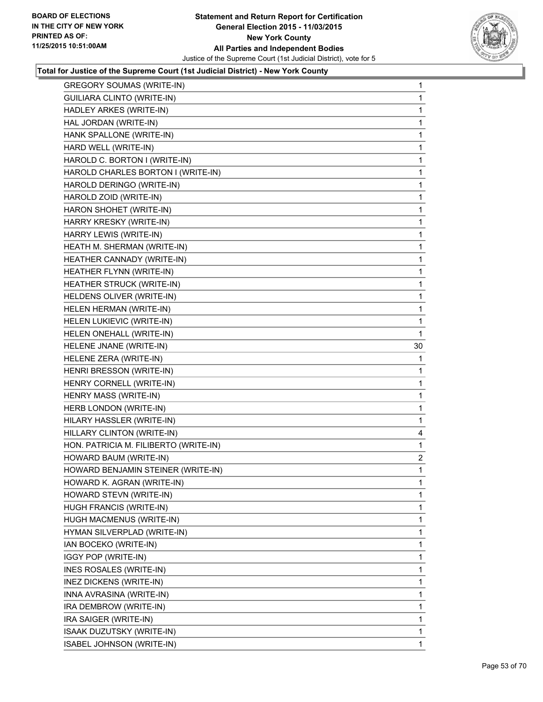

| <b>GREGORY SOUMAS (WRITE-IN)</b>      | 1            |
|---------------------------------------|--------------|
| GUILIARA CLINTO (WRITE-IN)            | 1            |
| HADLEY ARKES (WRITE-IN)               | 1            |
| HAL JORDAN (WRITE-IN)                 | 1            |
| HANK SPALLONE (WRITE-IN)              | 1            |
| HARD WELL (WRITE-IN)                  | 1            |
| HAROLD C. BORTON I (WRITE-IN)         | 1            |
| HAROLD CHARLES BORTON I (WRITE-IN)    | 1            |
| HAROLD DERINGO (WRITE-IN)             | 1            |
| HAROLD ZOID (WRITE-IN)                | 1            |
| HARON SHOHET (WRITE-IN)               | 1            |
| HARRY KRESKY (WRITE-IN)               | 1            |
| HARRY LEWIS (WRITE-IN)                | 1            |
| HEATH M. SHERMAN (WRITE-IN)           | 1            |
| HEATHER CANNADY (WRITE-IN)            | 1            |
| HEATHER FLYNN (WRITE-IN)              | 1            |
| HEATHER STRUCK (WRITE-IN)             | 1            |
| HELDENS OLIVER (WRITE-IN)             | 1            |
| HELEN HERMAN (WRITE-IN)               | 1            |
| HELEN LUKIEVIC (WRITE-IN)             | 1            |
| HELEN ONEHALL (WRITE-IN)              | 1            |
| HELENE JNANE (WRITE-IN)               | 30           |
| HELENE ZERA (WRITE-IN)                | 1            |
| HENRI BRESSON (WRITE-IN)              | 1            |
| HENRY CORNELL (WRITE-IN)              | 1            |
| HENRY MASS (WRITE-IN)                 | 1            |
| HERB LONDON (WRITE-IN)                | 1            |
| HILARY HASSLER (WRITE-IN)             | 1            |
| HILLARY CLINTON (WRITE-IN)            | 4            |
| HON. PATRICIA M. FILIBERTO (WRITE-IN) | 1            |
| HOWARD BAUM (WRITE-IN)                | $\mathbf{2}$ |
| HOWARD BENJAMIN STEINER (WRITE-IN)    | $\mathbf{1}$ |
| HOWARD K. AGRAN (WRITE-IN)            | 1            |
| HOWARD STEVN (WRITE-IN)               | 1            |
| HUGH FRANCIS (WRITE-IN)               | 1            |
| HUGH MACMENUS (WRITE-IN)              | 1            |
| HYMAN SILVERPLAD (WRITE-IN)           | 1            |
| IAN BOCEKO (WRITE-IN)                 | 1            |
| IGGY POP (WRITE-IN)                   | 1            |
| INES ROSALES (WRITE-IN)               | 1            |
| INEZ DICKENS (WRITE-IN)               | 1            |
| INNA AVRASINA (WRITE-IN)              | 1            |
| IRA DEMBROW (WRITE-IN)                | 1            |
| IRA SAIGER (WRITE-IN)                 | 1            |
| ISAAK DUZUTSKY (WRITE-IN)             | 1            |
| ISABEL JOHNSON (WRITE-IN)             | 1.           |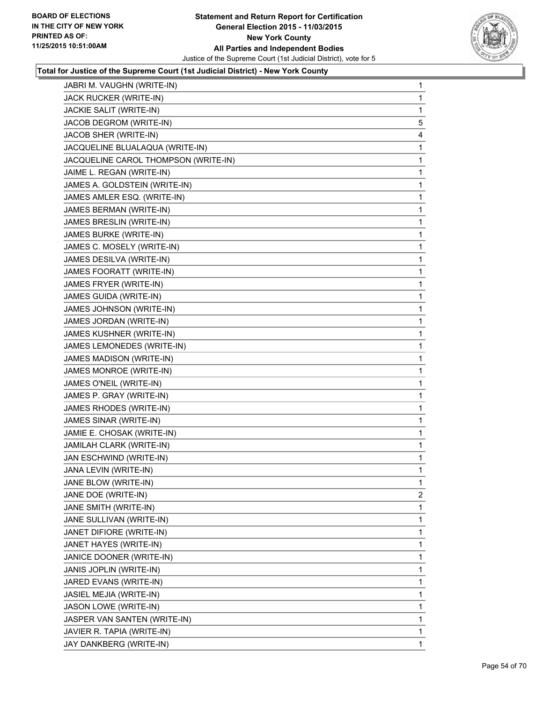

| JABRI M. VAUGHN (WRITE-IN)           | 1            |
|--------------------------------------|--------------|
| JACK RUCKER (WRITE-IN)               | 1            |
| JACKIE SALIT (WRITE-IN)              | 1            |
| JACOB DEGROM (WRITE-IN)              | 5            |
| JACOB SHER (WRITE-IN)                | 4            |
| JACQUELINE BLUALAQUA (WRITE-IN)      | 1            |
| JACQUELINE CAROL THOMPSON (WRITE-IN) | 1            |
| JAIME L. REGAN (WRITE-IN)            | 1            |
| JAMES A. GOLDSTEIN (WRITE-IN)        | 1            |
| JAMES AMLER ESQ. (WRITE-IN)          | 1            |
| JAMES BERMAN (WRITE-IN)              | 1            |
| JAMES BRESLIN (WRITE-IN)             | 1            |
| JAMES BURKE (WRITE-IN)               | 1            |
| JAMES C. MOSELY (WRITE-IN)           | 1            |
| JAMES DESILVA (WRITE-IN)             | 1            |
| JAMES FOORATT (WRITE-IN)             | 1            |
| JAMES FRYER (WRITE-IN)               | 1            |
| JAMES GUIDA (WRITE-IN)               | 1            |
| JAMES JOHNSON (WRITE-IN)             | 1            |
| JAMES JORDAN (WRITE-IN)              | 1            |
| JAMES KUSHNER (WRITE-IN)             | 1            |
| JAMES LEMONEDES (WRITE-IN)           | 1            |
| JAMES MADISON (WRITE-IN)             | 1            |
| JAMES MONROE (WRITE-IN)              | 1            |
| JAMES O'NEIL (WRITE-IN)              | 1            |
| JAMES P. GRAY (WRITE-IN)             | 1            |
| JAMES RHODES (WRITE-IN)              | 1            |
| JAMES SINAR (WRITE-IN)               | 1            |
| JAMIE E. CHOSAK (WRITE-IN)           | 1            |
| JAMILAH CLARK (WRITE-IN)             | 1            |
| JAN ESCHWIND (WRITE-IN)              | 1            |
| JANA LEVIN (WRITE-IN)                | 1            |
| JANE BLOW (WRITE-IN)                 | 1            |
| JANE DOE (WRITE-IN)                  | $\mathbf{2}$ |
| JANE SMITH (WRITE-IN)                | 1            |
| JANE SULLIVAN (WRITE-IN)             | 1            |
| JANET DIFIORE (WRITE-IN)             | 1            |
| JANET HAYES (WRITE-IN)               | 1            |
| JANICE DOONER (WRITE-IN)             | 1            |
| JANIS JOPLIN (WRITE-IN)              | 1            |
| JARED EVANS (WRITE-IN)               | 1            |
| JASIEL MEJIA (WRITE-IN)              | 1            |
| JASON LOWE (WRITE-IN)                | 1            |
| JASPER VAN SANTEN (WRITE-IN)         | 1            |
| JAVIER R. TAPIA (WRITE-IN)           | 1            |
| JAY DANKBERG (WRITE-IN)              | $\mathbf 1$  |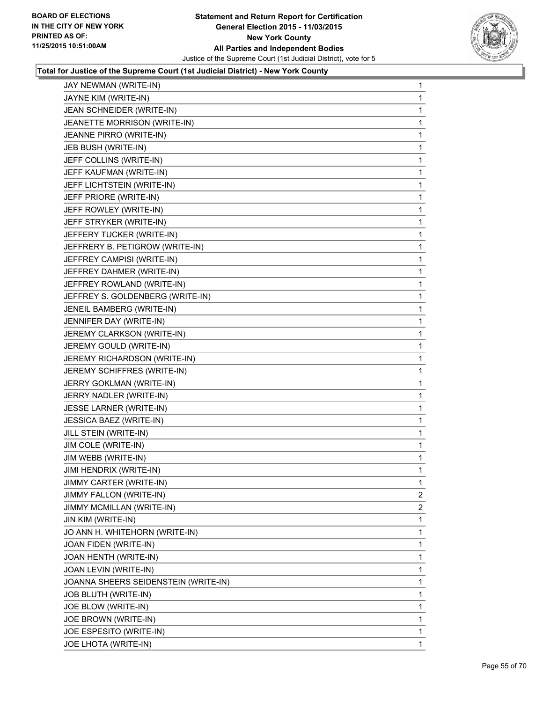

| JAY NEWMAN (WRITE-IN)                | 1              |
|--------------------------------------|----------------|
| JAYNE KIM (WRITE-IN)                 | 1              |
| JEAN SCHNEIDER (WRITE-IN)            | 1              |
| JEANETTE MORRISON (WRITE-IN)         | 1              |
| JEANNE PIRRO (WRITE-IN)              | 1              |
| JEB BUSH (WRITE-IN)                  | 1              |
| JEFF COLLINS (WRITE-IN)              | 1              |
| JEFF KAUFMAN (WRITE-IN)              | 1              |
| JEFF LICHTSTEIN (WRITE-IN)           | 1              |
| JEFF PRIORE (WRITE-IN)               | 1              |
| JEFF ROWLEY (WRITE-IN)               | 1              |
| JEFF STRYKER (WRITE-IN)              | 1              |
| JEFFERY TUCKER (WRITE-IN)            | 1              |
| JEFFRERY B. PETIGROW (WRITE-IN)      | 1              |
| JEFFREY CAMPISI (WRITE-IN)           | 1              |
| JEFFREY DAHMER (WRITE-IN)            | 1              |
| JEFFREY ROWLAND (WRITE-IN)           | 1              |
| JEFFREY S. GOLDENBERG (WRITE-IN)     | 1              |
| JENEIL BAMBERG (WRITE-IN)            | 1              |
| JENNIFER DAY (WRITE-IN)              | 1              |
| JEREMY CLARKSON (WRITE-IN)           | 1              |
| JEREMY GOULD (WRITE-IN)              | 1              |
| JEREMY RICHARDSON (WRITE-IN)         | 1              |
| JEREMY SCHIFFRES (WRITE-IN)          | 1              |
| JERRY GOKLMAN (WRITE-IN)             | 1              |
| JERRY NADLER (WRITE-IN)              | 1              |
| JESSE LARNER (WRITE-IN)              | 1              |
| JESSICA BAEZ (WRITE-IN)              | 1              |
| JILL STEIN (WRITE-IN)                | 1              |
| JIM COLE (WRITE-IN)                  | 1              |
| JIM WEBB (WRITE-IN)                  | 1              |
| JIMI HENDRIX (WRITE-IN)              | 1              |
| JIMMY CARTER (WRITE-IN)              | 1              |
| JIMMY FALLON (WRITE-IN)              | $\overline{2}$ |
| JIMMY MCMILLAN (WRITE-IN)            | $\overline{2}$ |
| JIN KIM (WRITE-IN)                   | 1              |
| JO ANN H. WHITEHORN (WRITE-IN)       | 1              |
| JOAN FIDEN (WRITE-IN)                | 1              |
| JOAN HENTH (WRITE-IN)                | 1              |
| JOAN LEVIN (WRITE-IN)                | 1              |
| JOANNA SHEERS SEIDENSTEIN (WRITE-IN) | 1              |
| JOB BLUTH (WRITE-IN)                 | 1              |
| JOE BLOW (WRITE-IN)                  | 1              |
| JOE BROWN (WRITE-IN)                 | 1              |
| JOE ESPESITO (WRITE-IN)              | 1              |
| JOE LHOTA (WRITE-IN)                 | $\mathbf{1}$   |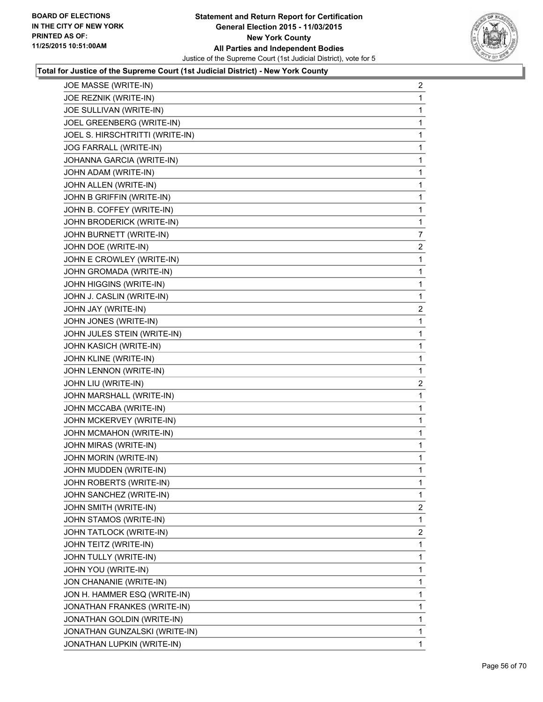

| JOE MASSE (WRITE-IN)            | 2              |
|---------------------------------|----------------|
| JOE REZNIK (WRITE-IN)           | 1              |
| JOE SULLIVAN (WRITE-IN)         | 1              |
| JOEL GREENBERG (WRITE-IN)       | 1              |
| JOEL S. HIRSCHTRITTI (WRITE-IN) | 1              |
| JOG FARRALL (WRITE-IN)          | 1              |
| JOHANNA GARCIA (WRITE-IN)       | 1              |
| JOHN ADAM (WRITE-IN)            | 1              |
| JOHN ALLEN (WRITE-IN)           | 1              |
| JOHN B GRIFFIN (WRITE-IN)       | 1              |
| JOHN B. COFFEY (WRITE-IN)       | 1              |
| JOHN BRODERICK (WRITE-IN)       | 1              |
| JOHN BURNETT (WRITE-IN)         | 7              |
| JOHN DOE (WRITE-IN)             | $\overline{2}$ |
| JOHN E CROWLEY (WRITE-IN)       | 1              |
| JOHN GROMADA (WRITE-IN)         | 1              |
| JOHN HIGGINS (WRITE-IN)         | 1              |
| JOHN J. CASLIN (WRITE-IN)       | 1              |
| JOHN JAY (WRITE-IN)             | $\overline{2}$ |
| JOHN JONES (WRITE-IN)           | 1              |
| JOHN JULES STEIN (WRITE-IN)     | 1              |
| JOHN KASICH (WRITE-IN)          | 1              |
| JOHN KLINE (WRITE-IN)           | 1              |
| JOHN LENNON (WRITE-IN)          | 1              |
| JOHN LIU (WRITE-IN)             | $\overline{2}$ |
| JOHN MARSHALL (WRITE-IN)        | 1              |
| JOHN MCCABA (WRITE-IN)          | 1              |
| JOHN MCKERVEY (WRITE-IN)        | 1              |
| JOHN MCMAHON (WRITE-IN)         | 1              |
| JOHN MIRAS (WRITE-IN)           | 1              |
| JOHN MORIN (WRITE-IN)           | 1              |
| JOHN MUDDEN (WRITE-IN)          | 1              |
| JOHN ROBERTS (WRITE-IN)         | 1              |
| JOHN SANCHEZ (WRITE-IN)         | 1              |
| JOHN SMITH (WRITE-IN)           | 2              |
| JOHN STAMOS (WRITE-IN)          | 1              |
| JOHN TATLOCK (WRITE-IN)         | 2              |
| JOHN TEITZ (WRITE-IN)           | 1              |
| JOHN TULLY (WRITE-IN)           | 1              |
| JOHN YOU (WRITE-IN)             | 1              |
| JON CHANANIE (WRITE-IN)         | 1              |
| JON H. HAMMER ESQ (WRITE-IN)    | 1              |
| JONATHAN FRANKES (WRITE-IN)     | 1              |
| JONATHAN GOLDIN (WRITE-IN)      | 1              |
| JONATHAN GUNZALSKI (WRITE-IN)   | 1              |
| JONATHAN LUPKIN (WRITE-IN)      | 1              |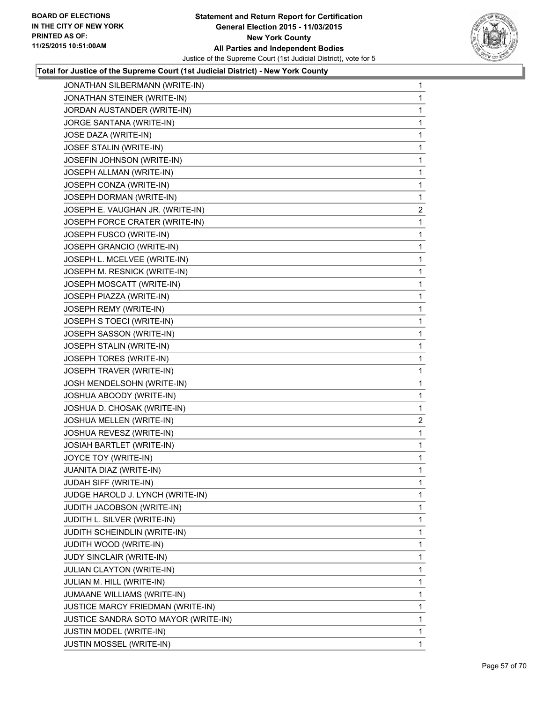

| JONATHAN SILBERMANN (WRITE-IN)       | $\mathbf{1}$ |
|--------------------------------------|--------------|
| JONATHAN STEINER (WRITE-IN)          | 1            |
| JORDAN AUSTANDER (WRITE-IN)          | 1            |
| JORGE SANTANA (WRITE-IN)             | 1            |
| JOSE DAZA (WRITE-IN)                 | 1            |
| JOSEF STALIN (WRITE-IN)              | 1            |
| JOSEFIN JOHNSON (WRITE-IN)           | 1            |
| JOSEPH ALLMAN (WRITE-IN)             | 1            |
| JOSEPH CONZA (WRITE-IN)              | 1            |
| JOSEPH DORMAN (WRITE-IN)             | 1            |
| JOSEPH E. VAUGHAN JR. (WRITE-IN)     | 2            |
| JOSEPH FORCE CRATER (WRITE-IN)       | 1            |
| JOSEPH FUSCO (WRITE-IN)              | 1            |
| JOSEPH GRANCIO (WRITE-IN)            | 1            |
| JOSEPH L. MCELVEE (WRITE-IN)         | 1            |
| JOSEPH M. RESNICK (WRITE-IN)         | 1            |
| JOSEPH MOSCATT (WRITE-IN)            | 1            |
| JOSEPH PIAZZA (WRITE-IN)             | 1            |
| JOSEPH REMY (WRITE-IN)               | 1            |
| JOSEPH S TOECI (WRITE-IN)            | 1            |
| JOSEPH SASSON (WRITE-IN)             | 1            |
| JOSEPH STALIN (WRITE-IN)             | 1            |
| JOSEPH TORES (WRITE-IN)              | 1            |
| JOSEPH TRAVER (WRITE-IN)             | 1            |
| JOSH MENDELSOHN (WRITE-IN)           | 1            |
| JOSHUA ABOODY (WRITE-IN)             | 1            |
| JOSHUA D. CHOSAK (WRITE-IN)          | 1            |
| <b>JOSHUA MELLEN (WRITE-IN)</b>      | $\mathbf{2}$ |
| JOSHUA REVESZ (WRITE-IN)             | 1            |
| JOSIAH BARTLET (WRITE-IN)            | 1            |
| JOYCE TOY (WRITE-IN)                 | 1            |
| JUANITA DIAZ (WRITE-IN)              | 1            |
| JUDAH SIFF (WRITE-IN)                | 1            |
| JUDGE HAROLD J. LYNCH (WRITE-IN)     | 1            |
| JUDITH JACOBSON (WRITE-IN)           | 1            |
| JUDITH L. SILVER (WRITE-IN)          | 1            |
| JUDITH SCHEINDLIN (WRITE-IN)         | 1            |
| JUDITH WOOD (WRITE-IN)               | 1            |
| JUDY SINCLAIR (WRITE-IN)             | 1            |
| <b>JULIAN CLAYTON (WRITE-IN)</b>     | 1            |
| JULIAN M. HILL (WRITE-IN)            | 1            |
| JUMAANE WILLIAMS (WRITE-IN)          | 1            |
| JUSTICE MARCY FRIEDMAN (WRITE-IN)    | 1            |
| JUSTICE SANDRA SOTO MAYOR (WRITE-IN) | 1            |
| JUSTIN MODEL (WRITE-IN)              | 1            |
| JUSTIN MOSSEL (WRITE-IN)             | 1            |
|                                      |              |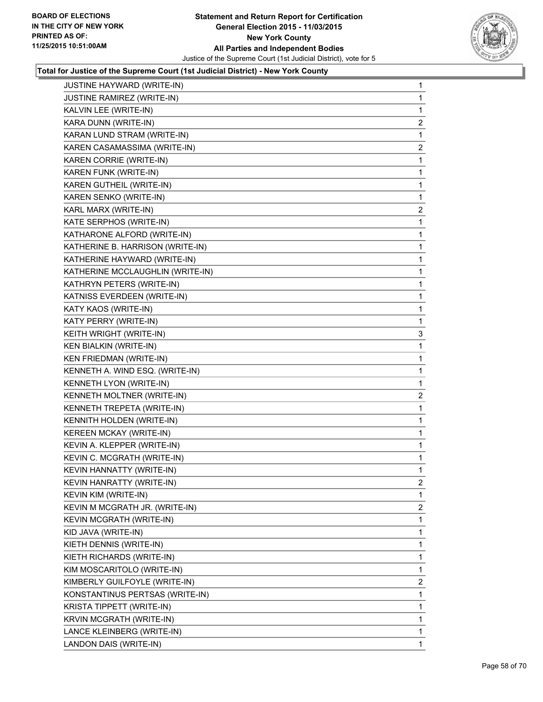

| 1              |
|----------------|
| 1              |
| $\overline{2}$ |
| 1              |
| 2              |
| 1              |
| 1              |
| 1              |
| 1              |
| 2              |
| 1              |
| 1              |
| 1              |
| 1              |
| 1              |
| 1              |
| 1              |
| 1              |
| 1              |
| 3              |
| 1              |
| 1              |
|                |
| 1              |
| 1              |
| $\overline{c}$ |
| 1              |
| 1              |
| 1              |
| 1              |
| 1              |
| 1              |
| 2              |
| 1              |
| $\mathbf{2}$   |
| 1              |
| 1              |
| 1              |
| 1              |
| 1              |
| $\mathbf{2}$   |
| 1              |
| 1              |
| 1              |
| 1              |
|                |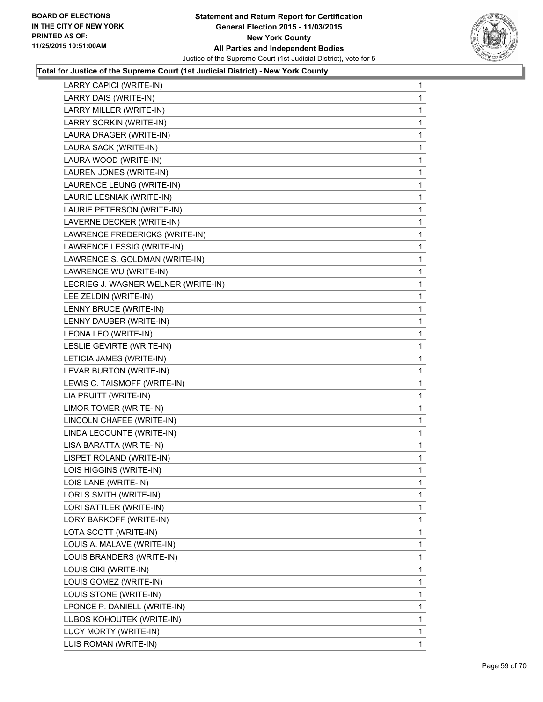

| 1 |
|---|
| 1 |
| 1 |
| 1 |
| 1 |
| 1 |
| 1 |
| 1 |
| 1 |
| 1 |
| 1 |
| 1 |
| 1 |
| 1 |
| 1 |
| 1 |
| 1 |
| 1 |
| 1 |
| 1 |
| 1 |
| 1 |
| 1 |
| 1 |
| 1 |
| 1 |
| 1 |
| 1 |
| 1 |
| 1 |
| 1 |
| 1 |
| 1 |
| 1 |
| 1 |
| 1 |
| 1 |
| 1 |
| 1 |
| 1 |
| 1 |
| 1 |
| 1 |
| 1 |
| 1 |
| 1 |
|   |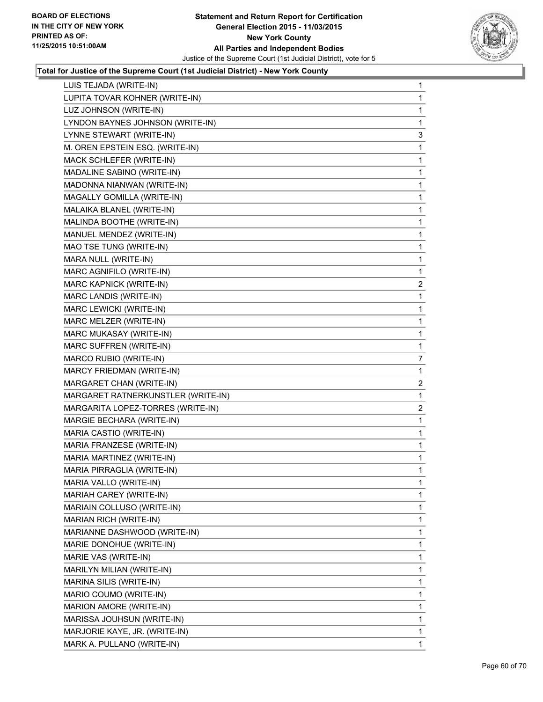

| LUIS TEJADA (WRITE-IN)             | 1                       |
|------------------------------------|-------------------------|
| LUPITA TOVAR KOHNER (WRITE-IN)     | 1                       |
| LUZ JOHNSON (WRITE-IN)             | 1                       |
| LYNDON BAYNES JOHNSON (WRITE-IN)   | 1                       |
| LYNNE STEWART (WRITE-IN)           | 3                       |
| M. OREN EPSTEIN ESQ. (WRITE-IN)    | 1                       |
| MACK SCHLEFER (WRITE-IN)           | 1                       |
| MADALINE SABINO (WRITE-IN)         | 1                       |
| MADONNA NIANWAN (WRITE-IN)         | 1                       |
| MAGALLY GOMILLA (WRITE-IN)         | 1                       |
| MALAIKA BLANEL (WRITE-IN)          | 1                       |
| MALINDA BOOTHE (WRITE-IN)          | 1                       |
| MANUEL MENDEZ (WRITE-IN)           | 1                       |
| MAO TSE TUNG (WRITE-IN)            | 1                       |
| MARA NULL (WRITE-IN)               | 1                       |
| MARC AGNIFILO (WRITE-IN)           | 1                       |
| MARC KAPNICK (WRITE-IN)            | $\overline{\mathbf{c}}$ |
| MARC LANDIS (WRITE-IN)             | 1                       |
| MARC LEWICKI (WRITE-IN)            | 1                       |
| MARC MELZER (WRITE-IN)             | 1                       |
| MARC MUKASAY (WRITE-IN)            | 1                       |
| MARC SUFFREN (WRITE-IN)            | 1                       |
| MARCO RUBIO (WRITE-IN)             | 7                       |
| MARCY FRIEDMAN (WRITE-IN)          | 1                       |
| MARGARET CHAN (WRITE-IN)           | $\mathbf{2}$            |
| MARGARET RATNERKUNSTLER (WRITE-IN) | 1                       |
| MARGARITA LOPEZ-TORRES (WRITE-IN)  | $\overline{2}$          |
| MARGIE BECHARA (WRITE-IN)          | 1                       |
| MARIA CASTIO (WRITE-IN)            | 1                       |
| MARIA FRANZESE (WRITE-IN)          | 1                       |
| MARIA MARTINEZ (WRITE-IN)          | 1                       |
| MARIA PIRRAGLIA (WRITE-IN)         | 1                       |
| MARIA VALLO (WRITE-IN)             | 1                       |
| MARIAH CAREY (WRITE-IN)            | 1                       |
| MARIAIN COLLUSO (WRITE-IN)         | 1                       |
| MARIAN RICH (WRITE-IN)             | 1                       |
| MARIANNE DASHWOOD (WRITE-IN)       | 1                       |
| MARIE DONOHUE (WRITE-IN)           | 1                       |
| MARIE VAS (WRITE-IN)               | 1                       |
| MARILYN MILIAN (WRITE-IN)          | 1                       |
|                                    |                         |
| MARINA SILIS (WRITE-IN)            | 1                       |
| MARIO COUMO (WRITE-IN)             | 1                       |
| MARION AMORE (WRITE-IN)            | 1                       |
| MARISSA JOUHSUN (WRITE-IN)         | 1                       |
| MARJORIE KAYE, JR. (WRITE-IN)      | 1                       |
|                                    |                         |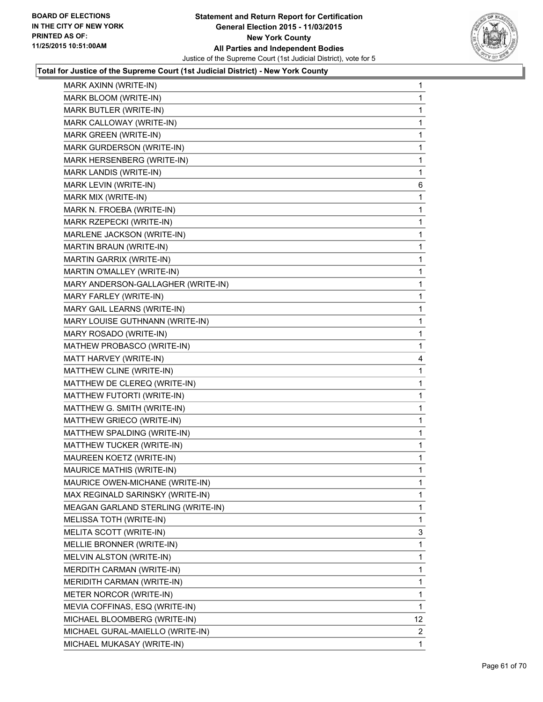

| MARK AXINN (WRITE-IN) | 1                                                                                                                                                                                                                                                                                                                                                                                                                                                                                                                                                                                                                                                                                                                                                                                                                                                                                                                                                                                                                                                                                                                                                                                                                                                                                                                                                                          |
|-----------------------|----------------------------------------------------------------------------------------------------------------------------------------------------------------------------------------------------------------------------------------------------------------------------------------------------------------------------------------------------------------------------------------------------------------------------------------------------------------------------------------------------------------------------------------------------------------------------------------------------------------------------------------------------------------------------------------------------------------------------------------------------------------------------------------------------------------------------------------------------------------------------------------------------------------------------------------------------------------------------------------------------------------------------------------------------------------------------------------------------------------------------------------------------------------------------------------------------------------------------------------------------------------------------------------------------------------------------------------------------------------------------|
|                       | 1                                                                                                                                                                                                                                                                                                                                                                                                                                                                                                                                                                                                                                                                                                                                                                                                                                                                                                                                                                                                                                                                                                                                                                                                                                                                                                                                                                          |
|                       | 1                                                                                                                                                                                                                                                                                                                                                                                                                                                                                                                                                                                                                                                                                                                                                                                                                                                                                                                                                                                                                                                                                                                                                                                                                                                                                                                                                                          |
|                       | 1                                                                                                                                                                                                                                                                                                                                                                                                                                                                                                                                                                                                                                                                                                                                                                                                                                                                                                                                                                                                                                                                                                                                                                                                                                                                                                                                                                          |
|                       | 1                                                                                                                                                                                                                                                                                                                                                                                                                                                                                                                                                                                                                                                                                                                                                                                                                                                                                                                                                                                                                                                                                                                                                                                                                                                                                                                                                                          |
|                       | 1                                                                                                                                                                                                                                                                                                                                                                                                                                                                                                                                                                                                                                                                                                                                                                                                                                                                                                                                                                                                                                                                                                                                                                                                                                                                                                                                                                          |
|                       | 1                                                                                                                                                                                                                                                                                                                                                                                                                                                                                                                                                                                                                                                                                                                                                                                                                                                                                                                                                                                                                                                                                                                                                                                                                                                                                                                                                                          |
|                       | 1                                                                                                                                                                                                                                                                                                                                                                                                                                                                                                                                                                                                                                                                                                                                                                                                                                                                                                                                                                                                                                                                                                                                                                                                                                                                                                                                                                          |
|                       | 6                                                                                                                                                                                                                                                                                                                                                                                                                                                                                                                                                                                                                                                                                                                                                                                                                                                                                                                                                                                                                                                                                                                                                                                                                                                                                                                                                                          |
|                       | 1                                                                                                                                                                                                                                                                                                                                                                                                                                                                                                                                                                                                                                                                                                                                                                                                                                                                                                                                                                                                                                                                                                                                                                                                                                                                                                                                                                          |
|                       | 1                                                                                                                                                                                                                                                                                                                                                                                                                                                                                                                                                                                                                                                                                                                                                                                                                                                                                                                                                                                                                                                                                                                                                                                                                                                                                                                                                                          |
|                       | 1                                                                                                                                                                                                                                                                                                                                                                                                                                                                                                                                                                                                                                                                                                                                                                                                                                                                                                                                                                                                                                                                                                                                                                                                                                                                                                                                                                          |
|                       | 1                                                                                                                                                                                                                                                                                                                                                                                                                                                                                                                                                                                                                                                                                                                                                                                                                                                                                                                                                                                                                                                                                                                                                                                                                                                                                                                                                                          |
|                       | 1                                                                                                                                                                                                                                                                                                                                                                                                                                                                                                                                                                                                                                                                                                                                                                                                                                                                                                                                                                                                                                                                                                                                                                                                                                                                                                                                                                          |
|                       | 1                                                                                                                                                                                                                                                                                                                                                                                                                                                                                                                                                                                                                                                                                                                                                                                                                                                                                                                                                                                                                                                                                                                                                                                                                                                                                                                                                                          |
|                       | 1                                                                                                                                                                                                                                                                                                                                                                                                                                                                                                                                                                                                                                                                                                                                                                                                                                                                                                                                                                                                                                                                                                                                                                                                                                                                                                                                                                          |
|                       | 1                                                                                                                                                                                                                                                                                                                                                                                                                                                                                                                                                                                                                                                                                                                                                                                                                                                                                                                                                                                                                                                                                                                                                                                                                                                                                                                                                                          |
|                       | 1                                                                                                                                                                                                                                                                                                                                                                                                                                                                                                                                                                                                                                                                                                                                                                                                                                                                                                                                                                                                                                                                                                                                                                                                                                                                                                                                                                          |
|                       | 1                                                                                                                                                                                                                                                                                                                                                                                                                                                                                                                                                                                                                                                                                                                                                                                                                                                                                                                                                                                                                                                                                                                                                                                                                                                                                                                                                                          |
|                       | 1                                                                                                                                                                                                                                                                                                                                                                                                                                                                                                                                                                                                                                                                                                                                                                                                                                                                                                                                                                                                                                                                                                                                                                                                                                                                                                                                                                          |
|                       | 1                                                                                                                                                                                                                                                                                                                                                                                                                                                                                                                                                                                                                                                                                                                                                                                                                                                                                                                                                                                                                                                                                                                                                                                                                                                                                                                                                                          |
|                       | 1                                                                                                                                                                                                                                                                                                                                                                                                                                                                                                                                                                                                                                                                                                                                                                                                                                                                                                                                                                                                                                                                                                                                                                                                                                                                                                                                                                          |
|                       | 4                                                                                                                                                                                                                                                                                                                                                                                                                                                                                                                                                                                                                                                                                                                                                                                                                                                                                                                                                                                                                                                                                                                                                                                                                                                                                                                                                                          |
|                       | 1                                                                                                                                                                                                                                                                                                                                                                                                                                                                                                                                                                                                                                                                                                                                                                                                                                                                                                                                                                                                                                                                                                                                                                                                                                                                                                                                                                          |
|                       | 1                                                                                                                                                                                                                                                                                                                                                                                                                                                                                                                                                                                                                                                                                                                                                                                                                                                                                                                                                                                                                                                                                                                                                                                                                                                                                                                                                                          |
|                       | 1                                                                                                                                                                                                                                                                                                                                                                                                                                                                                                                                                                                                                                                                                                                                                                                                                                                                                                                                                                                                                                                                                                                                                                                                                                                                                                                                                                          |
|                       | 1                                                                                                                                                                                                                                                                                                                                                                                                                                                                                                                                                                                                                                                                                                                                                                                                                                                                                                                                                                                                                                                                                                                                                                                                                                                                                                                                                                          |
|                       | 1                                                                                                                                                                                                                                                                                                                                                                                                                                                                                                                                                                                                                                                                                                                                                                                                                                                                                                                                                                                                                                                                                                                                                                                                                                                                                                                                                                          |
|                       | 1                                                                                                                                                                                                                                                                                                                                                                                                                                                                                                                                                                                                                                                                                                                                                                                                                                                                                                                                                                                                                                                                                                                                                                                                                                                                                                                                                                          |
|                       | 1                                                                                                                                                                                                                                                                                                                                                                                                                                                                                                                                                                                                                                                                                                                                                                                                                                                                                                                                                                                                                                                                                                                                                                                                                                                                                                                                                                          |
|                       | 1                                                                                                                                                                                                                                                                                                                                                                                                                                                                                                                                                                                                                                                                                                                                                                                                                                                                                                                                                                                                                                                                                                                                                                                                                                                                                                                                                                          |
|                       | 1                                                                                                                                                                                                                                                                                                                                                                                                                                                                                                                                                                                                                                                                                                                                                                                                                                                                                                                                                                                                                                                                                                                                                                                                                                                                                                                                                                          |
|                       | 1                                                                                                                                                                                                                                                                                                                                                                                                                                                                                                                                                                                                                                                                                                                                                                                                                                                                                                                                                                                                                                                                                                                                                                                                                                                                                                                                                                          |
|                       | 1                                                                                                                                                                                                                                                                                                                                                                                                                                                                                                                                                                                                                                                                                                                                                                                                                                                                                                                                                                                                                                                                                                                                                                                                                                                                                                                                                                          |
|                       | 1                                                                                                                                                                                                                                                                                                                                                                                                                                                                                                                                                                                                                                                                                                                                                                                                                                                                                                                                                                                                                                                                                                                                                                                                                                                                                                                                                                          |
|                       | 1                                                                                                                                                                                                                                                                                                                                                                                                                                                                                                                                                                                                                                                                                                                                                                                                                                                                                                                                                                                                                                                                                                                                                                                                                                                                                                                                                                          |
|                       | 3                                                                                                                                                                                                                                                                                                                                                                                                                                                                                                                                                                                                                                                                                                                                                                                                                                                                                                                                                                                                                                                                                                                                                                                                                                                                                                                                                                          |
|                       | 1                                                                                                                                                                                                                                                                                                                                                                                                                                                                                                                                                                                                                                                                                                                                                                                                                                                                                                                                                                                                                                                                                                                                                                                                                                                                                                                                                                          |
|                       | 1                                                                                                                                                                                                                                                                                                                                                                                                                                                                                                                                                                                                                                                                                                                                                                                                                                                                                                                                                                                                                                                                                                                                                                                                                                                                                                                                                                          |
|                       | 1                                                                                                                                                                                                                                                                                                                                                                                                                                                                                                                                                                                                                                                                                                                                                                                                                                                                                                                                                                                                                                                                                                                                                                                                                                                                                                                                                                          |
|                       | 1                                                                                                                                                                                                                                                                                                                                                                                                                                                                                                                                                                                                                                                                                                                                                                                                                                                                                                                                                                                                                                                                                                                                                                                                                                                                                                                                                                          |
|                       | 1                                                                                                                                                                                                                                                                                                                                                                                                                                                                                                                                                                                                                                                                                                                                                                                                                                                                                                                                                                                                                                                                                                                                                                                                                                                                                                                                                                          |
|                       | 1                                                                                                                                                                                                                                                                                                                                                                                                                                                                                                                                                                                                                                                                                                                                                                                                                                                                                                                                                                                                                                                                                                                                                                                                                                                                                                                                                                          |
|                       | 12                                                                                                                                                                                                                                                                                                                                                                                                                                                                                                                                                                                                                                                                                                                                                                                                                                                                                                                                                                                                                                                                                                                                                                                                                                                                                                                                                                         |
|                       | $\overline{2}$                                                                                                                                                                                                                                                                                                                                                                                                                                                                                                                                                                                                                                                                                                                                                                                                                                                                                                                                                                                                                                                                                                                                                                                                                                                                                                                                                             |
|                       | 1                                                                                                                                                                                                                                                                                                                                                                                                                                                                                                                                                                                                                                                                                                                                                                                                                                                                                                                                                                                                                                                                                                                                                                                                                                                                                                                                                                          |
|                       | MARK BLOOM (WRITE-IN)<br>MARK BUTLER (WRITE-IN)<br>MARK CALLOWAY (WRITE-IN)<br>MARK GREEN (WRITE-IN)<br>MARK GURDERSON (WRITE-IN)<br>MARK HERSENBERG (WRITE-IN)<br>MARK LANDIS (WRITE-IN)<br>MARK LEVIN (WRITE-IN)<br>MARK MIX (WRITE-IN)<br>MARK N. FROEBA (WRITE-IN)<br>MARK RZEPECKI (WRITE-IN)<br>MARLENE JACKSON (WRITE-IN)<br>MARTIN BRAUN (WRITE-IN)<br>MARTIN GARRIX (WRITE-IN)<br>MARTIN O'MALLEY (WRITE-IN)<br>MARY ANDERSON-GALLAGHER (WRITE-IN)<br>MARY FARLEY (WRITE-IN)<br>MARY GAIL LEARNS (WRITE-IN)<br>MARY LOUISE GUTHNANN (WRITE-IN)<br>MARY ROSADO (WRITE-IN)<br>MATHEW PROBASCO (WRITE-IN)<br>MATT HARVEY (WRITE-IN)<br>MATTHEW CLINE (WRITE-IN)<br>MATTHEW DE CLEREQ (WRITE-IN)<br>MATTHEW FUTORTI (WRITE-IN)<br>MATTHEW G. SMITH (WRITE-IN)<br>MATTHEW GRIECO (WRITE-IN)<br>MATTHEW SPALDING (WRITE-IN)<br>MATTHEW TUCKER (WRITE-IN)<br>MAUREEN KOETZ (WRITE-IN)<br>MAURICE MATHIS (WRITE-IN)<br>MAURICE OWEN-MICHANE (WRITE-IN)<br>MAX REGINALD SARINSKY (WRITE-IN)<br>MEAGAN GARLAND STERLING (WRITE-IN)<br>MELISSA TOTH (WRITE-IN)<br>MELITA SCOTT (WRITE-IN)<br>MELLIE BRONNER (WRITE-IN)<br>MELVIN ALSTON (WRITE-IN)<br>MERDITH CARMAN (WRITE-IN)<br>MERIDITH CARMAN (WRITE-IN)<br>METER NORCOR (WRITE-IN)<br>MEVIA COFFINAS, ESQ (WRITE-IN)<br>MICHAEL BLOOMBERG (WRITE-IN)<br>MICHAEL GURAL-MAIELLO (WRITE-IN)<br>MICHAEL MUKASAY (WRITE-IN) |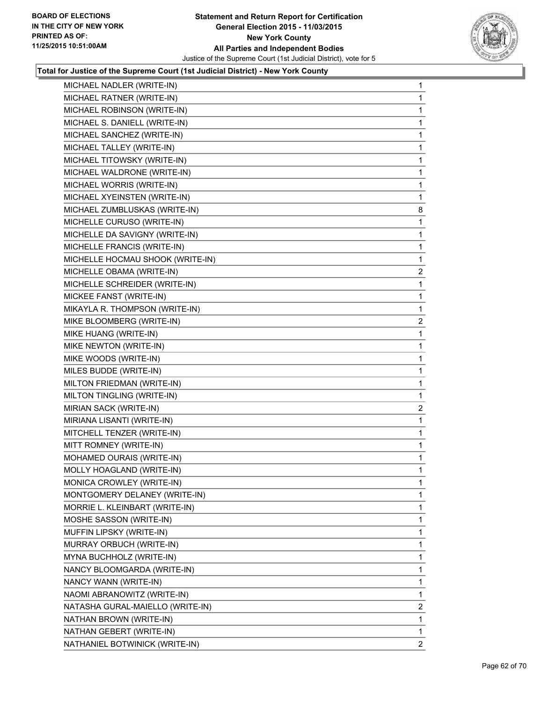

| MICHAEL NADLER (WRITE-IN)        | 1              |
|----------------------------------|----------------|
| MICHAEL RATNER (WRITE-IN)        | 1              |
| MICHAEL ROBINSON (WRITE-IN)      | 1              |
| MICHAEL S. DANIELL (WRITE-IN)    | 1              |
| MICHAEL SANCHEZ (WRITE-IN)       | 1              |
| MICHAEL TALLEY (WRITE-IN)        | 1              |
| MICHAEL TITOWSKY (WRITE-IN)      | 1              |
| MICHAEL WALDRONE (WRITE-IN)      | 1              |
| MICHAEL WORRIS (WRITE-IN)        | 1              |
| MICHAEL XYEINSTEN (WRITE-IN)     | 1              |
| MICHAEL ZUMBLUSKAS (WRITE-IN)    | 8              |
| MICHELLE CURUSO (WRITE-IN)       | 1              |
| MICHELLE DA SAVIGNY (WRITE-IN)   | 1              |
| MICHELLE FRANCIS (WRITE-IN)      | 1              |
| MICHELLE HOCMAU SHOOK (WRITE-IN) | 1              |
| MICHELLE OBAMA (WRITE-IN)        | $\mathbf{2}$   |
| MICHELLE SCHREIDER (WRITE-IN)    | 1              |
| MICKEE FANST (WRITE-IN)          | 1              |
| MIKAYLA R. THOMPSON (WRITE-IN)   | 1              |
| MIKE BLOOMBERG (WRITE-IN)        | $\overline{c}$ |
| MIKE HUANG (WRITE-IN)            | 1              |
| MIKE NEWTON (WRITE-IN)           | 1              |
| MIKE WOODS (WRITE-IN)            | 1              |
| MILES BUDDE (WRITE-IN)           | 1              |
| MILTON FRIEDMAN (WRITE-IN)       | 1              |
| MILTON TINGLING (WRITE-IN)       | 1              |
| MIRIAN SACK (WRITE-IN)           | 2              |
| MIRIANA LISANTI (WRITE-IN)       | 1              |
| MITCHELL TENZER (WRITE-IN)       | $\mathbf{1}$   |
| MITT ROMNEY (WRITE-IN)           | 1              |
| MOHAMED OURAIS (WRITE-IN)        | 1              |
| MOLLY HOAGLAND (WRITE-IN)        | $\mathbf{1}$   |
| MONICA CROWLEY (WRITE-IN)        | 1              |
| MONTGOMERY DELANEY (WRITE-IN)    | 1              |
| MORRIE L. KLEINBART (WRITE-IN)   | 1              |
| MOSHE SASSON (WRITE-IN)          | 1              |
| MUFFIN LIPSKY (WRITE-IN)         | 1              |
| MURRAY ORBUCH (WRITE-IN)         | 1              |
| MYNA BUCHHOLZ (WRITE-IN)         | 1              |
| NANCY BLOOMGARDA (WRITE-IN)      | 1              |
| NANCY WANN (WRITE-IN)            | 1              |
| NAOMI ABRANOWITZ (WRITE-IN)      | 1              |
| NATASHA GURAL-MAIELLO (WRITE-IN) | 2              |
| NATHAN BROWN (WRITE-IN)          | 1              |
| NATHAN GEBERT (WRITE-IN)         | 1              |
| NATHANIEL BOTWINICK (WRITE-IN)   | $\mathbf{2}$   |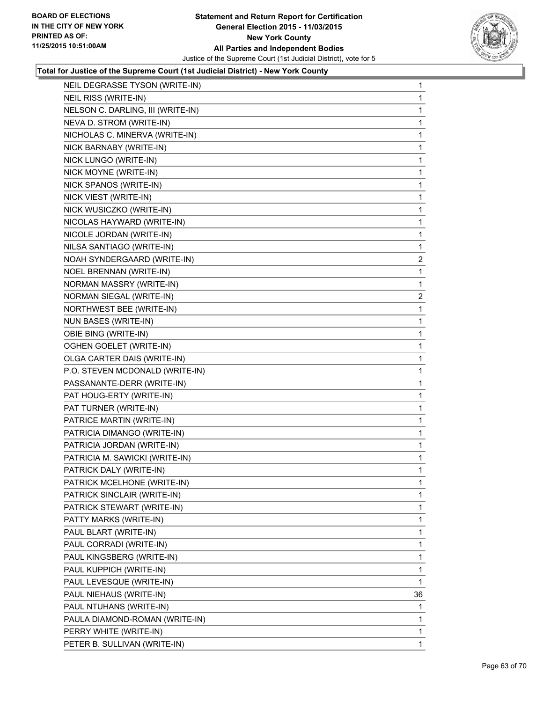

| NEIL DEGRASSE TYSON (WRITE-IN)    | 1                       |
|-----------------------------------|-------------------------|
| NEIL RISS (WRITE-IN)              | 1                       |
| NELSON C. DARLING, III (WRITE-IN) | 1                       |
| NEVA D. STROM (WRITE-IN)          | 1                       |
| NICHOLAS C. MINERVA (WRITE-IN)    | 1                       |
| NICK BARNABY (WRITE-IN)           | 1                       |
| NICK LUNGO (WRITE-IN)             | 1                       |
| NICK MOYNE (WRITE-IN)             | 1                       |
| NICK SPANOS (WRITE-IN)            | 1                       |
| NICK VIEST (WRITE-IN)             | 1                       |
| NICK WUSICZKO (WRITE-IN)          | 1                       |
| NICOLAS HAYWARD (WRITE-IN)        | 1                       |
| NICOLE JORDAN (WRITE-IN)          | 1                       |
| NILSA SANTIAGO (WRITE-IN)         | 1                       |
| NOAH SYNDERGAARD (WRITE-IN)       | $\overline{\mathbf{c}}$ |
| NOEL BRENNAN (WRITE-IN)           | 1                       |
| NORMAN MASSRY (WRITE-IN)          | 1                       |
| NORMAN SIEGAL (WRITE-IN)          | 2                       |
| NORTHWEST BEE (WRITE-IN)          | 1                       |
| NUN BASES (WRITE-IN)              | 1                       |
| OBIE BING (WRITE-IN)              | 1                       |
| OGHEN GOELET (WRITE-IN)           | 1                       |
| OLGA CARTER DAIS (WRITE-IN)       | 1                       |
| P.O. STEVEN MCDONALD (WRITE-IN)   | 1                       |
| PASSANANTE-DERR (WRITE-IN)        | 1                       |
| PAT HOUG-ERTY (WRITE-IN)          | 1                       |
| PAT TURNER (WRITE-IN)             | 1                       |
| PATRICE MARTIN (WRITE-IN)         | 1                       |
| PATRICIA DIMANGO (WRITE-IN)       | 1                       |
| PATRICIA JORDAN (WRITE-IN)        | 1                       |
| PATRICIA M. SAWICKI (WRITE-IN)    | 1                       |
| PATRICK DALY (WRITE-IN)           | 1                       |
| PATRICK MCELHONE (WRITE-IN)       | 1                       |
| PATRICK SINCLAIR (WRITE-IN)       | $\mathbf{1}$            |
| PATRICK STEWART (WRITE-IN)        | 1                       |
| PATTY MARKS (WRITE-IN)            | 1                       |
| PAUL BLART (WRITE-IN)             | 1                       |
| PAUL CORRADI (WRITE-IN)           | 1                       |
| PAUL KINGSBERG (WRITE-IN)         | 1                       |
| PAUL KUPPICH (WRITE-IN)           | 1                       |
| PAUL LEVESQUE (WRITE-IN)          | 1                       |
| PAUL NIEHAUS (WRITE-IN)           | 36                      |
| PAUL NTUHANS (WRITE-IN)           | 1                       |
| PAULA DIAMOND-ROMAN (WRITE-IN)    | 1                       |
| PERRY WHITE (WRITE-IN)            | 1                       |
| PETER B. SULLIVAN (WRITE-IN)      | $\mathbf{1}$            |
|                                   |                         |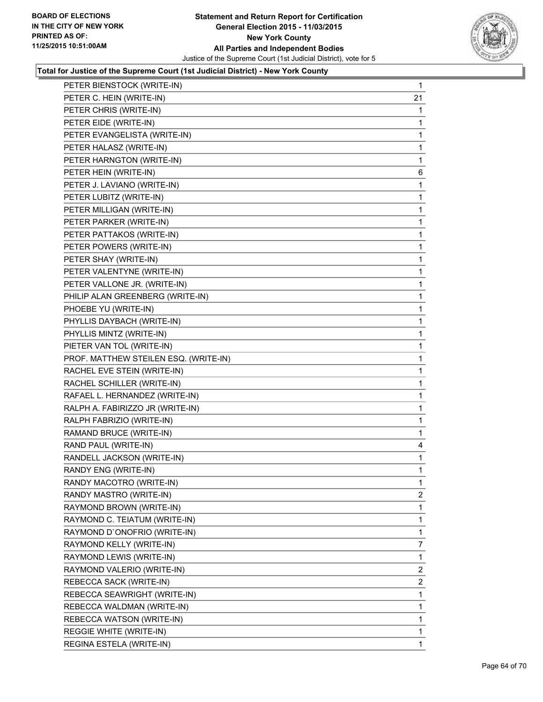

| PETER BIENSTOCK (WRITE-IN)            | 1              |
|---------------------------------------|----------------|
| PETER C. HEIN (WRITE-IN)              | 21             |
| PETER CHRIS (WRITE-IN)                | 1              |
| PETER EIDE (WRITE-IN)                 | 1              |
| PETER EVANGELISTA (WRITE-IN)          | 1              |
| PETER HALASZ (WRITE-IN)               | 1              |
| PETER HARNGTON (WRITE-IN)             | 1              |
| PETER HEIN (WRITE-IN)                 | 6              |
| PETER J. LAVIANO (WRITE-IN)           | 1              |
| PETER LUBITZ (WRITE-IN)               | 1              |
| PETER MILLIGAN (WRITE-IN)             | 1              |
| PETER PARKER (WRITE-IN)               | 1              |
| PETER PATTAKOS (WRITE-IN)             | 1              |
| PETER POWERS (WRITE-IN)               | 1              |
| PETER SHAY (WRITE-IN)                 | 1              |
| PETER VALENTYNE (WRITE-IN)            | 1              |
| PETER VALLONE JR. (WRITE-IN)          | 1              |
| PHILIP ALAN GREENBERG (WRITE-IN)      | 1              |
| PHOEBE YU (WRITE-IN)                  | 1              |
| PHYLLIS DAYBACH (WRITE-IN)            | 1              |
| PHYLLIS MINTZ (WRITE-IN)              | 1              |
| PIETER VAN TOL (WRITE-IN)             | 1              |
| PROF. MATTHEW STEILEN ESQ. (WRITE-IN) | 1              |
| RACHEL EVE STEIN (WRITE-IN)           | 1              |
| RACHEL SCHILLER (WRITE-IN)            | 1              |
| RAFAEL L. HERNANDEZ (WRITE-IN)        | 1              |
| RALPH A. FABIRIZZO JR (WRITE-IN)      | 1              |
| RALPH FABRIZIO (WRITE-IN)             | 1              |
| RAMAND BRUCE (WRITE-IN)               | 1              |
| RAND PAUL (WRITE-IN)                  | 4              |
| RANDELL JACKSON (WRITE-IN)            | 1              |
| RANDY ENG (WRITE-IN)                  | 1              |
| RANDY MACOTRO (WRITE-IN)              | 1              |
| RANDY MASTRO (WRITE-IN)               | 2              |
| RAYMOND BROWN (WRITE-IN)              | 1              |
| RAYMOND C. TEIATUM (WRITE-IN)         | 1              |
| RAYMOND D'ONOFRIO (WRITE-IN)          | 1              |
| RAYMOND KELLY (WRITE-IN)              | $\overline{7}$ |
| RAYMOND LEWIS (WRITE-IN)              | 1              |
| RAYMOND VALERIO (WRITE-IN)            | 2              |
| REBECCA SACK (WRITE-IN)               | $\mathbf{2}$   |
| REBECCA SEAWRIGHT (WRITE-IN)          | 1              |
| REBECCA WALDMAN (WRITE-IN)            | 1              |
| REBECCA WATSON (WRITE-IN)             | 1              |
| REGGIE WHITE (WRITE-IN)               | 1              |
| REGINA ESTELA (WRITE-IN)              | 1              |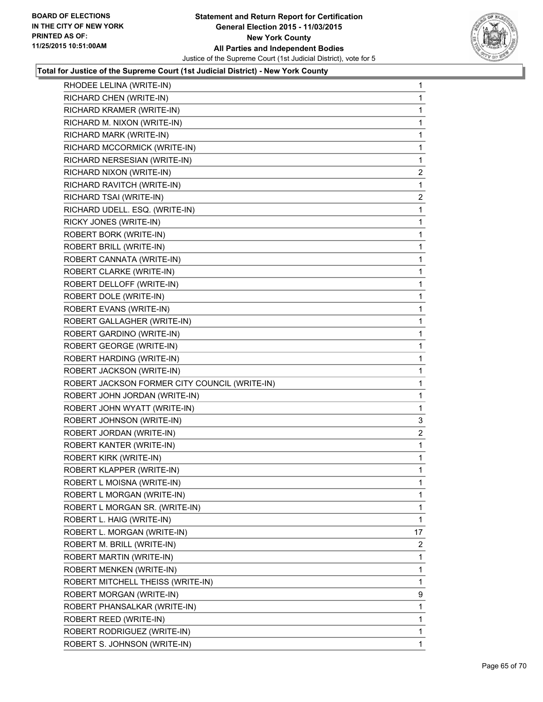

| RHODEE LELINA (WRITE-IN)     | 1                                                                                                                                                                                                                                                                                                                                                                                                                                                                                                                                                                                                                                                                                                                                                                                                                                                                                                                                                                                                                                                                                                                                                                     |
|------------------------------|-----------------------------------------------------------------------------------------------------------------------------------------------------------------------------------------------------------------------------------------------------------------------------------------------------------------------------------------------------------------------------------------------------------------------------------------------------------------------------------------------------------------------------------------------------------------------------------------------------------------------------------------------------------------------------------------------------------------------------------------------------------------------------------------------------------------------------------------------------------------------------------------------------------------------------------------------------------------------------------------------------------------------------------------------------------------------------------------------------------------------------------------------------------------------|
|                              | 1                                                                                                                                                                                                                                                                                                                                                                                                                                                                                                                                                                                                                                                                                                                                                                                                                                                                                                                                                                                                                                                                                                                                                                     |
|                              | 1                                                                                                                                                                                                                                                                                                                                                                                                                                                                                                                                                                                                                                                                                                                                                                                                                                                                                                                                                                                                                                                                                                                                                                     |
|                              | 1                                                                                                                                                                                                                                                                                                                                                                                                                                                                                                                                                                                                                                                                                                                                                                                                                                                                                                                                                                                                                                                                                                                                                                     |
|                              | 1                                                                                                                                                                                                                                                                                                                                                                                                                                                                                                                                                                                                                                                                                                                                                                                                                                                                                                                                                                                                                                                                                                                                                                     |
| RICHARD MCCORMICK (WRITE-IN) | 1                                                                                                                                                                                                                                                                                                                                                                                                                                                                                                                                                                                                                                                                                                                                                                                                                                                                                                                                                                                                                                                                                                                                                                     |
|                              | 1                                                                                                                                                                                                                                                                                                                                                                                                                                                                                                                                                                                                                                                                                                                                                                                                                                                                                                                                                                                                                                                                                                                                                                     |
|                              | $\overline{c}$                                                                                                                                                                                                                                                                                                                                                                                                                                                                                                                                                                                                                                                                                                                                                                                                                                                                                                                                                                                                                                                                                                                                                        |
|                              | 1                                                                                                                                                                                                                                                                                                                                                                                                                                                                                                                                                                                                                                                                                                                                                                                                                                                                                                                                                                                                                                                                                                                                                                     |
|                              | $\overline{2}$                                                                                                                                                                                                                                                                                                                                                                                                                                                                                                                                                                                                                                                                                                                                                                                                                                                                                                                                                                                                                                                                                                                                                        |
|                              | 1                                                                                                                                                                                                                                                                                                                                                                                                                                                                                                                                                                                                                                                                                                                                                                                                                                                                                                                                                                                                                                                                                                                                                                     |
|                              | 1                                                                                                                                                                                                                                                                                                                                                                                                                                                                                                                                                                                                                                                                                                                                                                                                                                                                                                                                                                                                                                                                                                                                                                     |
|                              | 1                                                                                                                                                                                                                                                                                                                                                                                                                                                                                                                                                                                                                                                                                                                                                                                                                                                                                                                                                                                                                                                                                                                                                                     |
|                              | 1                                                                                                                                                                                                                                                                                                                                                                                                                                                                                                                                                                                                                                                                                                                                                                                                                                                                                                                                                                                                                                                                                                                                                                     |
|                              | 1                                                                                                                                                                                                                                                                                                                                                                                                                                                                                                                                                                                                                                                                                                                                                                                                                                                                                                                                                                                                                                                                                                                                                                     |
|                              | 1                                                                                                                                                                                                                                                                                                                                                                                                                                                                                                                                                                                                                                                                                                                                                                                                                                                                                                                                                                                                                                                                                                                                                                     |
|                              | 1                                                                                                                                                                                                                                                                                                                                                                                                                                                                                                                                                                                                                                                                                                                                                                                                                                                                                                                                                                                                                                                                                                                                                                     |
|                              | 1                                                                                                                                                                                                                                                                                                                                                                                                                                                                                                                                                                                                                                                                                                                                                                                                                                                                                                                                                                                                                                                                                                                                                                     |
|                              | 1                                                                                                                                                                                                                                                                                                                                                                                                                                                                                                                                                                                                                                                                                                                                                                                                                                                                                                                                                                                                                                                                                                                                                                     |
|                              | 1                                                                                                                                                                                                                                                                                                                                                                                                                                                                                                                                                                                                                                                                                                                                                                                                                                                                                                                                                                                                                                                                                                                                                                     |
|                              | 1                                                                                                                                                                                                                                                                                                                                                                                                                                                                                                                                                                                                                                                                                                                                                                                                                                                                                                                                                                                                                                                                                                                                                                     |
|                              | 1                                                                                                                                                                                                                                                                                                                                                                                                                                                                                                                                                                                                                                                                                                                                                                                                                                                                                                                                                                                                                                                                                                                                                                     |
|                              | 1                                                                                                                                                                                                                                                                                                                                                                                                                                                                                                                                                                                                                                                                                                                                                                                                                                                                                                                                                                                                                                                                                                                                                                     |
|                              | 1                                                                                                                                                                                                                                                                                                                                                                                                                                                                                                                                                                                                                                                                                                                                                                                                                                                                                                                                                                                                                                                                                                                                                                     |
|                              | 1                                                                                                                                                                                                                                                                                                                                                                                                                                                                                                                                                                                                                                                                                                                                                                                                                                                                                                                                                                                                                                                                                                                                                                     |
|                              | 1                                                                                                                                                                                                                                                                                                                                                                                                                                                                                                                                                                                                                                                                                                                                                                                                                                                                                                                                                                                                                                                                                                                                                                     |
|                              | 1                                                                                                                                                                                                                                                                                                                                                                                                                                                                                                                                                                                                                                                                                                                                                                                                                                                                                                                                                                                                                                                                                                                                                                     |
|                              | 3                                                                                                                                                                                                                                                                                                                                                                                                                                                                                                                                                                                                                                                                                                                                                                                                                                                                                                                                                                                                                                                                                                                                                                     |
|                              | $\overline{\mathbf{c}}$                                                                                                                                                                                                                                                                                                                                                                                                                                                                                                                                                                                                                                                                                                                                                                                                                                                                                                                                                                                                                                                                                                                                               |
|                              | 1                                                                                                                                                                                                                                                                                                                                                                                                                                                                                                                                                                                                                                                                                                                                                                                                                                                                                                                                                                                                                                                                                                                                                                     |
|                              | 1                                                                                                                                                                                                                                                                                                                                                                                                                                                                                                                                                                                                                                                                                                                                                                                                                                                                                                                                                                                                                                                                                                                                                                     |
| ROBERT KLAPPER (WRITE-IN)    | 1                                                                                                                                                                                                                                                                                                                                                                                                                                                                                                                                                                                                                                                                                                                                                                                                                                                                                                                                                                                                                                                                                                                                                                     |
| ROBERT L MOISNA (WRITE-IN)   | 1                                                                                                                                                                                                                                                                                                                                                                                                                                                                                                                                                                                                                                                                                                                                                                                                                                                                                                                                                                                                                                                                                                                                                                     |
| ROBERT L MORGAN (WRITE-IN)   | 1.                                                                                                                                                                                                                                                                                                                                                                                                                                                                                                                                                                                                                                                                                                                                                                                                                                                                                                                                                                                                                                                                                                                                                                    |
|                              | 1                                                                                                                                                                                                                                                                                                                                                                                                                                                                                                                                                                                                                                                                                                                                                                                                                                                                                                                                                                                                                                                                                                                                                                     |
|                              | 1                                                                                                                                                                                                                                                                                                                                                                                                                                                                                                                                                                                                                                                                                                                                                                                                                                                                                                                                                                                                                                                                                                                                                                     |
|                              | 17                                                                                                                                                                                                                                                                                                                                                                                                                                                                                                                                                                                                                                                                                                                                                                                                                                                                                                                                                                                                                                                                                                                                                                    |
|                              | 2                                                                                                                                                                                                                                                                                                                                                                                                                                                                                                                                                                                                                                                                                                                                                                                                                                                                                                                                                                                                                                                                                                                                                                     |
| ROBERT MARTIN (WRITE-IN)     | 1                                                                                                                                                                                                                                                                                                                                                                                                                                                                                                                                                                                                                                                                                                                                                                                                                                                                                                                                                                                                                                                                                                                                                                     |
|                              | 1                                                                                                                                                                                                                                                                                                                                                                                                                                                                                                                                                                                                                                                                                                                                                                                                                                                                                                                                                                                                                                                                                                                                                                     |
|                              | 1                                                                                                                                                                                                                                                                                                                                                                                                                                                                                                                                                                                                                                                                                                                                                                                                                                                                                                                                                                                                                                                                                                                                                                     |
|                              | 9                                                                                                                                                                                                                                                                                                                                                                                                                                                                                                                                                                                                                                                                                                                                                                                                                                                                                                                                                                                                                                                                                                                                                                     |
|                              | 1.                                                                                                                                                                                                                                                                                                                                                                                                                                                                                                                                                                                                                                                                                                                                                                                                                                                                                                                                                                                                                                                                                                                                                                    |
|                              | 1                                                                                                                                                                                                                                                                                                                                                                                                                                                                                                                                                                                                                                                                                                                                                                                                                                                                                                                                                                                                                                                                                                                                                                     |
| ROBERT RODRIGUEZ (WRITE-IN)  | 1                                                                                                                                                                                                                                                                                                                                                                                                                                                                                                                                                                                                                                                                                                                                                                                                                                                                                                                                                                                                                                                                                                                                                                     |
| ROBERT S. JOHNSON (WRITE-IN) | 1                                                                                                                                                                                                                                                                                                                                                                                                                                                                                                                                                                                                                                                                                                                                                                                                                                                                                                                                                                                                                                                                                                                                                                     |
|                              | RICHARD CHEN (WRITE-IN)<br>RICHARD KRAMER (WRITE-IN)<br>RICHARD M. NIXON (WRITE-IN)<br>RICHARD MARK (WRITE-IN)<br>RICHARD NERSESIAN (WRITE-IN)<br>RICHARD NIXON (WRITE-IN)<br>RICHARD RAVITCH (WRITE-IN)<br>RICHARD TSAI (WRITE-IN)<br>RICHARD UDELL. ESQ. (WRITE-IN)<br>RICKY JONES (WRITE-IN)<br>ROBERT BORK (WRITE-IN)<br>ROBERT BRILL (WRITE-IN)<br>ROBERT CANNATA (WRITE-IN)<br>ROBERT CLARKE (WRITE-IN)<br>ROBERT DELLOFF (WRITE-IN)<br>ROBERT DOLE (WRITE-IN)<br>ROBERT EVANS (WRITE-IN)<br>ROBERT GALLAGHER (WRITE-IN)<br>ROBERT GARDINO (WRITE-IN)<br>ROBERT GEORGE (WRITE-IN)<br>ROBERT HARDING (WRITE-IN)<br>ROBERT JACKSON (WRITE-IN)<br>ROBERT JACKSON FORMER CITY COUNCIL (WRITE-IN)<br>ROBERT JOHN JORDAN (WRITE-IN)<br>ROBERT JOHN WYATT (WRITE-IN)<br>ROBERT JOHNSON (WRITE-IN)<br>ROBERT JORDAN (WRITE-IN)<br>ROBERT KANTER (WRITE-IN)<br>ROBERT KIRK (WRITE-IN)<br>ROBERT L MORGAN SR. (WRITE-IN)<br>ROBERT L. HAIG (WRITE-IN)<br>ROBERT L. MORGAN (WRITE-IN)<br>ROBERT M. BRILL (WRITE-IN)<br>ROBERT MENKEN (WRITE-IN)<br>ROBERT MITCHELL THEISS (WRITE-IN)<br>ROBERT MORGAN (WRITE-IN)<br>ROBERT PHANSALKAR (WRITE-IN)<br>ROBERT REED (WRITE-IN) |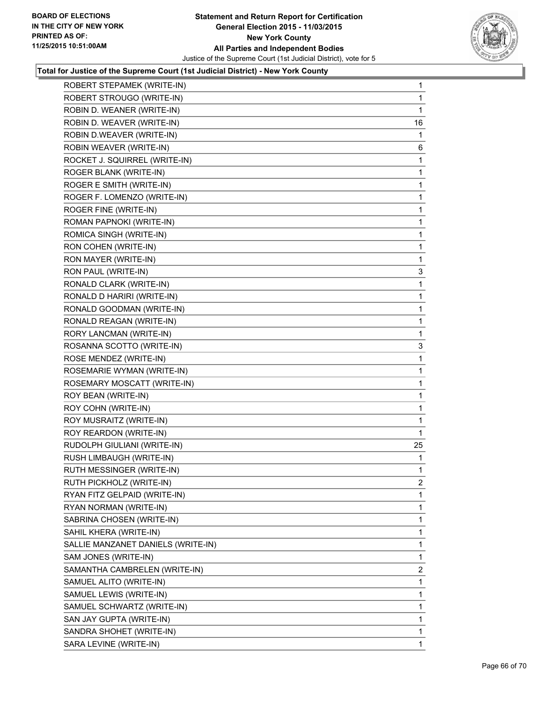

| ROBERT STROUGO (WRITE-IN)<br>$\mathbf{1}$<br>ROBIN D. WEANER (WRITE-IN)<br>1<br>ROBIN D. WEAVER (WRITE-IN)<br>16<br>ROBIN D.WEAVER (WRITE-IN)<br>1<br>ROBIN WEAVER (WRITE-IN)<br>6<br>ROCKET J. SQUIRREL (WRITE-IN)<br>1<br>ROGER BLANK (WRITE-IN)<br>1<br>ROGER E SMITH (WRITE-IN)<br>1<br>ROGER F. LOMENZO (WRITE-IN)<br>1<br>ROGER FINE (WRITE-IN)<br>1<br>ROMAN PAPNOKI (WRITE-IN)<br>1<br>ROMICA SINGH (WRITE-IN)<br>1<br>RON COHEN (WRITE-IN)<br>1<br>RON MAYER (WRITE-IN)<br>1<br>RON PAUL (WRITE-IN)<br>3<br>RONALD CLARK (WRITE-IN)<br>1<br>RONALD D HARIRI (WRITE-IN)<br>1<br>RONALD GOODMAN (WRITE-IN)<br>1<br>RONALD REAGAN (WRITE-IN)<br>1<br>RORY LANCMAN (WRITE-IN)<br>1<br>ROSANNA SCOTTO (WRITE-IN)<br>3<br>ROSE MENDEZ (WRITE-IN)<br>1<br>ROSEMARIE WYMAN (WRITE-IN)<br>1<br>ROSEMARY MOSCATT (WRITE-IN)<br>1<br>ROY BEAN (WRITE-IN)<br>1<br>ROY COHN (WRITE-IN)<br>1<br>ROY MUSRAITZ (WRITE-IN)<br>1<br>ROY REARDON (WRITE-IN)<br>1<br>RUDOLPH GIULIANI (WRITE-IN)<br>25<br>RUSH LIMBAUGH (WRITE-IN)<br>1 |
|------------------------------------------------------------------------------------------------------------------------------------------------------------------------------------------------------------------------------------------------------------------------------------------------------------------------------------------------------------------------------------------------------------------------------------------------------------------------------------------------------------------------------------------------------------------------------------------------------------------------------------------------------------------------------------------------------------------------------------------------------------------------------------------------------------------------------------------------------------------------------------------------------------------------------------------------------------------------------------------------------------------------------|
|                                                                                                                                                                                                                                                                                                                                                                                                                                                                                                                                                                                                                                                                                                                                                                                                                                                                                                                                                                                                                              |
|                                                                                                                                                                                                                                                                                                                                                                                                                                                                                                                                                                                                                                                                                                                                                                                                                                                                                                                                                                                                                              |
|                                                                                                                                                                                                                                                                                                                                                                                                                                                                                                                                                                                                                                                                                                                                                                                                                                                                                                                                                                                                                              |
|                                                                                                                                                                                                                                                                                                                                                                                                                                                                                                                                                                                                                                                                                                                                                                                                                                                                                                                                                                                                                              |
|                                                                                                                                                                                                                                                                                                                                                                                                                                                                                                                                                                                                                                                                                                                                                                                                                                                                                                                                                                                                                              |
|                                                                                                                                                                                                                                                                                                                                                                                                                                                                                                                                                                                                                                                                                                                                                                                                                                                                                                                                                                                                                              |
|                                                                                                                                                                                                                                                                                                                                                                                                                                                                                                                                                                                                                                                                                                                                                                                                                                                                                                                                                                                                                              |
|                                                                                                                                                                                                                                                                                                                                                                                                                                                                                                                                                                                                                                                                                                                                                                                                                                                                                                                                                                                                                              |
|                                                                                                                                                                                                                                                                                                                                                                                                                                                                                                                                                                                                                                                                                                                                                                                                                                                                                                                                                                                                                              |
|                                                                                                                                                                                                                                                                                                                                                                                                                                                                                                                                                                                                                                                                                                                                                                                                                                                                                                                                                                                                                              |
|                                                                                                                                                                                                                                                                                                                                                                                                                                                                                                                                                                                                                                                                                                                                                                                                                                                                                                                                                                                                                              |
|                                                                                                                                                                                                                                                                                                                                                                                                                                                                                                                                                                                                                                                                                                                                                                                                                                                                                                                                                                                                                              |
|                                                                                                                                                                                                                                                                                                                                                                                                                                                                                                                                                                                                                                                                                                                                                                                                                                                                                                                                                                                                                              |
|                                                                                                                                                                                                                                                                                                                                                                                                                                                                                                                                                                                                                                                                                                                                                                                                                                                                                                                                                                                                                              |
|                                                                                                                                                                                                                                                                                                                                                                                                                                                                                                                                                                                                                                                                                                                                                                                                                                                                                                                                                                                                                              |
|                                                                                                                                                                                                                                                                                                                                                                                                                                                                                                                                                                                                                                                                                                                                                                                                                                                                                                                                                                                                                              |
|                                                                                                                                                                                                                                                                                                                                                                                                                                                                                                                                                                                                                                                                                                                                                                                                                                                                                                                                                                                                                              |
|                                                                                                                                                                                                                                                                                                                                                                                                                                                                                                                                                                                                                                                                                                                                                                                                                                                                                                                                                                                                                              |
|                                                                                                                                                                                                                                                                                                                                                                                                                                                                                                                                                                                                                                                                                                                                                                                                                                                                                                                                                                                                                              |
|                                                                                                                                                                                                                                                                                                                                                                                                                                                                                                                                                                                                                                                                                                                                                                                                                                                                                                                                                                                                                              |
|                                                                                                                                                                                                                                                                                                                                                                                                                                                                                                                                                                                                                                                                                                                                                                                                                                                                                                                                                                                                                              |
|                                                                                                                                                                                                                                                                                                                                                                                                                                                                                                                                                                                                                                                                                                                                                                                                                                                                                                                                                                                                                              |
|                                                                                                                                                                                                                                                                                                                                                                                                                                                                                                                                                                                                                                                                                                                                                                                                                                                                                                                                                                                                                              |
|                                                                                                                                                                                                                                                                                                                                                                                                                                                                                                                                                                                                                                                                                                                                                                                                                                                                                                                                                                                                                              |
|                                                                                                                                                                                                                                                                                                                                                                                                                                                                                                                                                                                                                                                                                                                                                                                                                                                                                                                                                                                                                              |
|                                                                                                                                                                                                                                                                                                                                                                                                                                                                                                                                                                                                                                                                                                                                                                                                                                                                                                                                                                                                                              |
|                                                                                                                                                                                                                                                                                                                                                                                                                                                                                                                                                                                                                                                                                                                                                                                                                                                                                                                                                                                                                              |
|                                                                                                                                                                                                                                                                                                                                                                                                                                                                                                                                                                                                                                                                                                                                                                                                                                                                                                                                                                                                                              |
|                                                                                                                                                                                                                                                                                                                                                                                                                                                                                                                                                                                                                                                                                                                                                                                                                                                                                                                                                                                                                              |
|                                                                                                                                                                                                                                                                                                                                                                                                                                                                                                                                                                                                                                                                                                                                                                                                                                                                                                                                                                                                                              |
| RUTH MESSINGER (WRITE-IN)<br>$\mathbf{1}$                                                                                                                                                                                                                                                                                                                                                                                                                                                                                                                                                                                                                                                                                                                                                                                                                                                                                                                                                                                    |
| RUTH PICKHOLZ (WRITE-IN)<br>2                                                                                                                                                                                                                                                                                                                                                                                                                                                                                                                                                                                                                                                                                                                                                                                                                                                                                                                                                                                                |
| RYAN FITZ GELPAID (WRITE-IN)<br>1                                                                                                                                                                                                                                                                                                                                                                                                                                                                                                                                                                                                                                                                                                                                                                                                                                                                                                                                                                                            |
| 1<br>RYAN NORMAN (WRITE-IN)                                                                                                                                                                                                                                                                                                                                                                                                                                                                                                                                                                                                                                                                                                                                                                                                                                                                                                                                                                                                  |
| SABRINA CHOSEN (WRITE-IN)<br>1                                                                                                                                                                                                                                                                                                                                                                                                                                                                                                                                                                                                                                                                                                                                                                                                                                                                                                                                                                                               |
| SAHIL KHERA (WRITE-IN)<br>1                                                                                                                                                                                                                                                                                                                                                                                                                                                                                                                                                                                                                                                                                                                                                                                                                                                                                                                                                                                                  |
| 1<br>SALLIE MANZANET DANIELS (WRITE-IN)                                                                                                                                                                                                                                                                                                                                                                                                                                                                                                                                                                                                                                                                                                                                                                                                                                                                                                                                                                                      |
| SAM JONES (WRITE-IN)<br>1                                                                                                                                                                                                                                                                                                                                                                                                                                                                                                                                                                                                                                                                                                                                                                                                                                                                                                                                                                                                    |
| SAMANTHA CAMBRELEN (WRITE-IN)<br>2                                                                                                                                                                                                                                                                                                                                                                                                                                                                                                                                                                                                                                                                                                                                                                                                                                                                                                                                                                                           |
| SAMUEL ALITO (WRITE-IN)<br>1                                                                                                                                                                                                                                                                                                                                                                                                                                                                                                                                                                                                                                                                                                                                                                                                                                                                                                                                                                                                 |
| SAMUEL LEWIS (WRITE-IN)<br>1                                                                                                                                                                                                                                                                                                                                                                                                                                                                                                                                                                                                                                                                                                                                                                                                                                                                                                                                                                                                 |
| SAMUEL SCHWARTZ (WRITE-IN)<br>1                                                                                                                                                                                                                                                                                                                                                                                                                                                                                                                                                                                                                                                                                                                                                                                                                                                                                                                                                                                              |
| 1<br>SAN JAY GUPTA (WRITE-IN)                                                                                                                                                                                                                                                                                                                                                                                                                                                                                                                                                                                                                                                                                                                                                                                                                                                                                                                                                                                                |
| SANDRA SHOHET (WRITE-IN)<br>1                                                                                                                                                                                                                                                                                                                                                                                                                                                                                                                                                                                                                                                                                                                                                                                                                                                                                                                                                                                                |
| SARA LEVINE (WRITE-IN)<br>$\mathbf{1}$                                                                                                                                                                                                                                                                                                                                                                                                                                                                                                                                                                                                                                                                                                                                                                                                                                                                                                                                                                                       |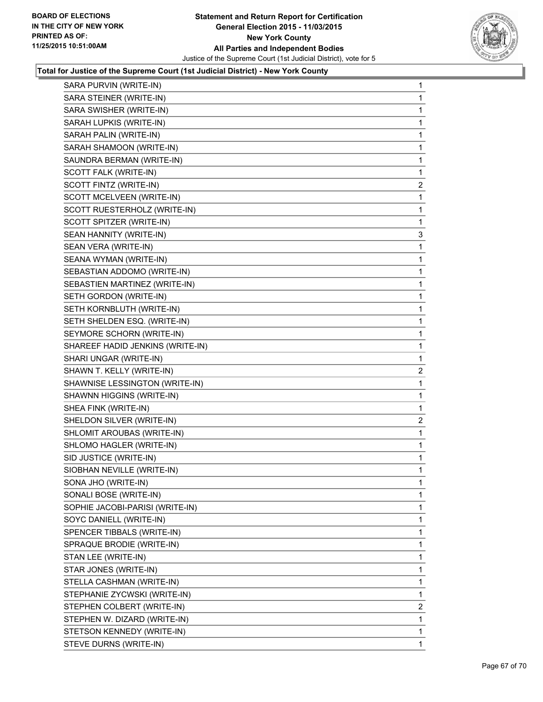

| SARA PURVIN (WRITE-IN)           | 1              |
|----------------------------------|----------------|
| SARA STEINER (WRITE-IN)          | 1              |
| SARA SWISHER (WRITE-IN)          | 1              |
| SARAH LUPKIS (WRITE-IN)          | 1              |
| SARAH PALIN (WRITE-IN)           | 1              |
| SARAH SHAMOON (WRITE-IN)         | 1              |
| SAUNDRA BERMAN (WRITE-IN)        | 1              |
| SCOTT FALK (WRITE-IN)            | 1              |
| SCOTT FINTZ (WRITE-IN)           | $\mathbf{2}$   |
| SCOTT MCELVEEN (WRITE-IN)        | 1              |
| SCOTT RUESTERHOLZ (WRITE-IN)     | 1              |
| SCOTT SPITZER (WRITE-IN)         | 1              |
| SEAN HANNITY (WRITE-IN)          | 3              |
| SEAN VERA (WRITE-IN)             | 1              |
| SEANA WYMAN (WRITE-IN)           | 1              |
| SEBASTIAN ADDOMO (WRITE-IN)      | 1              |
| SEBASTIEN MARTINEZ (WRITE-IN)    | 1              |
| SETH GORDON (WRITE-IN)           | 1              |
| SETH KORNBLUTH (WRITE-IN)        | 1              |
| SETH SHELDEN ESQ. (WRITE-IN)     | 1              |
| SEYMORE SCHORN (WRITE-IN)        | 1              |
| SHAREEF HADID JENKINS (WRITE-IN) | 1              |
| SHARI UNGAR (WRITE-IN)           | 1              |
| SHAWN T. KELLY (WRITE-IN)        | $\overline{2}$ |
| SHAWNISE LESSINGTON (WRITE-IN)   | 1              |
| SHAWNN HIGGINS (WRITE-IN)        | 1              |
| SHEA FINK (WRITE-IN)             | 1              |
| SHELDON SILVER (WRITE-IN)        | 2              |
| SHLOMIT AROUBAS (WRITE-IN)       | 1              |
| SHLOMO HAGLER (WRITE-IN)         | 1              |
| SID JUSTICE (WRITE-IN)           | 1              |
| SIOBHAN NEVILLE (WRITE-IN)       | 1              |
| SONA JHO (WRITE-IN)              | 1              |
| SONALI BOSE (WRITE-IN)           | 1              |
| SOPHIE JACOBI-PARISI (WRITE-IN)  | 1              |
| SOYC DANIELL (WRITE-IN)          | 1              |
| SPENCER TIBBALS (WRITE-IN)       | 1              |
| SPRAQUE BRODIE (WRITE-IN)        | 1              |
| STAN LEE (WRITE-IN)              | 1              |
| STAR JONES (WRITE-IN)            | 1              |
| STELLA CASHMAN (WRITE-IN)        | 1              |
| STEPHANIE ZYCWSKI (WRITE-IN)     | 1              |
| STEPHEN COLBERT (WRITE-IN)       | $\overline{2}$ |
| STEPHEN W. DIZARD (WRITE-IN)     | 1              |
| STETSON KENNEDY (WRITE-IN)       | 1              |
| STEVE DURNS (WRITE-IN)           | $\mathbf{1}$   |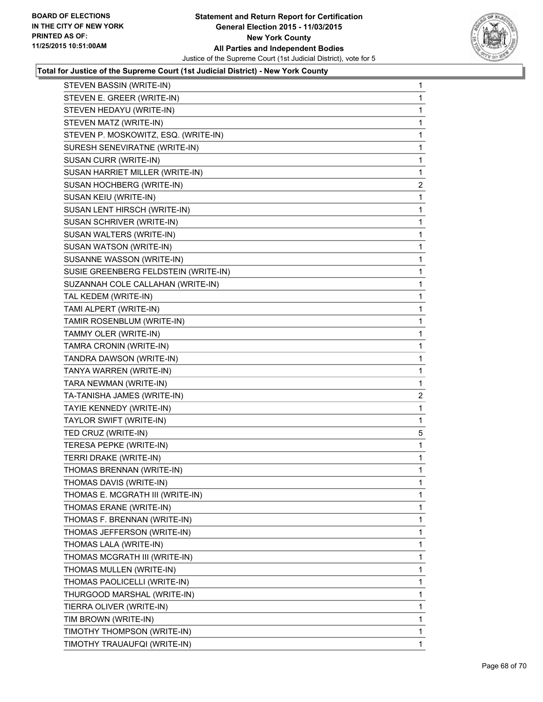

| STEVEN BASSIN (WRITE-IN)             | 1              |
|--------------------------------------|----------------|
| STEVEN E. GREER (WRITE-IN)           | 1              |
| STEVEN HEDAYU (WRITE-IN)             | 1              |
| STEVEN MATZ (WRITE-IN)               | 1              |
| STEVEN P. MOSKOWITZ, ESQ. (WRITE-IN) | 1              |
| SURESH SENEVIRATNE (WRITE-IN)        | 1              |
| SUSAN CURR (WRITE-IN)                | 1              |
| SUSAN HARRIET MILLER (WRITE-IN)      | 1              |
| SUSAN HOCHBERG (WRITE-IN)            | $\mathbf{2}$   |
| SUSAN KEIU (WRITE-IN)                | 1              |
| SUSAN LENT HIRSCH (WRITE-IN)         | 1              |
| SUSAN SCHRIVER (WRITE-IN)            | 1              |
| SUSAN WALTERS (WRITE-IN)             | 1              |
| SUSAN WATSON (WRITE-IN)              | 1              |
| SUSANNE WASSON (WRITE-IN)            | 1              |
| SUSIE GREENBERG FELDSTEIN (WRITE-IN) | 1              |
| SUZANNAH COLE CALLAHAN (WRITE-IN)    | 1              |
| TAL KEDEM (WRITE-IN)                 | 1              |
| TAMI ALPERT (WRITE-IN)               | $\mathbf 1$    |
| TAMIR ROSENBLUM (WRITE-IN)           | 1              |
| TAMMY OLER (WRITE-IN)                | 1              |
| TAMRA CRONIN (WRITE-IN)              | 1              |
| TANDRA DAWSON (WRITE-IN)             | 1              |
| TANYA WARREN (WRITE-IN)              | 1              |
| TARA NEWMAN (WRITE-IN)               | 1              |
| TA-TANISHA JAMES (WRITE-IN)          | $\overline{c}$ |
| TAYIE KENNEDY (WRITE-IN)             | 1              |
| TAYLOR SWIFT (WRITE-IN)              | 1              |
| TED CRUZ (WRITE-IN)                  | 5              |
| TERESA PEPKE (WRITE-IN)              | 1              |
| TERRI DRAKE (WRITE-IN)               | $\mathbf 1$    |
| THOMAS BRENNAN (WRITE-IN)            | 1              |
| THOMAS DAVIS (WRITE-IN)              | 1              |
| THOMAS E. MCGRATH III (WRITE-IN)     | 1              |
| THOMAS ERANE (WRITE-IN)              | 1              |
| THOMAS F. BRENNAN (WRITE-IN)         | 1              |
| THOMAS JEFFERSON (WRITE-IN)          | 1              |
| THOMAS LALA (WRITE-IN)               | 1              |
| THOMAS MCGRATH III (WRITE-IN)        | 1              |
| THOMAS MULLEN (WRITE-IN)             | 1              |
| THOMAS PAOLICELLI (WRITE-IN)         | 1              |
| THURGOOD MARSHAL (WRITE-IN)          | 1              |
| TIERRA OLIVER (WRITE-IN)             | 1              |
| TIM BROWN (WRITE-IN)                 | 1              |
| TIMOTHY THOMPSON (WRITE-IN)          | 1              |
| TIMOTHY TRAUAUFQI (WRITE-IN)         | 1              |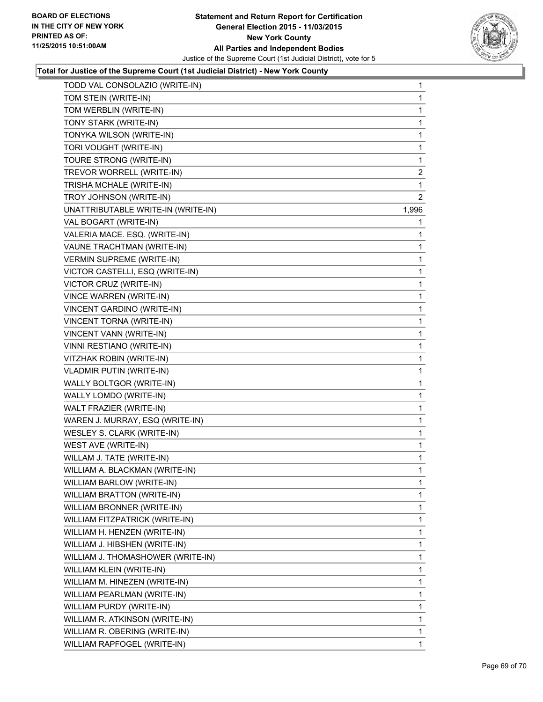

| TODD VAL CONSOLAZIO (WRITE-IN)     | 1            |
|------------------------------------|--------------|
| TOM STEIN (WRITE-IN)               | 1            |
| TOM WERBLIN (WRITE-IN)             | 1            |
| TONY STARK (WRITE-IN)              | 1            |
| TONYKA WILSON (WRITE-IN)           | 1            |
| TORI VOUGHT (WRITE-IN)             | 1            |
| TOURE STRONG (WRITE-IN)            | 1            |
| TREVOR WORRELL (WRITE-IN)          | 2            |
| TRISHA MCHALE (WRITE-IN)           | 1            |
| TROY JOHNSON (WRITE-IN)            | 2            |
| UNATTRIBUTABLE WRITE-IN (WRITE-IN) | 1,996        |
| VAL BOGART (WRITE-IN)              | 1            |
| VALERIA MACE. ESQ. (WRITE-IN)      | 1            |
| VAUNE TRACHTMAN (WRITE-IN)         | 1            |
| <b>VERMIN SUPREME (WRITE-IN)</b>   | 1            |
| VICTOR CASTELLI, ESQ (WRITE-IN)    | 1            |
| VICTOR CRUZ (WRITE-IN)             | 1            |
| <b>VINCE WARREN (WRITE-IN)</b>     | 1            |
| VINCENT GARDINO (WRITE-IN)         | 1            |
| VINCENT TORNA (WRITE-IN)           | 1            |
| VINCENT VANN (WRITE-IN)            | 1            |
| VINNI RESTIANO (WRITE-IN)          | 1            |
| VITZHAK ROBIN (WRITE-IN)           | 1            |
| VLADMIR PUTIN (WRITE-IN)           | 1            |
| WALLY BOLTGOR (WRITE-IN)           | 1            |
| WALLY LOMDO (WRITE-IN)             | 1            |
| WALT FRAZIER (WRITE-IN)            | 1            |
| WAREN J. MURRAY, ESQ (WRITE-IN)    | 1            |
| WESLEY S. CLARK (WRITE-IN)         | 1            |
| WEST AVE (WRITE-IN)                | 1            |
| WILLAM J. TATE (WRITE-IN)          | 1            |
| WILLIAM A. BLACKMAN (WRITE-IN)     | 1            |
| <b>WILLIAM BARLOW (WRITE-IN)</b>   | 1            |
| WILLIAM BRATTON (WRITE-IN)         | 1            |
| WILLIAM BRONNER (WRITE-IN)         | 1            |
| WILLIAM FITZPATRICK (WRITE-IN)     | 1            |
| WILLIAM H. HENZEN (WRITE-IN)       | 1            |
| WILLIAM J. HIBSHEN (WRITE-IN)      | 1            |
| WILLIAM J. THOMASHOWER (WRITE-IN)  | 1            |
| WILLIAM KLEIN (WRITE-IN)           | 1            |
| WILLIAM M. HINEZEN (WRITE-IN)      | 1            |
| WILLIAM PEARLMAN (WRITE-IN)        | 1            |
| WILLIAM PURDY (WRITE-IN)           | 1            |
| WILLIAM R. ATKINSON (WRITE-IN)     | 1            |
| WILLIAM R. OBERING (WRITE-IN)      | 1            |
| WILLIAM RAPFOGEL (WRITE-IN)        | $\mathbf{1}$ |
|                                    |              |